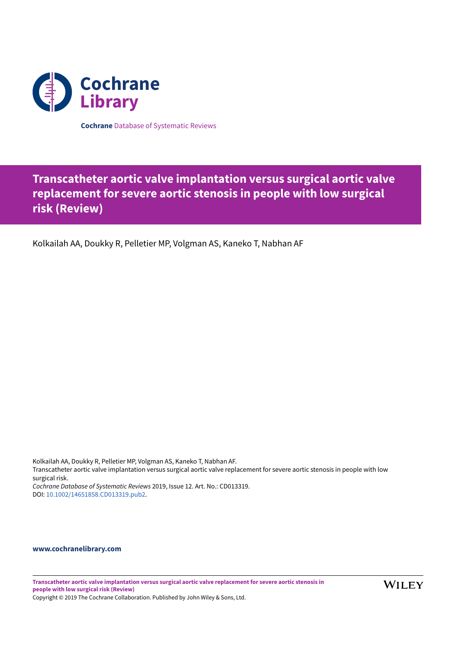

**Cochrane** Database of Systematic Reviews

# **Transcatheter aortic valve implantation versus surgical aortic valve replacement for severe aortic stenosis in people with low surgical risk (Review)**

Kolkailah AA, Doukky R, Pelletier MP, Volgman AS, Kaneko T, Nabhan AF

Kolkailah AA, Doukky R, Pelletier MP, Volgman AS, Kaneko T, Nabhan AF. Transcatheter aortic valve implantation versus surgical aortic valve replacement for severe aortic stenosis in people with low surgical risk. *Cochrane Database of Systematic Reviews* 2019, Issue 12. Art. No.: CD013319. DOI: [10.1002/14651858.CD013319.pub2.](https://doi.org/10.1002%2F14651858.CD013319.pub2)

# **[www.cochranelibrary.com](https://www.cochranelibrary.com)**

**Transcatheter aortic valve implantation versus surgical aortic valve replacement for severe aortic stenosis in people with low surgical risk (Review)** Copyright © 2019 The Cochrane Collaboration. Published by John Wiley & Sons, Ltd.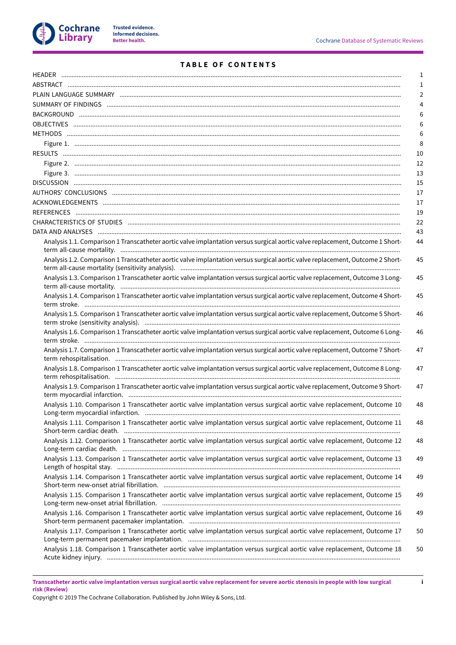

**i**

# **T A B L E O F C O N T E N T S**

|                                                                                                                               | $\mathbf{1}$ |
|-------------------------------------------------------------------------------------------------------------------------------|--------------|
|                                                                                                                               | $\mathbf{1}$ |
|                                                                                                                               | 2            |
|                                                                                                                               | 4            |
|                                                                                                                               | 6            |
|                                                                                                                               | 6            |
|                                                                                                                               | 6            |
|                                                                                                                               | 8            |
|                                                                                                                               | 10           |
|                                                                                                                               | 12           |
|                                                                                                                               | 13           |
|                                                                                                                               | 15           |
|                                                                                                                               | 17           |
|                                                                                                                               | 17           |
|                                                                                                                               | 19           |
|                                                                                                                               | 22           |
|                                                                                                                               | 43           |
| Analysis 1.1. Comparison 1 Transcatheter aortic valve implantation versus surgical aortic valve replacement, Outcome 1 Short- | 44           |
| Analysis 1.2. Comparison 1 Transcatheter aortic valve implantation versus surgical aortic valve replacement, Outcome 2 Short- | 45           |
| Analysis 1.3. Comparison 1 Transcatheter aortic valve implantation versus surgical aortic valve replacement, Outcome 3 Long-  | 45           |
| Analysis 1.4. Comparison 1 Transcatheter aortic valve implantation versus surgical aortic valve replacement, Outcome 4 Short- | 45           |
| Analysis 1.5. Comparison 1 Transcatheter aortic valve implantation versus surgical aortic valve replacement, Outcome 5 Short- | 46           |
| Analysis 1.6. Comparison 1 Transcatheter aortic valve implantation versus surgical aortic valve replacement, Outcome 6 Long-  | 46           |
| Analysis 1.7. Comparison 1 Transcatheter aortic valve implantation versus surgical aortic valve replacement, Outcome 7 Short- | 47           |
| Analysis 1.8. Comparison 1 Transcatheter aortic valve implantation versus surgical aortic valve replacement, Outcome 8 Long-  | 47           |
| Analysis 1.9. Comparison 1 Transcatheter aortic valve implantation versus surgical aortic valve replacement, Outcome 9 Short- | 47           |
| Analysis 1.10. Comparison 1 Transcatheter aortic valve implantation versus surgical aortic valve replacement, Outcome 10      | 48           |
| Analysis 1.11. Comparison 1 Transcatheter aortic valve implantation versus surgical aortic valve replacement, Outcome 11      | 48           |
| Analysis 1.12. Comparison 1 Transcatheter aortic valve implantation versus surgical aortic valve replacement, Outcome 12      | 48           |
| Analysis 1.13. Comparison 1 Transcatheter aortic valve implantation versus surgical aortic valve replacement, Outcome 13      | 49           |
| Analysis 1.14. Comparison 1 Transcatheter aortic valve implantation versus surgical aortic valve replacement, Outcome 14      | 49           |
| Analysis 1.15. Comparison 1 Transcatheter aortic valve implantation versus surgical aortic valve replacement, Outcome 15      | 49           |
| Analysis 1.16. Comparison 1 Transcatheter aortic valve implantation versus surgical aortic valve replacement, Outcome 16      | 49           |
| Analysis 1.17. Comparison 1 Transcatheter aortic valve implantation versus surgical aortic valve replacement, Outcome 17      | 50           |
| Analysis 1.18. Comparison 1 Transcatheter aortic valve implantation versus surgical aortic valve replacement, Outcome 18      | 50           |

Transcatheter aortic valve implantation versus surgical aortic valve replacement for severe aortic stenosis in people with low surgical **risk (Review)**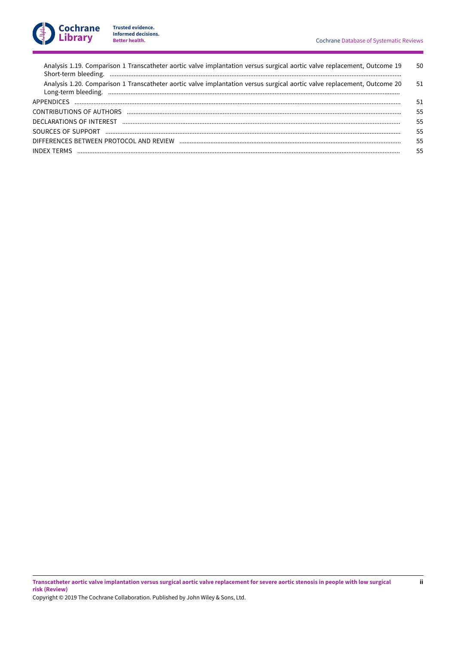| Analysis 1.19. Comparison 1 Transcatheter aortic valve implantation versus surgical aortic valve replacement, Outcome 19 | 50 |
|--------------------------------------------------------------------------------------------------------------------------|----|
| Analysis 1.20. Comparison 1 Transcatheter aortic valve implantation versus surgical aortic valve replacement, Outcome 20 | 51 |
|                                                                                                                          | 51 |
|                                                                                                                          | 55 |
|                                                                                                                          | 55 |
|                                                                                                                          | 55 |
|                                                                                                                          | 55 |
|                                                                                                                          | 55 |
|                                                                                                                          |    |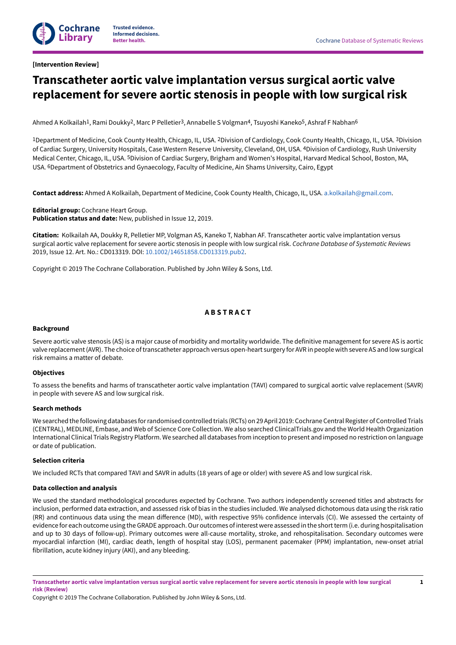# <span id="page-3-0"></span>**[Intervention Review]**

# **Transcatheter aortic valve implantation versus surgical aortic valve replacement for severe aortic stenosis in people with low surgical risk**

Ahmed A Kolkailah<sup>1</sup>, Rami Doukky<sup>2</sup>, Marc P Pelletier<sup>3</sup>, Annabelle S Volgman<sup>4</sup>, Tsuyoshi Kaneko<sup>5</sup>, Ashraf F Nabhan<sup>6</sup>

<sup>1</sup>Department of Medicine, Cook County Health, Chicago, IL, USA. <sup>2</sup>Division of Cardiology, Cook County Health, Chicago, IL, USA. <sup>3</sup>Division of Cardiac Surgery, University Hospitals, Case Western Reserve University, Cleveland, OH, USA. 4Division of Cardiology, Rush University Medical Center, Chicago, IL, USA. <sup>5</sup>Division of Cardiac Surgery, Brigham and Women's Hospital, Harvard Medical School, Boston, MA, USA. 6Department of Obstetrics and Gynaecology, Faculty of Medicine, Ain Shams University, Cairo, Egypt

**Contact address:** Ahmed A Kolkailah, Department of Medicine, Cook County Health, Chicago, IL, USA. [a.kolkailah@gmail.com](mailto:a.kolkailah@gmail.com).

**Editorial group:** Cochrane Heart Group. **Publication status and date:** New, published in Issue 12, 2019.

**Citation:** Kolkailah AA, Doukky R, Pelletier MP, Volgman AS, Kaneko T, Nabhan AF. Transcatheter aortic valve implantation versus surgical aortic valve replacement for severe aortic stenosis in people with low surgical risk. *Cochrane Database of Systematic Reviews* 2019, Issue 12. Art. No.: CD013319. DOI: [10.1002/14651858.CD013319.pub2](https://doi.org/10.1002%2F14651858.CD013319.pub2).

Copyright © 2019 The Cochrane Collaboration. Published by John Wiley & Sons, Ltd.

# **A B S T R A C T**

#### <span id="page-3-1"></span>**Background**

Severe aortic valve stenosis (AS) is a major cause of morbidity and mortality worldwide. The definitive management for severe AS is aortic valve replacement(AVR). The choice oftranscatheter approach versus open-heart surgery for AVR in people with severe AS and low surgical risk remains a matter of debate.

### **Objectives**

To assess the benefits and harms of transcatheter aortic valve implantation (TAVI) compared to surgical aortic valve replacement (SAVR) in people with severe AS and low surgical risk.

### **Search methods**

We searched the following databases for randomised controlled trials (RCTs) on 29 April 2019: Cochrane Central Register of Controlled Trials (CENTRAL), MEDLINE, Embase, and Web of Science Core Collection. We also searched ClinicalTrials.gov and the World Health Organization International Clinical Trials Registry Platform.We searched all databases from inception to present and imposed no restriction on language or date of publication.

#### **Selection criteria**

We included RCTs that compared TAVI and SAVR in adults (18 years of age or older) with severe AS and low surgical risk.

#### **Data collection and analysis**

We used the standard methodological procedures expected by Cochrane. Two authors independently screened titles and abstracts for inclusion, performed data extraction, and assessed risk of bias in the studies included. We analysed dichotomous data using the risk ratio (RR) and continuous data using the mean difference (MD), with respective 95% confidence intervals (CI). We assessed the certainty of evidence for each outcome using the GRADE approach. Our outcomes of interest were assessed in the short term (i.e. during hospitalisation and up to 30 days of follow-up). Primary outcomes were all-cause mortality, stroke, and rehospitalisation. Secondary outcomes were myocardial infarction (MI), cardiac death, length of hospital stay (LOS), permanent pacemaker (PPM) implantation, new-onset atrial fibrillation, acute kidney injury (AKI), and any bleeding.

Copyright © 2019 The Cochrane Collaboration. Published by John Wiley & Sons, Ltd.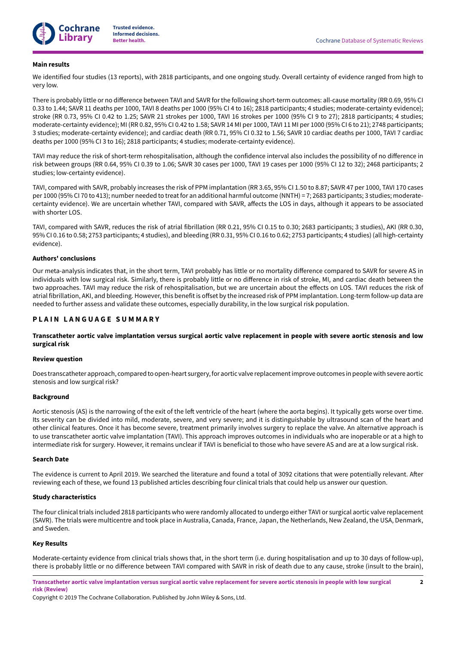

#### **Main results**

We identified four studies (13 reports), with 2818 participants, and one ongoing study. Overall certainty of evidence ranged from high to very low.

There is probably little or no difference between TAVI and SAVR for the following short-term outcomes: all-cause mortality (RR 0.69, 95% CI 0.33 to 1.44; SAVR 11 deaths per 1000, TAVI 8 deaths per 1000 (95% CI 4 to 16); 2818 participants; 4 studies; moderate-certainty evidence); stroke (RR 0.73, 95% CI 0.42 to 1.25; SAVR 21 strokes per 1000, TAVI 16 strokes per 1000 (95% CI 9 to 27); 2818 participants; 4 studies; moderate-certainty evidence); MI (RR 0.82, 95% CI 0.42 to 1.58; SAVR 14 MI per 1000, TAVI 11 MI per 1000 (95% CI 6 to 21); 2748 participants; 3 studies; moderate-certainty evidence); and cardiac death (RR 0.71, 95% CI 0.32 to 1.56; SAVR 10 cardiac deaths per 1000, TAVI 7 cardiac deaths per 1000 (95% CI 3 to 16); 2818 participants; 4 studies; moderate-certainty evidence).

TAVI may reduce the risk of short-term rehospitalisation, although the confidence interval also includes the possibility of no difference in risk between groups (RR 0.64, 95% CI 0.39 to 1.06; SAVR 30 cases per 1000, TAVI 19 cases per 1000 (95% CI 12 to 32); 2468 participants; 2 studies; low-certainty evidence).

TAVI, compared with SAVR, probably increases the risk of PPM implantation (RR 3.65, 95% CI 1.50 to 8.87; SAVR 47 per 1000, TAVI 170 cases per 1000 (95% CI 70 to 413); number needed to treat for an additional harmful outcome (NNTH) = 7; 2683 participants; 3 studies; moderatecertainty evidence). We are uncertain whether TAVI, compared with SAVR, affects the LOS in days, although it appears to be associated with shorter LOS.

TAVI, compared with SAVR, reduces the risk of atrial fibrillation (RR 0.21, 95% CI 0.15 to 0.30; 2683 participants; 3 studies), AKI (RR 0.30, 95% CI 0.16 to 0.58; 2753 participants; 4 studies), and bleeding (RR 0.31, 95% CI 0.16 to 0.62; 2753 participants; 4 studies) (all high-certainty evidence).

#### **Authors' conclusions**

Our meta-analysis indicates that, in the short term, TAVI probably has little or no mortality difference compared to SAVR for severe AS in individuals with low surgical risk. Similarly, there is probably little or no difference in risk of stroke, MI, and cardiac death between the two approaches. TAVI may reduce the risk of rehospitalisation, but we are uncertain about the effects on LOS. TAVI reduces the risk of atrial fibrillation, AKI, and bleeding. However, this benefit is offset by the increased risk of PPM implantation. Long-term follow-up data are needed to further assess and validate these outcomes, especially durability, in the low surgical risk population.

# <span id="page-4-0"></span>**P L A I N L A N G U A G E S U M M A R Y**

Transcatheter aortic valve implantation versus surgical aortic valve replacement in people with severe aortic stenosis and low **surgical risk**

#### **Review question**

Does transcatheter approach, comparedto open-heart surgery,for aortic valve replacementimprove outcomes inpeoplewith severe aortic stenosis and low surgical risk?

#### **Background**

Aortic stenosis (AS) is the narrowing of the exit of the left ventricle of the heart (where the aorta begins). It typically gets worse over time. Its severity can be divided into mild, moderate, severe, and very severe; and it is distinguishable by ultrasound scan of the heart and other clinical features. Once it has become severe, treatment primarily involves surgery to replace the valve. An alternative approach is to use transcatheter aortic valve implantation (TAVI). This approach improves outcomes in individuals who are inoperable or at a high to intermediate risk for surgery. However, it remains unclear if TAVI is beneficial to those who have severe AS and are at a low surgical risk.

#### **Search Date**

The evidence is current to April 2019. We searched the literature and found a total of 3092 citations that were potentially relevant. ANer reviewing each of these, we found 13 published articles describing four clinical trials that could help us answer our question.

#### **Study characteristics**

The four clinical trials included 2818 participants who were randomly allocated to undergo either TAVI or surgical aortic valve replacement (SAVR). The trials were multicentre and took place in Australia, Canada, France, Japan, the Netherlands, New Zealand, the USA, Denmark, and Sweden.

#### **Key Results**

Moderate-certainty evidence from clinical trials shows that, in the short term (i.e. during hospitalisation and up to 30 days of follow-up), there is probably little or no difference between TAVI compared with SAVR in risk of death due to any cause, stroke (insult to the brain),

Transcatheter aortic valve implantation versus surgical aortic valve replacement for severe aortic stenosis in people with low surgical **risk (Review)**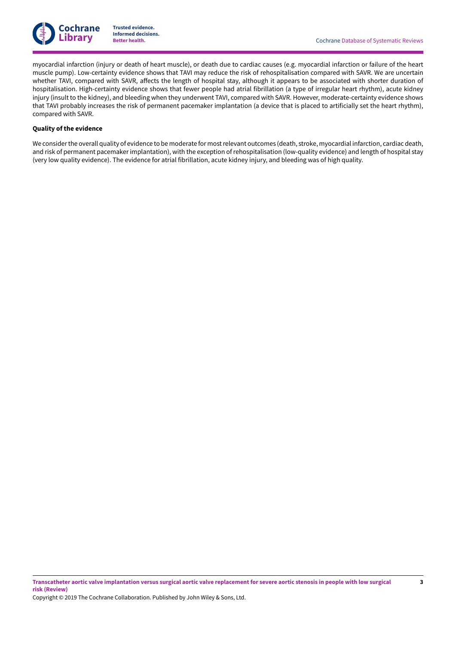

myocardial infarction (injury or death of heart muscle), or death due to cardiac causes (e.g. myocardial infarction or failure of the heart muscle pump). Low-certainty evidence shows that TAVI may reduce the risk of rehospitalisation compared with SAVR. We are uncertain whether TAVI, compared with SAVR, affects the length of hospital stay, although it appears to be associated with shorter duration of hospitalisation. High-certainty evidence shows that fewer people had atrial fibrillation (a type of irregular heart rhythm), acute kidney injury (insult to the kidney), and bleeding when they underwent TAVI, compared with SAVR. However, moderate-certainty evidence shows that TAVI probably increases the risk of permanent pacemaker implantation (a device that is placed to artificially set the heart rhythm), compared with SAVR.

### **Quality of the evidence**

We considerthe overall quality of evidence to be moderate for mostrelevant outcomes (death, stroke, myocardial infarction, cardiac death, and risk of permanent pacemaker implantation), with the exception of rehospitalisation (low-quality evidence) and length of hospital stay (very low quality evidence). The evidence for atrial fibrillation, acute kidney injury, and bleeding was of high quality.

Transcatheter aortic valve implantation versus surgical aortic valve replacement for severe aortic stenosis in people with low surgical **risk (Review)**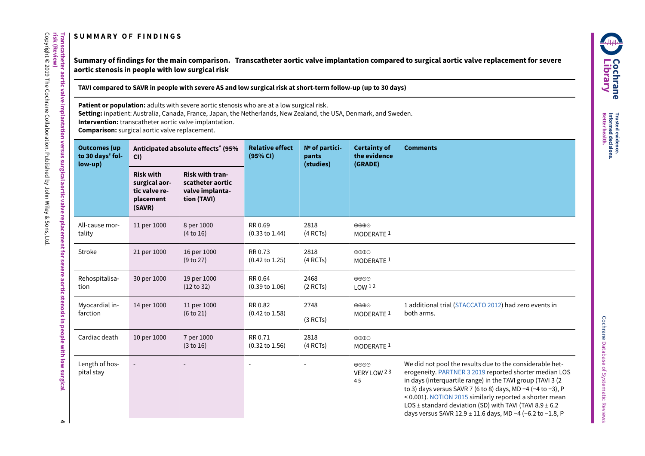# **S U M M A R Y O F F I N D I N G S**

**Transcatheter**

**risk**

**(Review)** Copyright © 2019

The

Cochrane

Collaboration.

Published

হ John

Wiley & Sons,

Ltd.

**aortic**

**valve**

**implantation**

**versus**

**surgical**

**aortic**

**valve**

<span id="page-6-0"></span>**replacement**

<span id="page-6-1"></span>**for severe**

**aortic**

**stenosis in people**

> **with** <u>ि</u><br>इ

**surgical**

Summary of findings for the main comparison. Transcatheter aortic valve implantation compared to surgical aortic valve replacement for severe **aortic stenosis in people with low surgical risk**

TAVI compared to SAVR in people with severe AS and low surgical risk at short-term follow-up (up to 30 days)

**Patient or population:** adults with severe aortic stenosis who are at a low surgical risk.

**Setting:** inpatient: Australia, Canada, France, Japan, the Netherlands, New Zealand, the USA, Denmark, and Sweden.

**Intervention:** transcatheter aortic valve implantation.

**Comparison:** surgical aortic valve replacement.

| <b>Outcomes</b> (up<br>to 30 days' fol-<br>$low-up)$ | CI)                                                                       | Anticipated absolute effects <sup>*</sup> (95%                               | <b>Relative effect</b><br>(95% CI)   | $No$ of partici-<br>pants<br>(studies) | <b>Certainty of</b><br>the evidence<br>(GRADE)          | <b>Comments</b>                                                                                                                                                                                                                                                                                                                                                                                                                                        |
|------------------------------------------------------|---------------------------------------------------------------------------|------------------------------------------------------------------------------|--------------------------------------|----------------------------------------|---------------------------------------------------------|--------------------------------------------------------------------------------------------------------------------------------------------------------------------------------------------------------------------------------------------------------------------------------------------------------------------------------------------------------------------------------------------------------------------------------------------------------|
|                                                      | <b>Risk with</b><br>surgical aor-<br>tic valve re-<br>placement<br>(SAVR) | <b>Risk with tran-</b><br>scatheter aortic<br>valve implanta-<br>tion (TAVI) |                                      |                                        |                                                         |                                                                                                                                                                                                                                                                                                                                                                                                                                                        |
| All-cause mor-<br>tality                             | 11 per 1000                                                               | 8 per 1000<br>(4 to 16)                                                      | RR 0.69<br>$(0.33 \text{ to } 1.44)$ | 2818<br>(4 RCTs)                       | $\oplus \oplus \oplus$<br>MODERATE <sup>1</sup>         |                                                                                                                                                                                                                                                                                                                                                                                                                                                        |
| Stroke                                               | 21 per 1000                                                               | 16 per 1000<br>(9 to 27)                                                     | RR 0.73<br>$(0.42 \text{ to } 1.25)$ | 2818<br>(4 RCTs)                       | $\oplus \oplus \oplus$<br>MODERATE <sup>1</sup>         |                                                                                                                                                                                                                                                                                                                                                                                                                                                        |
| Rehospitalisa-<br>tion                               | 30 per 1000                                                               | 19 per 1000<br>(12 to 32)                                                    | RR 0.64<br>$(0.39 \text{ to } 1.06)$ | 2468<br>$(2$ RCTs)                     | ⊕⊕⊝<br>LOW <sup>12</sup>                                |                                                                                                                                                                                                                                                                                                                                                                                                                                                        |
| Myocardial in-<br>farction                           | 14 per 1000                                                               | 11 per 1000<br>(6 to 21)                                                     | RR 0.82<br>$(0.42 \text{ to } 1.58)$ | 2748<br>(3 RCTs)                       | $\oplus \oplus \oplus \ominus$<br>MODERATE <sup>1</sup> | 1 additional trial (STACCATO 2012) had zero events in<br>both arms.                                                                                                                                                                                                                                                                                                                                                                                    |
| Cardiac death                                        | 10 per 1000                                                               | 7 per 1000<br>(3 to 16)                                                      | RR 0.71<br>$(0.32 \text{ to } 1.56)$ | 2818<br>(4 RCTs)                       | $\oplus \oplus \oplus$<br>MODERATE <sup>1</sup>         |                                                                                                                                                                                                                                                                                                                                                                                                                                                        |
| Length of hos-<br>pital stay                         |                                                                           |                                                                              |                                      |                                        | ⊕⊝⊝⊕<br>VERY LOW 23<br>45                               | We did not pool the results due to the considerable het-<br>erogeneity. PARTNER 3 2019 reported shorter median LOS<br>in days (interquartile range) in the TAVI group (TAVI 3 (2<br>to 3) days versus SAVR 7 (6 to 8) days, MD $-4$ ( $-4$ to $-3$ ), P<br>< 0.001). NOTION 2015 similarly reported a shorter mean<br>LOS $\pm$ standard deviation (SD) with TAVI (TAVI 8.9 $\pm$ 6.2<br>days versus SAVR 12.9 $\pm$ 11.6 days, MD -4 (-6.2 to -1.8, P |

**4**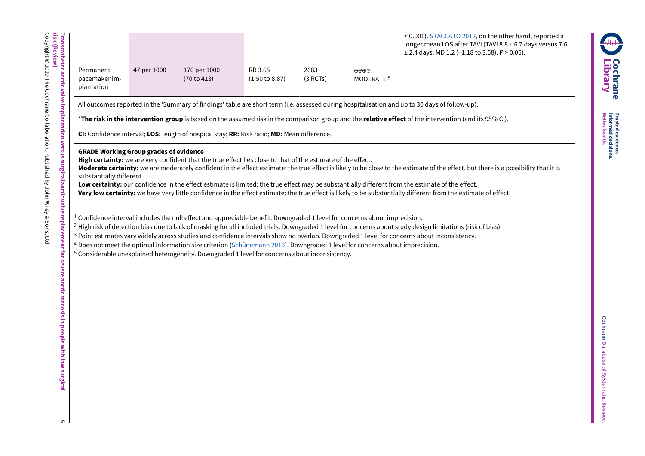|                                          |             |                             |                                      |                  |                                      | $\leq$ 0.001). STACCATO 2012, on the other hand, reported a<br>longer mean LOS after TAVI (TAVI 8.8 $\pm$ 6.7 days versus 7.6<br>$\pm$ 2.4 days, MD 1.2 (-1.18 to 3.58), P > 0.05). |
|------------------------------------------|-------------|-----------------------------|--------------------------------------|------------------|--------------------------------------|-------------------------------------------------------------------------------------------------------------------------------------------------------------------------------------|
| Permanent<br>pacemaker im-<br>plantation | 47 per 1000 | 170 per 1000<br>(70 to 413) | RR 3.65<br>$(1.50 \text{ to } 8.87)$ | 2683<br>(3 RCTs) | $\oplus \oplus \oplus$<br>MODERATE 5 |                                                                                                                                                                                     |

All outcomes reported in the 'Summary of findings' table are short term (i.e. assessed during hospitalisation and up to 30 days of follow-up).

\***The risk in the intervention group** is based on the assumed risk in the comparison group and the **relative effect** of the intervention (and its 95% CI).

**CI:** Confidence interval; **LOS:** length of hospital stay; **RR:** Risk ratio; **MD:** Mean difference.

# **GRADE Working Group grades of evidence**

**High certainty:** we are very confident that the true effect lies close to that of the estimate of the effect.

**Moderate certainty:** we are moderately confident in the effect estimate: the true effect is likely to be close to the estimate of the effect, but there is a possibility that it is substantially different.

**Low certainty:** our confidence in the effect estimate is limited: the true effect may be substantially different from the estimate of the effect.

**Very low certainty:** we have very little confidence in the effect estimate: the true effect is likely to be substantially different from the estimate of effect.

 $1$  Confidence interval includes the null effect and appreciable benefit. Downgraded 1 level for concerns about imprecision.

2 High risk of detection bias due to lack of masking for all included trials. Downgraded 1 level for concerns about study design limitations (risk of bias).

<sup>3</sup> Point estimates vary widely across studies and confidence intervals show no overlap. Downgraded 1 level for concerns about inconsistency.

4 Does not meet the optimal information size criterion [\(Schünemann 2013\)](#page-23-0). Downgraded 1 level for concerns about imprecision.

5 Considerable unexplained heterogeneity. Downgraded 1 level for concerns about inconsistency.

**Transcatheter**

**aortic**

**valve**

**implantation**

**versus**

**surgical**

**aortic**

**valve**

**replacement**

**for severe**

**aortic**

**stenosis in people**

> **with** <u>ि</u><br>इ

**surgical**

**C**

**Lib r a r y**

**o c hra n e**

**Trusted Better**

**Informed**

**decisions. health.**

**evidence.**

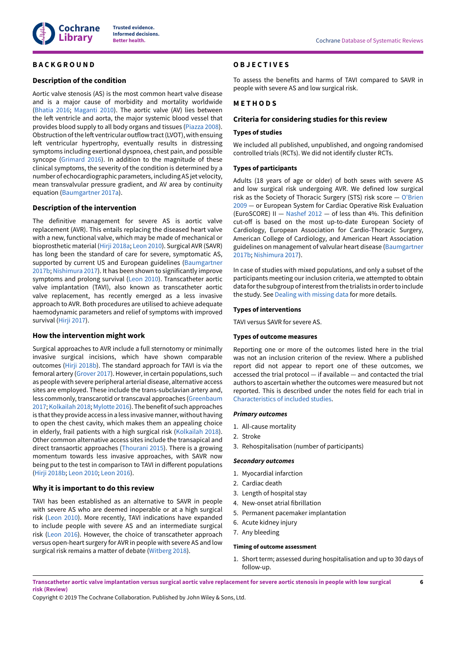

# <span id="page-8-0"></span>**B A C K G R O U N D**

### **Description of the condition**

Aortic valve stenosis (AS) is the most common heart valve disease and is a major cause of morbidity and mortality worldwide [\(Bhatia 2016](#page-22-0); [Maganti](#page-23-1) 2010). The aortic valve (AV) lies between the left ventricle and aorta, the major systemic blood vessel that provides blood supply to all body organs and tissues [\(Piazza](#page-23-2) 2008). Obstruction of the left ventricular outflow tract (LVOT), with ensuing left ventricular hypertrophy, eventually results in distressing symptoms including exertional dyspnoea, chest pain, and possible syncope ([Grimard](#page-22-1) 2016). In addition to the magnitude of these clinical symptoms, the severity of the condition is determined by a number of echocardiographic parameters, including AS jet velocity, mean transvalvular pressure gradient, and AV area by continuity equation ([Baumgartner](#page-22-2) 2017a).

### **Description of the intervention**

The definitive management for severe AS is aortic valve replacement (AVR). This entails replacing the diseased heart valve with a new, functional valve, which may be made of mechanical or bioprosthetic material [\(Hirji 2018a;](#page-23-3) [Leon](#page-23-4) 2010). Surgical AVR (SAVR) has long been the standard of care for severe, symptomatic AS, supported by current US and European guidelines ([Baumgartner](#page-22-3) [2017b](#page-22-3); [Nishimura](#page-23-5) 2017). It has been shown to significantly improve symptoms and prolong survival ([Leon](#page-23-4) 2010). Transcatheter aortic valve implantation (TAVI), also known as transcatheter aortic valve replacement, has recently emerged as a less invasive approach to AVR. Both procedures are utilised to achieve adequate haemodynamic parameters and relief of symptoms with improved survival [\(Hirji 2017\)](#page-22-4).

# **How the intervention might work**

Surgical approaches to AVR include a full sternotomy or minimally invasive surgical incisions, which have shown comparable outcomes ([Hirji 2018b\)](#page-23-6). The standard approach for TAVI is via the femoral artery ([Grover](#page-22-5) 2017). However, in certain populations, such as people with severe peripheral arterial disease, alternative access sites are employed. These include the trans-subclavian artery and, less commonly, transcarotid or transcaval approaches [\(Greenbaum](#page-22-6) [2017](#page-22-6); [Kolkailah](#page-23-7) 2018; [Mylotte](#page-23-8) 2016). The benefit of such approaches is that they provide access in a less invasive manner, without having to open the chest cavity, which makes them an appealing choice in elderly, frail patients with a high surgical risk ([Kolkailah](#page-23-7) 2018). Other common alternative access sites include the transapical and direct transaortic approaches [\(Thourani](#page-24-1) 2015). There is a growing momentum towards less invasive approaches, with SAVR now being put to the test in comparison to TAVI in different populations [\(Hirji 2018b;](#page-23-6) [Leon](#page-23-4) 2010; [Leon](#page-23-9) 2016).

# **Why it is important to do this review**

TAVI has been established as an alternative to SAVR in people with severe AS who are deemed inoperable or at a high surgical risk [\(Leon](#page-23-4) 2010). More recently, TAVI indications have expanded to include people with severe AS and an intermediate surgical risk ([Leon](#page-23-9) 2016). However, the choice of transcatheter approach versus open-heart surgery for AVR in people with severe AS and low surgical risk remains a matter of debate ([Witberg](#page-24-2) 2018).

# <span id="page-8-1"></span>**O B J E C T I V E S**

To assess the benefits and harms of TAVI compared to SAVR in people with severe AS and low surgical risk.

# <span id="page-8-2"></span>**M E T H O D S**

#### **Criteria for considering studies for this review**

#### **Types of studies**

We included all published, unpublished, and ongoing randomised controlled trials (RCTs). We did not identify cluster RCTs.

#### **Types of participants**

Adults (18 years of age or older) of both sexes with severe AS and low surgical risk undergoing AVR. We defined low surgical risk as the Society of Thoracic Surgery (STS) risk score — [O'Brien](#page-23-10) [2009](#page-23-10) — or European System for Cardiac Operative Risk Evaluation (EuroSCORE) II — [Nashef 2012](#page-23-11) — of less than 4%. This definition cut-off is based on the most up-to-date European Society of Cardiology, European Association for Cardio-Thoracic Surgery, American College of Cardiology, and American Heart Association guidelines on management of valvular heart disease ([Baumgartner](#page-22-3) [2017b;](#page-22-3) [Nishimura](#page-23-5) 2017).

In case of studies with mixed populations, and only a subset of the participants meeting our inclusion criteria, we attempted to obtain data for the subgroup of interest from the trialists in order to include the study. See Dealing with [missing](#page-11-0) data for more details.

#### **Types of interventions**

TAVI versus SAVR for severe AS.

#### <span id="page-8-3"></span>**Types of outcome measures**

Reporting one or more of the outcomes listed here in the trial was not an inclusion criterion of the review. Where a published report did not appear to report one of these outcomes, we accessed the trial protocol — if available — and contacted the trial authors to ascertain whether the outcomes were measured but not reported. This is described under the notes field for each trial in [Characteristics](#page-24-3) of included studies.

#### *Primary outcomes*

- 1. All-cause mortality
- 2. Stroke
- 3. Rehospitalisation (number of participants)

#### *Secondary outcomes*

- 1. Myocardial infarction
- 2. Cardiac death
- 3. Length of hospital stay
- 4. New-onset atrial fibrillation
- 5. Permanent pacemaker implantation
- 6. Acute kidney injury
- 7. Any bleeding

#### **Timing of outcome assessment**

1. Short term; assessed during hospitalisation and up to 30 days of follow-up.

Transcatheter aortic valve implantation versus surgical aortic valve replacement for severe aortic stenosis in people with low surgical **risk (Review)**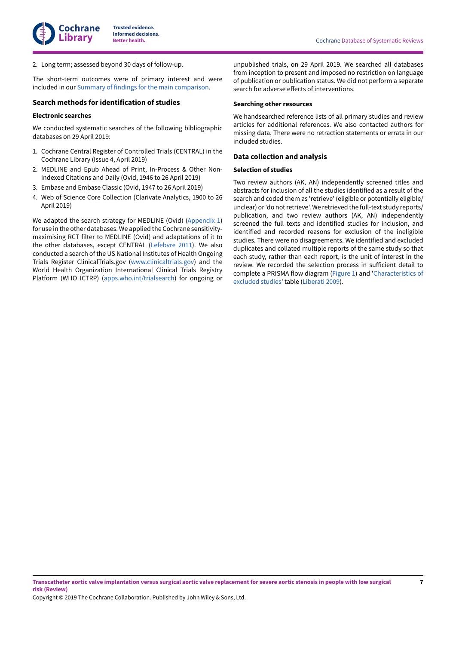2. Long term; assessed beyond 30 days of follow-up.

The short-term outcomes were of primary interest and were included in our Summary of findings for the main [comparison.](#page-6-1)

### **Search methods for identification of studies**

#### **Electronic searches**

We conducted systematic searches of the following bibliographic databases on 29 April 2019:

- 1. Cochrane Central Register of Controlled Trials (CENTRAL) in the Cochrane Library (Issue 4, April 2019)
- 2. MEDLINE and Epub Ahead of Print, In-Process & Other Non-Indexed Citations and Daily (Ovid, 1946 to 26 April 2019)
- 3. Embase and Embase Classic (Ovid, 1947 to 26 April 2019)
- 4. Web of Science Core Collection (Clarivate Analytics, 1900 to 26 April 2019)

We adapted the search strategy for MEDLINE (Ovid) [\(Appendix 1\)](#page-53-2) for use in the other databases. We applied the Cochrane sensitivitymaximising RCT filter to MEDLINE (Ovid) and adaptations of it to the other databases, except CENTRAL ([Lefebvre](#page-23-12) 2011). We also conducted a search of the US National Institutes of Health Ongoing Trials Register ClinicalTrials.gov ([www.clinicaltrials.gov](http://www.ClinicalTrials.gov)) and the World Health Organization International Clinical Trials Registry Platform (WHO ICTRP) ([apps.who.int/trialsearch\)](http://apps.who.int/trialsearch/) for ongoing or

unpublished trials, on 29 April 2019. We searched all databases from inception to present and imposed no restriction on language of publication or publication status. We did not perform a separate search for adverse effects of interventions.

#### **Searching other resources**

We handsearched reference lists of all primary studies and review articles for additional references. We also contacted authors for missing data. There were no retraction statements or errata in our included studies.

# **Data collection and analysis**

#### **Selection of studies**

Two review authors (AK, AN) independently screened titles and abstracts for inclusion of all the studies identified as a result of the search and coded them as 'retrieve' (eligible or potentially eligible/ unclear) or 'do not retrieve'. We retrieved the full-text study reports/ publication, and two review authors (AK, AN) independently screened the full texts and identified studies for inclusion, and identified and recorded reasons for exclusion of the ineligible studies. There were no disagreements. We identified and excluded duplicates and collated multiple reports of the same study so that each study, rather than each report, is the unit of interest in the review. We recorded the selection process in sufficient detail to complete a PRISMA flow diagram ([Figure](#page-10-0) 1) and '[Characteristics](#page-37-0) of [excluded](#page-37-0) studies' table [\(Liberati](#page-23-13) 2009).

Transcatheter aortic valve implantation versus surgical aortic valve replacement for severe aortic stenosis in people with low surgical **risk (Review)**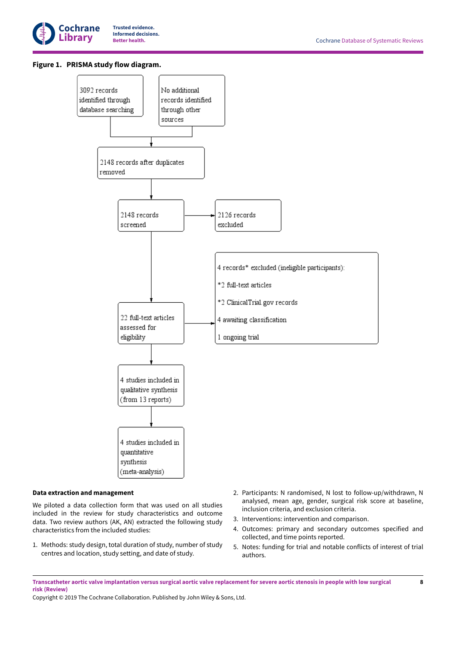

# <span id="page-10-0"></span>**Figure 1. PRISMA study flow diagram.**



#### **Data extraction and management**

We piloted a data collection form that was used on all studies included in the review for study characteristics and outcome data. Two review authors (AK, AN) extracted the following study characteristics from the included studies:

- 1. Methods: study design, total duration of study, number of study centres and location, study setting, and date of study.
- 2. Participants: N randomised, N lost to follow-up/withdrawn, N analysed, mean age, gender, surgical risk score at baseline, inclusion criteria, and exclusion criteria.
- 3. Interventions: intervention and comparison.
- 4. Outcomes: primary and secondary outcomes specified and collected, and time points reported.
- 5. Notes: funding for trial and notable conflicts of interest of trial authors.

Transcatheter aortic valve implantation versus surgical aortic valve replacement for severe aortic stenosis in people with low surgical **risk (Review)**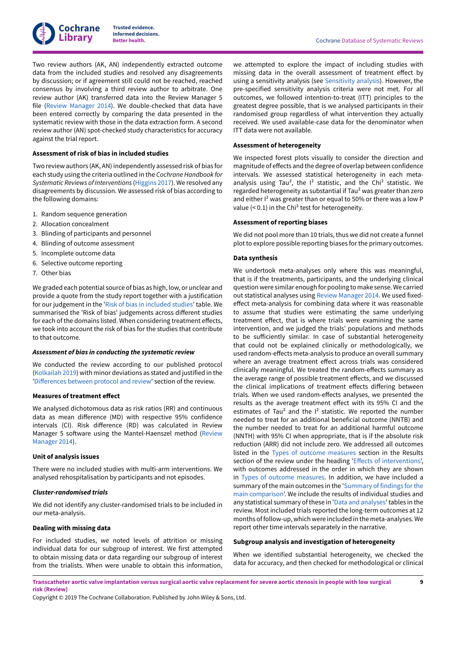

Two review authors (AK, AN) independently extracted outcome data from the included studies and resolved any disagreements by discussion; or if agreement still could not be reached, reached consensus by involving a third review author to arbitrate. One review author (AK) transferred data into the Review Manager 5 file (Review [Manager](#page-23-14) 2014). We double-checked that data have been entered correctly by comparing the data presented in the systematic review with those in the data extraction form. A second review author (AN) spot-checked study characteristics for accuracy against the trial report.

#### **Assessment of risk of bias in included studies**

Two review authors (AK, AN) independently assessed risk of bias for each study using the criteria outlined in the *Cochrane Handbook for Systematic Reviews of Interventions* [\(Higgins 2017\)](#page-22-7). We resolved any disagreements by discussion. We assessed risk of bias according to the following domains:

- 1. Random sequence generation
- 2. Allocation concealment
- 3. Blinding of participants and personnel
- 4. Blinding of outcome assessment
- 5. Incomplete outcome data
- 6. Selective outcome reporting
- 7. Other bias

We graded each potential source of bias as high, low, or unclear and provide a quote from the study report together with a justification for our judgement in the 'Risk of bias in [included](#page-13-0) studies' table. We summarised the 'Risk of bias' judgements across different studies for each of the domains listed. When considering treatment effects, we took into account the risk of bias for the studies that contribute to that outcome.

#### *Assessment of bias in conducting the systematic review*

We conducted the review according to our published protocol [\(Kolkailah](#page-24-4) 2019) with minor deviations as stated and justified in the 'Differences between protocol and review' section of the review.

#### **Measures of treatment effect**

We analysed dichotomous data as risk ratios (RR) and continuous data as mean difference (MD) with respective 95% confidence intervals (CI). Risk difference (RD) was calculated in Review Manager 5 software using the Mantel-Haenszel method ([Review](#page-23-14) [Manager](#page-23-14) 2014).

#### **Unit of analysis issues**

There were no included studies with multi-arm interventions. We analysed rehospitalisation by participants and not episodes.

#### *Cluster-randomised trials*

We did not identify any cluster-randomised trials to be included in our meta-analysis.

#### <span id="page-11-0"></span>**Dealing with missing data**

For included studies, we noted levels of attrition or missing individual data for our subgroup of interest. We first attempted to obtain missing data or data regarding our subgroup of interest from the trialists. When were unable to obtain this information,

we attempted to explore the impact of including studies with missing data in the overall assessment of treatment effect by using a sensitivity analysis (see [Sensitivity analysis\)](#page-12-1). However, the pre-specified sensitivity analysis criteria were not met. For all outcomes, we followed intention-to-treat (ITT) principles to the greatest degree possible, that is we analysed participants in their randomised group regardless of what intervention they actually received. We used available-case data for the denominator when ITT data were not available.

#### **Assessment of heterogeneity**

We inspected forest plots visually to consider the direction and magnitude of effects and the degree of overlap between confidence intervals. We assessed statistical heterogeneity in each metaanalysis using Tau<sup>2</sup>, the  $I^2$  statistic, and the Chi<sup>2</sup> statistic. We regarded heterogeneity as substantial if Tau<sup>2</sup> was greater than zero and either  $I<sup>2</sup>$  was greater than or equal to 50% or there was a low P value  $(< 0.1)$  in the Chi<sup>2</sup> test for heterogeneity.

#### **Assessment of reporting biases**

We did not pool more than 10 trials, thus we did not create a funnel plot to explore possible reporting biases for the primary outcomes.

#### **Data synthesis**

We undertook meta-analyses only where this was meaningful, that is if the treatments, participants, and the underlying clinical question were similar enough for pooling to make sense.We carried out statistical analyses using Review [Manager](#page-23-14) 2014. We used fixedeffect meta-analysis for combining data where it was reasonable to assume that studies were estimating the same underlying treatment effect, that is where trials were examining the same intervention, and we judged the trials' populations and methods to be sufficiently similar. In case of substantial heterogeneity that could not be explained clinically or methodologically, we used random-effects meta-analysis to produce an overall summary where an average treatment effect across trials was considered clinically meaningful. We treated the random-effects summary as the average range of possible treatment effects, and we discussed the clinical implications of treatment effects differing between trials. When we used random-effects analyses, we presented the results as the average treatment effect with its 95% CI and the estimates of Tau<sup>2</sup> and the  $I<sup>2</sup>$  statistic. We reported the number needed to treat for an additional beneficial outcome (NNTB) and the number needed to treat for an additional harmful outcome (NNTH) with 95% CI when appropriate, that is if the absolute risk reduction (ARR) did not include zero. We addressed all outcomes listed in the Types of outcome [measures](#page-8-3) section in the Results section of the review under the heading 'Effects of [interventions](#page-16-0)', with outcomes addressed in the order in which they are shown in Types of outcome [measures.](#page-8-3) In addition, we have included a summary of the main outcomes in the '[Summary](#page-6-1) of findings for the main [comparison](#page-6-1)'. We include the results of individual studies and any statistical summary of these in 'Data and [analyses](#page-45-0)' tables in the review. Most included trials reported the long-term outcomes at 12 months offollow-up, which were included in the meta-analyses.We report other time intervals separately in the narrative.

#### **Subgroup analysis and investigation of heterogeneity**

When we identified substantial heterogeneity, we checked the data for accuracy, and then checked for methodological or clinical

Transcatheter aortic valve implantation versus surgical aortic valve replacement for severe aortic stenosis in people with low surgical **risk (Review)**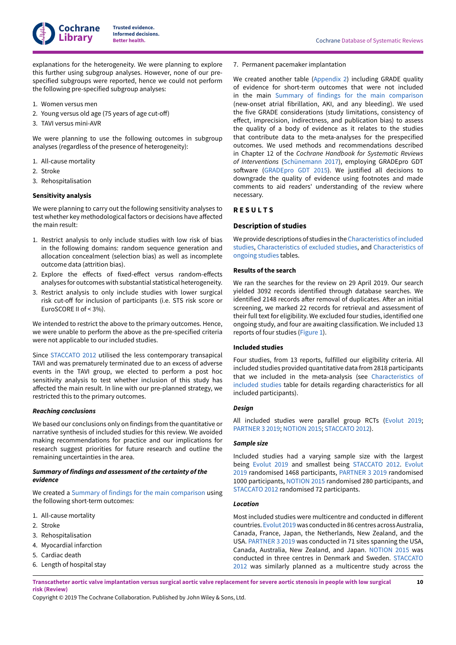

explanations for the heterogeneity. We were planning to explore this further using subgroup analyses. However, none of our prespecified subgroups were reported, hence we could not perform the following pre-specified subgroup analyses:

- 1. Women versus men
- 2. Young versus old age (75 years of age cut-off)
- 3. TAVI versus mini-AVR

We were planning to use the following outcomes in subgroup analyses (regardless of the presence of heterogeneity):

- 1. All-cause mortality
- 2. Stroke
- 3. Rehospitalisation

#### <span id="page-12-1"></span>**Sensitivity analysis**

We were planning to carry out the following sensitivity analyses to test whether key methodological factors or decisions have affected the main result:

- 1. Restrict analysis to only include studies with low risk of bias in the following domains: random sequence generation and allocation concealment (selection bias) as well as incomplete outcome data (attrition bias).
- 2. Explore the effects of fixed-effect versus random-effects analyses for outcomes with substantial statistical heterogeneity.
- 3. Restrict analysis to only include studies with lower surgical risk cut-off for inclusion of participants (i.e. STS risk score or EuroSCORE II of < 3%).

We intended to restrict the above to the primary outcomes. Hence, we were unable to perform the above as the pre-specified criteria were not applicable to our included studies.

Since [STACCATO](#page-21-4) 2012 utilised the less contemporary transapical TAVI and was prematurely terminated due to an excess of adverse events in the TAVI group, we elected to perform a post hoc sensitivity analysis to test whether inclusion of this study has affected the main result. In line with our pre-planned strategy, we restricted this to the primary outcomes.

#### *Reaching conclusions*

We based our conclusions only on findings from the quantitative or narrative synthesis of included studies for this review. We avoided making recommendations for practice and our implications for research suggest priorities for future research and outline the remaining uncertainties in the area.

### *Summary of findings and assessment of the certainty of the evidence*

We created a Summary of findings for the main [comparison](#page-6-1) using the following short-term outcomes:

- 1. All-cause mortality
- 2. Stroke
- 3. Rehospitalisation
- 4. Myocardial infarction
- 5. Cardiac death
- 6. Length of hospital stay

7. Permanent pacemaker implantation

We created another table ([Appendix 2\)](#page-56-0) including GRADE quality of evidence for short-term outcomes that were not included in the main Summary of findings for the main [comparison](#page-6-1) (new-onset atrial fibrillation, AKI, and any bleeding). We used the five GRADE considerations (study limitations, consistency of effect, imprecision, indirectness, and publication bias) to assess the quality of a body of evidence as it relates to the studies that contribute data to the meta-analyses for the prespecified outcomes. We used methods and recommendations described in Chapter 12 of the *Cochrane Handbook for Systematic Reviews of Interventions* [\(Schünemann 2017](#page-24-5)), employing GRADEpro GDT software [\(GRADEpro](#page-22-8) GDT 2015). We justified all decisions to downgrade the quality of evidence using footnotes and made comments to aid readers' understanding of the review where necessary.

# <span id="page-12-0"></span>**R E S U L T S**

### **Description of studies**

We provide descriptions of studies in the[Characteristics](#page-24-3) ofincluded [studies,](#page-24-3) [Characteristics](#page-37-0) of excluded studies, and [Characteristics](#page-44-0) of [ongoing](#page-44-0) studies tables.

#### **Results of the search**

We ran the searches for the review on 29 April 2019. Our search yielded 3092 records identified through database searches. We identified 2148 records after removal of duplicates. After an initial screening, we marked 22 records for retrieval and assessment of their full text for eligibility. We excluded four studies, identified one ongoing study, and four are awaiting classification. We included 13 reports of four studies ([Figure](#page-10-0) 1).

#### **Included studies**

Four studies, from 13 reports, fulfilled our eligibility criteria. All included studies provided quantitative data from 2818 participants that we included in the meta-analysis (see [Characteristics](#page-24-3) of [included](#page-24-3) studies table for details regarding characteristics for all included participants).

#### *Design*

All included studies were parallel group RCTs [\(Evolut](#page-21-5) 2019; [PARTNER](#page-21-6) 3 2019; [NOTION](#page-21-7) 2015; [STACCATO](#page-21-4) 2012).

# *Sample size*

Included studies had a varying sample size with the largest being [Evolut](#page-21-5) 2019 and smallest being [STACCATO](#page-21-4) 2012. [Evolut](#page-21-5) [2019](#page-21-5) randomised 1468 participants, [PARTNER](#page-21-6) 3 2019 randomised 1000 participants, [NOTION](#page-21-7) 2015 randomised 280 participants, and [STACCATO](#page-21-4) 2012 randomised 72 participants.

#### *Location*

Most included studies were multicentre and conducted in different countries. [Evolut](#page-21-5) 2019was conductedin 86 centres across Australia, Canada, France, Japan, the Netherlands, New Zealand, and the USA. [PARTNER](#page-21-6) 3 2019 was conducted in 71 sites spanning the USA, Canada, Australia, New Zealand, and Japan. [NOTION](#page-21-7) 2015 was conducted in three centres in Denmark and Sweden. [STACCATO](#page-21-4) [2012](#page-21-4) was similarly planned as a multicentre study across the

Transcatheter aortic valve implantation versus surgical aortic valve replacement for severe aortic stenosis in people with low surgical **risk (Review)**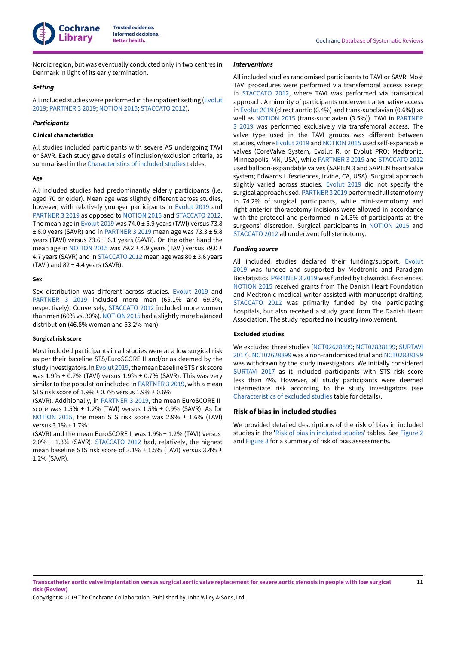

Nordic region, but was eventually conducted only in two centres in Denmark in light of its early termination.

#### *Setting*

All included studies were performed in the inpatient setting ([Evolut](#page-21-5) [2019](#page-21-5); [PARTNER](#page-21-6) 3 2019; [NOTION](#page-21-7) 2015; [STACCATO](#page-21-4) 2012).

#### *Participants*

#### **Clinical characteristics**

All studies included participants with severe AS undergoing TAVI or SAVR. Each study gave details of inclusion/exclusion criteria, as summarised in the [Characteristics](#page-24-3) of included studies tables.

#### **Age**

All included studies had predominantly elderly participants (i.e. aged 70 or older). Mean age was slightly different across studies, however, with relatively younger participants in [Evolut](#page-21-5) 2019 and [PARTNER](#page-21-6) 3 2019 as opposed to [NOTION](#page-21-7) 2015 and [STACCATO](#page-21-4) 2012. The mean age in [Evolut](#page-21-5) 2019 was  $74.0 \pm 5.9$  years (TAVI) versus  $73.8$  $\pm$  6.0 years (SAVR) and in [PARTNER](#page-21-6) 3 2019 mean age was 73.3  $\pm$  5.8 years (TAVI) versus 73.6  $\pm$  6.1 years (SAVR). On the other hand the mean age in [NOTION](#page-21-7) 2015 was 79.2  $\pm$  4.9 years (TAVI) versus 79.0  $\pm$ 4.7 years (SAVR) and in [STACCATO](#page-21-4) 2012 mean age was 80 ± 3.6 years (TAVI) and  $82 \pm 4.4$  years (SAVR).

#### **Sex**

Sex distribution was different across studies. [Evolut](#page-21-5) 2019 and [PARTNER](#page-21-6) 3 2019 included more men (65.1% and 69.3%, respectively). Conversely, [STACCATO](#page-21-4) 2012 included more women than men (60% vs. 30%). NOTION 2015 had a slightly more balanced distribution (46.8% women and 53.2% men).

#### **Surgical risk score**

Most included participants in all studies were at a low surgical risk as per their baseline STS/EuroSCORE II and/or as deemed by the study investigators. In [Evolut](#page-21-5) 2019, the mean baseline STS risk score was  $1.9\% \pm 0.7\%$  (TAVI) versus  $1.9\% \pm 0.7\%$  (SAVR). This was very similar to the population included in [PARTNER](#page-21-6) 3 2019, with a mean STS risk score of 1.9% ± 0.7% versus 1.9% ± 0.6%

(SAVR). Additionally, in [PARTNER](#page-21-6) 3 2019, the mean EuroSCORE II score was  $1.5\% \pm 1.2\%$  (TAVI) versus  $1.5\% \pm 0.9\%$  (SAVR). As for [NOTION](#page-21-7) 2015, the mean STS risk score was 2.9% ± 1.6% (TAVI) versus 3.1% ± 1.7%

(SAVR) and the mean EuroSCORE II was 1.9% ± 1.2% (TAVI) versus 2.0% ± 1.3% (SAVR). [STACCATO](#page-21-4) 2012 had, relatively, the highest mean baseline STS risk score of 3.1% ± 1.5% (TAVI) versus 3.4% ± 1.2% (SAVR).

#### *Interventions*

All included studies randomised participants to TAVI or SAVR. Most TAVI procedures were performed via transfemoral access except in [STACCATO](#page-21-4) 2012, where TAVI was performed via transapical approach. A minority of participants underwent alternative access in [Evolut](#page-21-5) 2019 (direct aortic (0.4%) and trans-subclavian (0.6%)) as well as [NOTION](#page-21-7) 2015 (trans-subclavian (3.5%)). TAVI in [PARTNER](#page-21-6) [3 2019](#page-21-6) was performed exclusively via transfemoral access. The valve type used in the TAVI groups was different between studies, where [Evolut](https://archie.cochrane.org/sections/documents/view?version=z1908260337467867572756444843732%26format=REVMAN#STD-Evolut-2019) 2019 and [NOTION](https://archie.cochrane.org/sections/documents/view?version=z1908260337467867572756444843732%26format=REVMAN#STD-NOTION-2015) 2015 used self-expandable valves (CoreValve System, Evolut R, or Evolut PRO; Medtronic, Minneapolis, MN, USA), while [PARTNER](https://archie.cochrane.org/sections/documents/view?version=z1908260337467867572756444843732%26format=REVMAN#STD-PARTNER-3-2019) 3 2019 and [STACCATO](#page-21-4) 2012 used balloon-expandable valves (SAPIEN 3 and SAPIEN heart valve system; Edwards Lifesciences, Irvine, CA, USA). Surgical approach slightly varied across studies. [Evolut](#page-21-5) 2019 did not specify the surgical approach used. PARTNER 3 2019 performed full sternotomy in 74.2% of surgical participants, while mini-sternotomy and right anterior thoracotomy incisions were allowed in accordance with the protocol and performed in 24.3% of participants at the surgeons' discretion. Surgical participants in [NOTION](#page-21-7) 2015 and [STACCATO](#page-21-4) 2012 all underwent full sternotomy.

#### *Funding source*

All included studies declared their funding/support. [Evolut](#page-21-5) [2019](#page-21-5) was funded and supported by Medtronic and Paradigm Biostatistics. [PARTNER](#page-21-6) 3 2019 was funded by Edwards Lifesciences. [NOTION](#page-21-7) 2015 received grants from The Danish Heart Foundation and Medtronic medical writer assisted with manuscript drafting. [STACCATO](#page-21-4) 2012 was primarily funded by the participating hospitals, but also received a study grant from The Danish Heart Association. The study reported no industry involvement.

#### **Excluded studies**

We excluded three studies [\(NCT02628899](#page-21-8); [NCT02838199](#page-21-9); [SURTAVI](#page-21-10) [2017\)](#page-21-10). [NCT02628899](#page-21-8) was a non-randomised trial and [NCT02838199](#page-21-9) was withdrawn by the study investigators. We initially considered [SURTAVI](#page-21-10) 2017 as it included participants with STS risk score less than 4%. However, all study participants were deemed intermediate risk according to the study investigators (see [Characteristics](#page-37-0) of excluded studies table for details).

#### <span id="page-13-0"></span>**Risk of bias in included studies**

We provided detailed descriptions of the risk of bias in included studies in the 'Risk of bias in [included](#page-13-0) studies' tables. See [Figure](#page-14-0) 2 and [Figure](#page-15-0) 3 for a summary of risk of bias assessments.

**11**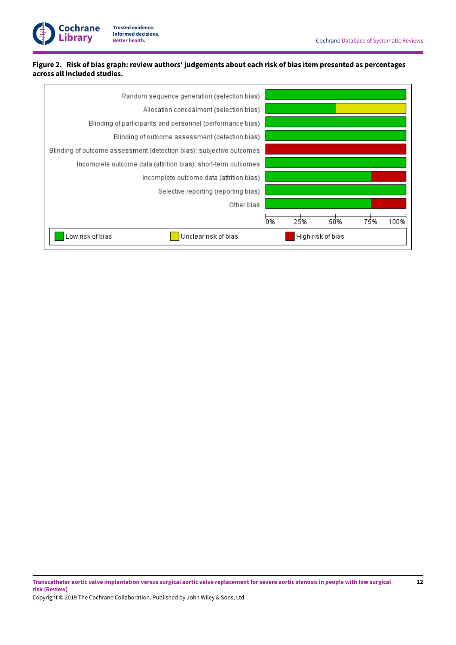

# <span id="page-14-0"></span>Figure 2. Risk of bias graph: review authors' judgements about each risk of bias item presented as percentages **across all included studies.**

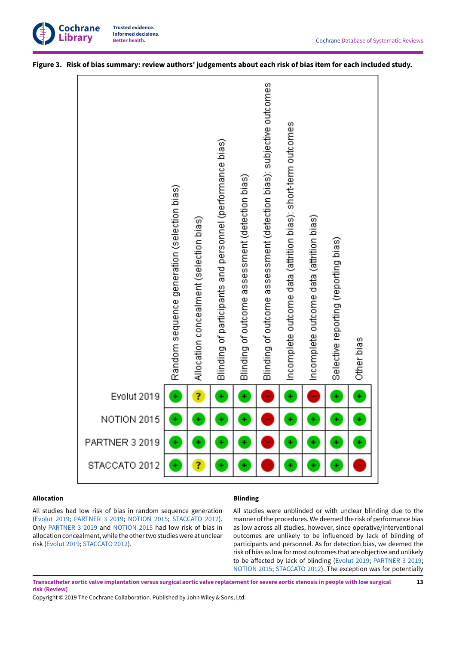

|                       | Random sequence generation (selection bias) | Allocation concealment (selection bias) | Blinding of participants and personnel (performance bias) | Blinding of outcome assessment (detection bias) | Blinding of outcome assessment (detection bias): subjective outcomes | Incomplete outcome data (attrition bias): short-term outcomes | Incomplete outcome data (attrition bias) | Selective reporting (reporting bias) |            |
|-----------------------|---------------------------------------------|-----------------------------------------|-----------------------------------------------------------|-------------------------------------------------|----------------------------------------------------------------------|---------------------------------------------------------------|------------------------------------------|--------------------------------------|------------|
|                       |                                             |                                         |                                                           |                                                 |                                                                      |                                                               |                                          |                                      | Other bias |
| Evolut 2019           |                                             | Ĩ,                                      | ٠                                                         | ÷                                               |                                                                      | ٠                                                             |                                          | ٠                                    | ÷          |
| NOTION 2015           |                                             |                                         |                                                           |                                                 |                                                                      |                                                               |                                          |                                      |            |
| <b>PARTNER 3 2019</b> |                                             |                                         |                                                           | ÷                                               |                                                                      |                                                               | ÷                                        |                                      | ٠          |

# <span id="page-15-0"></span>Figure 3. Risk of bias summary: review authors' judgements about each risk of bias item for each included study.

# **Allocation**

# **Blinding**

All studies had low risk of bias in random sequence generation [\(Evolut](#page-21-5) 2019; [PARTNER](#page-21-6) 3 2019; [NOTION](#page-21-7) 2015; [STACCATO](#page-21-4) 2012). Only [PARTNER](#page-21-6) 3 2019 and [NOTION](#page-21-7) 2015 had low risk of bias in allocation concealment, while the other two studies were at unclear risk ([Evolut](#page-21-5) 2019; [STACCATO](#page-21-4) 2012).

All studies were unblinded or with unclear blinding due to the manner of the procedures. We deemed the risk of performance bias as low across all studies, however, since operative/interventional outcomes are unlikely to be influenced by lack of blinding of participants and personnel. As for detection bias, we deemed the risk of bias as low for most outcomes that are objective and unlikely to be affected by lack of blinding ([Evolut](#page-21-5) 2019; [PARTNER](#page-21-6) 3 2019; [NOTION](#page-21-7) 2015; [STACCATO](#page-21-4) 2012). The exception was for potentially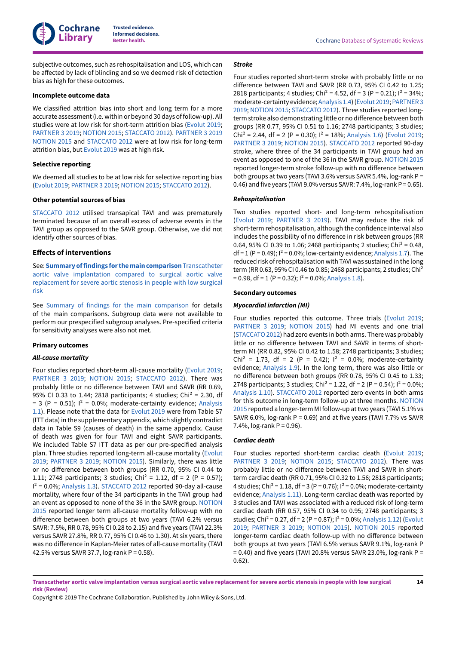**Cochrane Library**

**Trusted evidence. Informed decisions.**

subjective outcomes, such as rehospitalisation and LOS, which can be affected by lack of blinding and so we deemed risk of detection bias as high for these outcomes.

#### **Incomplete outcome data**

We classified attrition bias into short and long term for a more accurate assessment (i.e. within or beyond 30 days of follow-up). All studies were at low risk for short-term attrition bias [\(Evolut](#page-21-5) 2019; [PARTNER](#page-21-6) 3 2019; [NOTION](#page-21-7) 2015; [STACCATO](#page-21-4) 2012). [PARTNER](#page-21-6) 3 2019 [NOTION](#page-21-7) 2015 and [STACCATO](#page-21-4) 2012 were at low risk for long-term attrition bias, but [Evolut](#page-21-5) 2019 was at high risk.

#### **Selective reporting**

We deemed all studies to be at low risk for selective reporting bias [\(Evolut](#page-21-5) 2019; [PARTNER](#page-21-6) 3 2019; [NOTION](#page-21-7) 2015; [STACCATO](#page-21-4) 2012).

#### **Other potential sources of bias**

[STACCATO](#page-21-4) 2012 utilised transapical TAVI and was prematurely terminated because of an overall excess of adverse events in the TAVI group as opposed to the SAVR group. Otherwise, we did not identify other sources of bias.

#### <span id="page-16-0"></span>**Effects of interventions**

See: **Summaryoffindings [forthemaincomparison](#page-6-1)**Transcatheter aortic valve [implantation](#page-6-1) compared to surgical aortic valve [replacement](#page-6-1) for severe aortic stenosis in people with low surgical [risk](#page-6-1)

See Summary of findings for the main [comparison](#page-6-1) for details of the main comparisons. Subgroup data were not available to perform our prespecified subgroup analyses. Pre-specified criteria for sensitivity analyses were also not met.

#### **Primary outcomes**

#### *All-cause mortality*

Four studies reported short-term all-cause mortality [\(Evolut](#page-21-5) 2019; [PARTNER](#page-21-6) 3 2019; [NOTION](#page-21-7) 2015; [STACCATO](#page-21-4) 2012). There was probably little or no difference between TAVI and SAVR (RR 0.69, 95% CI 0.33 to 1.44; 2818 participants; 4 studies; Chi<sup>2</sup> = 2.30, df  $= 3$  (P = 0.51);  $I^2 = 0.0\%$ ; moderate-certainty evidence; [Analysis](#page-46-0) [1.1\)](#page-46-0). Please note that the data for [Evolut](#page-21-5) 2019 were from Table S7 (ITT data) in the supplementary appendix, which slightly contradict data in Table S9 (causes of death) in the same appendix. Cause of death was given for four TAVI and eight SAVR participants. We included Table S7 ITT data as per our pre-specified analysis plan. Three studies reported long-term all-cause mortality ([Evolut](#page-21-5) [2019](#page-21-5); [PARTNER](#page-21-6) 3 2019; [NOTION](#page-21-7) 2015). Similarly, there was little or no difference between both groups (RR 0.70, 95% CI 0.44 to 1.11; 2748 participants; 3 studies; Chi<sup>2</sup> = 1.12, df = 2 (P = 0.57);  $I^2$  = 0.0%; [Analysis 1.3\)](#page-47-1). [STACCATO](#page-21-4) 2012 reported 90-day all-cause mortality, where four of the 34 participants in the TAVI group had an event as opposed to none of the 36 in the SAVR group. [NOTION](#page-21-7) [2015](#page-21-7) reported longer term all-cause mortality follow-up with no difference between both groups at two years (TAVI 6.2% versus SAVR: 7.5%, RR 0.78, 95% CI 0.28 to 2.15) and five years (TAVI 22.3% versus SAVR 27.8%, RR 0.77, 95% CI 0.46 to 1.30). At six years, there was no difference in Kaplan-Meier rates of all-cause mortality (TAVI 42.5% versus SAVR 37.7, log-rank P = 0.58).

#### *Stroke*

Four studies reported short-term stroke with probably little or no difference between TAVI and SAVR (RR 0.73, 95% CI 0.42 to 1.25; 2818 participants; 4 studies; Chi<sup>2</sup> = 4.52, df = 3 (P = 0.21);  $1^2$  = 34%; moderate-certainty evidence;[Analysis 1.4\)](#page-47-2) ([Evolut](#page-21-5) 2019; [PARTNER3](#page-21-6) [2019;](#page-21-6) [NOTION](#page-21-7) 2015; [STACCATO](#page-21-4) 2012). Three studies reported longterm stroke also demonstrating little or no difference between both groups (RR 0.77, 95% CI 0.51 to 1.16; 2748 participants; 3 studies; Chi<sup>2</sup> = 2.44, df = 2 (P = 0.30);  $1^2$  = 18%; [Analysis 1.6\)](#page-48-1) ([Evolut](#page-21-5) 2019; [PARTNER](#page-21-6) 3 2019; [NOTION](#page-21-7) 2015). [STACCATO](#page-21-4) 2012 reported 90-day stroke, where three of the 34 participants in TAVI group had an event as opposed to one of the 36 in the SAVR group. [NOTION](#page-21-7) 2015 reported longer-term stroke follow-up with no difference between both groups at two years (TAVI 3.6% versus SAVR 5.4%, log-rank P = 0.46) and five years (TAVI 9.0% versus SAVR:  $7.4\%$ , log-rank P = 0.65).

#### *Rehospitalisation*

Two studies reported short- and long-term rehospitalisation [\(Evolut](#page-21-5) 2019; [PARTNER](#page-21-6) 3 2019). TAVI may reduce the risk of short-term rehospitalisation, although the confidence interval also includes the possibility of no difference in risk between groups (RR 0.64, 95% CI 0.39 to 1.06; 2468 participants; 2 studies; Chi<sup>2</sup> = 0.48,  $df = 1 (P = 0.49);$   $1^2 = 0.0\%$ ; low-certainty evidence; [Analysis 1.7\)](#page-49-0). The reduced risk of rehospitalisation with TAVI was sustained in the long term (RR 0.63, 95% CI 0.46 to 0.85; 2468 participants; 2 studies; Chi2  $= 0.98$ , df = 1 (P = 0.32);  $1^2 = 0.0\%$ ; [Analysis 1.8\)](#page-49-1).

#### **Secondary outcomes**

### *Myocardial infarction (MI)*

Four studies reported this outcome. Three trials [\(Evolut](#page-21-5) 2019; [PARTNER](#page-21-6) 3 2019; [NOTION](#page-21-7) 2015) had MI events and one trial (STACCATO 2012) had zero events in both arms. There was probably little or no difference between TAVI and SAVR in terms of shortterm MI (RR 0.82, 95% CI 0.42 to 1.58; 2748 participants; 3 studies; Chi<sup>2</sup> = 1.73, df = 2 (P = 0.42);  $I^2$  = 0.0%; moderate-certainty evidence; [Analysis 1.9\)](#page-49-2). In the long term, there was also little or no difference between both groups (RR 0.78, 95% CI 0.45 to 1.33; 2748 participants; 3 studies; Chi<sup>2</sup> = 1.22, df = 2 (P = 0.54);  $1^2$  = 0.0%; [Analysis 1.10\)](#page-50-0). [STACCATO](#page-21-4) 2012 reported zero events in both arms for this outcome in long-term follow-up at three months. [NOTION](#page-21-7) [2015](#page-21-7) reported a longer-term MI follow-up at two years (TAVI 5.1% vs SAVR 6.0%,  $log-rank P = 0.69$ ) and at five years (TAVI 7.7% vs SAVR  $7.4\%$ , log-rank P = 0.96).

#### *Cardiac death*

Four studies reported short-term cardiac death ([Evolut](#page-21-5) 2019; [PARTNER](#page-21-6) 3 2019; [NOTION](#page-21-7) 2015; [STACCATO](#page-21-4) 2012). There was probably little or no difference between TAVI and SAVR in shortterm cardiac death (RR 0.71, 95% CI 0.32 to 1.56; 2818 participants; 4 studies; Chi<sup>2</sup> = 1.18, df = 3 (P = 0.76);  $1^2$  = 0.0%; moderate-certainty evidence; [Analysis 1.11\)](#page-50-1). Long-term cardiac death was reported by 3 studies and TAVI was associated with a reduced risk of long-term cardiac death (RR 0.57, 95% CI 0.34 to 0.95; 2748 participants; 3 studies; Chi<sup>2</sup> = 0.27, df = 2 (P = 0.87);  $I^2$  = 0.0%; [Analysis 1.12\)](#page-50-2) ([Evolut](#page-21-5) [2019;](#page-21-5) [PARTNER](#page-21-6) 3 2019; [NOTION](#page-21-7) 2015). [NOTION](#page-21-7) 2015 reported longer-term cardiac death follow-up with no difference between both groups at two years (TAVI 6.5% versus SAVR 9.1%, log-rank P  $= 0.40$ ) and five years (TAVI 20.8% versus SAVR 23.0%, log-rank P = 0.62).

Transcatheter aortic valve implantation versus surgical aortic valve replacement for severe aortic stenosis in people with low surgical **risk (Review)**

Copyright © 2019 The Cochrane Collaboration. Published by John Wiley & Sons, Ltd.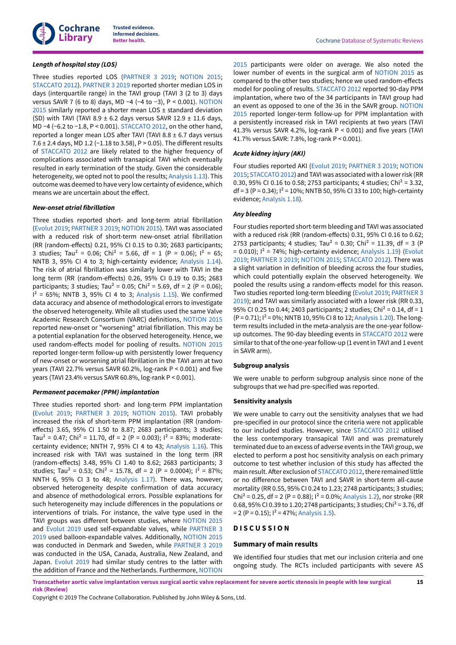

# *Length of hospital stay (LOS)*

Three studies reported LOS ([PARTNER](#page-21-6) 3 2019; [NOTION](#page-21-7) 2015; [STACCATO](#page-21-4) 2012). [PARTNER](#page-21-6) 3 2019 reported shorter median LOS in days (interquartile range) in the TAVI group (TAVI 3 (2 to 3) days versus SAVR 7 (6 to 8) days, MD −4 (−4 to −3), P < 0.001). [NOTION](#page-21-7)  $2015$  similarly reported a shorter mean LOS  $\pm$  standard deviation (SD) with TAVI (TAVI 8.9  $\pm$  6.2 days versus SAVR 12.9  $\pm$  11.6 days, MD −4 (−6.2 to −1.8, P < 0.001). [STACCATO](#page-21-4) 2012, on the other hand, reported a longer mean LOS after TAVI (TAVI 8.8  $\pm$  6.7 days versus 7.6  $\pm$  2.4 days, MD 1.2 (−1.18 to 3.58), P > 0.05). The different results of [STACCATO](#page-21-4) 2012 are likely related to the higher frequency of complications associated with transapical TAVI which eventually resulted in early termination of the study. Given the considerable heterogeneity, we opted not to pool the results; [Analysis 1.13](#page-51-0)). This outcome was deemed to have very low certainty of evidence, which means we are uncertain about the effect.

#### *New-onset atrial fibrillation*

Three studies reported short- and long-term atrial fibrillation [\(Evolut](#page-21-5) 2019; [PARTNER](#page-21-6) 3 2019; [NOTION](#page-21-7) 2015). TAVI was associated with a reduced risk of short-term new-onset atrial fibrillation (RR (random-effects) 0.21, 95% CI 0.15 to 0.30; 2683 participants; 3 studies; Tau<sup>2</sup> = 0.06; Chi<sup>2</sup> = 5.66, df = 1 (P = 0.06);  $1^2$  = 65; NNTB 3, 95% CI 4 to 3; high-certainty evidence; [Analysis 1.14\)](#page-51-1). The risk of atrial fibrillation was similarly lower with TAVI in the long term (RR (random-effects) 0.26, 95% CI 0.19 to 0.35; 2683 participants; 3 studies; Tau<sup>2</sup> = 0.05; Chi<sup>2</sup> = 5.69, df = 2 (P = 0.06);  $I^2 = 65\%$ ; NNTB 3, 95% CI 4 to 3; [Analysis 1.15](#page-51-2)). We confirmed data accuracy and absence of methodological errors to investigate the observed heterogeneity. While all studies used the same Valve Academic Research Consortium (VARC) definitions, [NOTION](#page-21-7) 2015 reported new-onset or "worsening" atrial fibrillation. This may be a potential explanation for the observed heterogeneity. Hence, we used random-effects model for pooling of results. [NOTION](#page-21-7) 2015 reported longer-term follow-up with persistently lower frequency of new-onset or worsening atrial fibrillation in the TAVI arm at two years (TAVI 22.7% versus SAVR 60.2%, log-rank P < 0.001) and five years (TAVI 23.4% versus SAVR 60.8%, log-rank P < 0.001).

#### *Permanent pacemaker (PPM) implantation*

Three studies reported short- and long-term PPM implantation [\(Evolut](#page-21-5) 2019; [PARTNER](#page-21-6) 3 2019; [NOTION](#page-21-7) 2015). TAVI probably increased the risk of short-term PPM implantation (RR (randomeffects) 3.65, 95% CI 1.50 to 8.87; 2683 participants; 3 studies; Tau<sup>2</sup> = 0.47; Chi<sup>2</sup> = 11.70, df = 2 (P = 0.003);  $1^2$  = 83%; moderatecertainty evidence; NNTH 7, 95% CI 4 to 43; [Analysis 1.16\)](#page-51-3). This increased risk with TAVI was sustained in the long term (RR (random-effects) 3.48, 95% CI 1.40 to 8.62; 2683 participants; 3 studies; Tau<sup>2</sup> = 0.53; Chi<sup>2</sup> = 15.78, df = 2 (P = 0.0004);  $1^2$  = 87%; NNTH 6, 95% CI 3 to 48; [Analysis 1.17\)](#page-52-0). There was, however, observed heterogeneity despite confirmation of data accuracy and absence of methodological errors. Possible explanations for such heterogeneity may include differences in the populations or interventions of trials. For instance, the valve type used in the TAVI groups was different between studies, where [NOTION](#page-21-7) 2015 and [Evolut](#page-21-5) 2019 used self-expandable valves, while [PARTNER](#page-21-6) 3 [2019](#page-21-6) used balloon-expandable valves. Additionally, [NOTION](#page-21-7) 2015 was conducted in Denmark and Sweden, while [PARTNER](#page-21-6) 3 2019 was conducted in the USA, Canada, Australia, New Zealand, and Japan. [Evolut](#page-21-5) 2019 had similar study centres to the latter with the addition of France and the Netherlands. Furthermore, [NOTION](#page-21-7)

[2015](#page-21-7) participants were older on average. We also noted the lower number of events in the surgical arm of [NOTION](#page-21-7) 2015 as compared to the other two studies; hence we used random-effects model for pooling of results. [STACCATO](#page-21-4) 2012 reported 90-day PPM implantation, where two of the 34 participants in TAVI group had an event as opposed to one of the 36 in the SAVR group. [NOTION](#page-21-7) [2015](#page-21-7) reported longer-term follow-up for PPM implantation with a persistently increased risk in TAVI recipients at two years (TAVI 41.3% versus SAVR 4.2%, log-rank P < 0.001) and five years (TAVI 41.7% versus SAVR: 7.8%, log-rank P < 0.001).

#### *Acute kidney injury (AKI)*

Four studies reported AKI ([Evolut](#page-21-5) 2019; [PARTNER](#page-21-6) 3 2019; [NOTION](#page-21-7) [2015;](#page-21-7) STACCATO 2012) and TAVI was associated with a lower risk (RR 0.30, 95% CI 0.16 to 0.58; 2753 participants; 4 studies; Chi<sup>2</sup> = 3.32, df = 3 (P = 0.34);  $1^2$  = 10%; NNTB 50, 95% CI 33 to 100; high-certainty evidence; [Analysis 1.18\)](#page-52-1).

#### *Any bleeding*

Four studies reported short-term bleeding and TAVI was associated with a reduced risk (RR (random-effects) 0.31, 95% CI 0.16 to 0.62; 2753 participants; 4 studies; Tau<sup>2</sup> = 0.30; Chi<sup>2</sup> = 11.39, df = 3 (P  $= 0.010$ ;  $I^2 = 74\%$ ; high-certainty evidence; [Analysis 1.19\)](#page-52-2) ([Evolut](#page-21-5) [2019;](#page-21-5) [PARTNER](#page-21-6) 3 2019; [NOTION](#page-21-7) 2015; [STACCATO](#page-21-4) 2012). There was a slight variation in definition of bleeding across the four studies, which could potentially explain the observed heterogeneity. We pooled the results using a random-effects model for this reason. Two studies reported long-term bleeding [\(Evolut](#page-21-5) 2019; [PARTNER](#page-21-6) 3 [2019\)](#page-21-6); and TAVI was similarly associated with a lower risk (RR 0.33, 95% CI 0.25 to 0.44; 2403 participants; 2 studies; Chi<sup>2</sup> = 0.14, df = 1  $(P = 0.71)$ ;  $I^2 = 0\%$ ; NNTB 10, 95% CI 8 to 12; [Analysis 1.20\)](#page-53-0). The longterm results included in the meta-analysis are the one-year followup outcomes. The 90-day bleeding events in [STACCATO](#page-21-4) 2012 were similar to that of the one-year follow-up (1 event in TAVI and 1 event in SAVR arm).

#### **Subgroup analysis**

We were unable to perform subgroup analysis since none of the subgroups that we had pre-specified was reported.

#### **Sensitivity analysis**

We were unable to carry out the sensitivity analyses that we had pre-specified in our protocol since the criteria were not applicable to our included studies. However, since [STACCATO](#page-21-4) 2012 utilised the less contemporary transapical TAVI and was prematurely terminated due to an excess of adverse events in the TAVI group, we elected to perform a post hoc sensitivity analysis on each primary outcome to test whether inclusion of this study has affected the main result. After exclusion of STACCATO 2012, there remained little or no difference between TAVI and SAVR in short-term all-cause mortality (RR 0.55, 95% CI 0.24 to 1.23; 2748 participants; 3 studies; Chi<sup>2</sup> = 0.25, df = 2 (P = 0.88);  $I^2$  = 0.0%; [Analysis 1.2](#page-47-0)), nor stroke (RR 0.68, 95% CI 0.39 to 1.20; 2748 participants; 3 studies; Chi<sup>2</sup> = 3.76, df  $= 2 (P = 0.15);$   $1^2 = 47\%;$  [Analysis 1.5](#page-48-0)).

#### <span id="page-17-0"></span>**D I S C U S S I O N**

#### **Summary of main results**

We identified four studies that met our inclusion criteria and one ongoing study. The RCTs included participants with severe AS

Transcatheter aortic valve implantation versus surgical aortic valve replacement for severe aortic stenosis in people with low surgical **risk (Review)**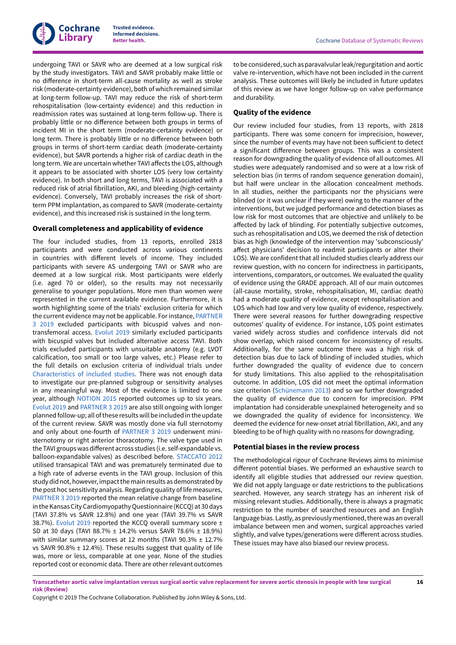

undergoing TAVI or SAVR who are deemed at a low surgical risk by the study investigators. TAVI and SAVR probably make little or no difference in short-term all-cause mortality as well as stroke risk (moderate-certainty evidence), both of which remained similar at long-term follow-up. TAVI may reduce the risk of short-term rehospitalisation (low-certainty evidence) and this reduction in readmission rates was sustained at long-term follow-up. There is probably little or no difference between both groups in terms of incident MI in the short term (moderate-certainty evidence) or long term. There is probably little or no difference between both groups in terms of short-term cardiac death (moderate-certainty evidence), but SAVR portends a higher risk of cardiac death in the long term. We are uncertain whether TAVI affects the LOS, although it appears to be associated with shorter LOS (very low certainty evidence). In both short and long terms, TAVI is associated with a reduced risk of atrial fibrillation, AKI, and bleeding (high-certainty evidence). Conversely, TAVI probably increases the risk of shortterm PPM implantation, as compared to SAVR (moderate-certainty evidence), and this increased risk is sustained in the long term.

### **Overall completeness and applicability of evidence**

The four included studies, from 13 reports, enrolled 2818 participants and were conducted across various continents in countries with different levels of income. They included participants with severe AS undergoing TAVI or SAVR who are deemed at a low surgical risk. Most participants were elderly (i.e. aged 70 or older), so the results may not necessarily generalise to younger populations. More men than women were represented in the current available evidence. Furthermore, it is worth highlighting some of the trials' exclusion criteria for which the current evidence may not be applicable. Forinstance, [PARTNER](#page-21-6) [3 2019](#page-21-6) excluded participants with bicuspid valves and nontransfemoral access. [Evolut](#page-21-5) 2019 similarly excluded participants with bicuspid valves but included alternative access TAVI. Both trials excluded participants with unsuitable anatomy (e.g. LVOT calcification, too small or too large valves, etc.) Please refer to the full details on exclusion criteria of individual trials under [Characteristics](#page-24-3) of included studies. There was not enough data to investigate our pre-planned subgroup or sensitivity analyses in any meaningful way. Most of the evidence is limited to one year, although [NOTION](#page-21-7) 2015 reported outcomes up to six years. [Evolut](#page-21-5) 2019 and [PARTNER](#page-21-6) 3 2019 are also still ongoing with longer planned follow-up; all ofthese results will be included in the update of the current review. SAVR was mostly done via full sternotomy and only about one-fourth of [PARTNER](#page-21-6) 3 2019 underwent ministernotomy or right anterior thoracotomy. The valve type used in the TAVI groups was different across studies (i.e. self-expandable vs. balloon-expandable valves) as described before. [STACCATO](#page-21-4) 2012 utilised transapical TAVI and was prematurely terminated due to a high rate of adverse events in the TAVI group. Inclusion of this study did not, however, impact the main results as demonstrated by the post hoc sensitivity analysis. Regarding quality of life measures, [PARTNER](#page-21-6) 3 2019 reported the mean relative change from baseline in the Kansas City Cardiomyopathy Questionnaire (KCCQ) at 30 days (TAVI 37.8% vs SAVR 12.8%) and one year (TAVI 39.7% vs SAVR 38.7%). [Evolut](#page-21-5) 2019 reported the KCCQ overall summary score ± SD at 30 days (TAVI 88.7% ± 14.2% versus SAVR 78.6% ± 18.9%) with similar summary scores at 12 months (TAVI 90.3% ± 12.7% vs SAVR 90.8%  $\pm$  12.4%). These results suggest that quality of life was, more or less, comparable at one year. None of the studies reported cost or economic data. There are other relevant outcomes

to be considered, such as paravalvular leak/regurgitation and aortic valve re-intervention, which have not been included in the current analysis. These outcomes will likely be included in future updates of this review as we have longer follow-up on valve performance and durability.

### **Quality of the evidence**

Our review included four studies, from 13 reports, with 2818 participants. There was some concern for imprecision, however, since the number of events may have not been sufficient to detect a significant difference between groups. This was a consistent reason for downgrading the quality of evidence of all outcomes. All studies were adequately randomised and so were at a low risk of selection bias (in terms of random sequence generation domain), but half were unclear in the allocation concealment methods. In all studies, neither the participants nor the physicians were blinded (or it was unclear if they were) owing to the manner of the interventions, but we judged performance and detection biases as low risk for most outcomes that are objective and unlikely to be affected by lack of blinding. For potentially subjective outcomes, such as rehospitalisation and LOS, we deemed the risk of detection bias as high (knowledge of the intervention may 'subconsciously' affect physicians' decision to readmit participants or alter their LOS). We are confident that all included studies clearly address our review question, with no concern for indirectness in participants, interventions, comparators, or outcomes. We evaluated the quality of evidence using the GRADE approach. All of our main outcomes (all-cause mortality, stroke, rehospitalisation, MI, cardiac death) had a moderate quality of evidence, except rehospitalisation and LOS which had low and very low quality of evidence, respectively. There were several reasons for further downgrading respective outcomes' quality of evidence. For instance, LOS point estimates varied widely across studies and confidence intervals did not show overlap, which raised concern for inconsistency of results. Additionally, for the same outcome there was a high risk of detection bias due to lack of blinding of included studies, which further downgraded the quality of evidence due to concern for study limitations. This also applied to the rehospitalisation outcome. In addition, LOS did not meet the optimal information size criterion ([Schünemann 2013](#page-23-15)) and so we further downgraded the quality of evidence due to concern for imprecision. PPM implantation had considerable unexplained heterogeneity and so we downgraded the quality of evidence for inconsistency. We deemed the evidence for new-onset atrial fibrillation, AKI, and any bleeding to be of high quality with no reasons for downgrading.

#### **Potential biases in the review process**

The methodological rigour of Cochrane Reviews aims to minimise different potential biases. We performed an exhaustive search to identify all eligible studies that addressed our review question. We did not apply language or date restrictions to the publications searched. However, any search strategy has an inherent risk of missing relevant studies. Additionally, there is always a pragmatic restriction to the number of searched resources and an English language bias. Lastly, as previously mentioned, there was an overall imbalance between men and women, surgical approaches varied slightly, and valve types/generations were different across studies. These issues may have also biased our review process.

Transcatheter aortic valve implantation versus surgical aortic valve replacement for severe aortic stenosis in people with low surgical **risk (Review)**

Copyright © 2019 The Cochrane Collaboration. Published by John Wiley & Sons, Ltd.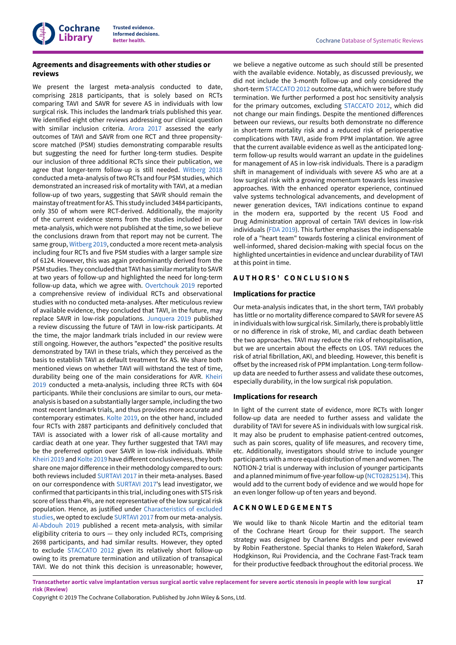

# **Agreements and disagreements with other studies or reviews**

We present the largest meta-analysis conducted to date, comprising 2818 participants, that is solely based on RCTs comparing TAVI and SAVR for severe AS in individuals with low surgical risk. This includes the landmark trials published this year. We identified eight other reviews addressing our clinical question with similar inclusion criteria. [Arora](#page-22-9) 2017 assessed the early outcomes of TAVI and SAVR from one RCT and three propensityscore matched (PSM) studies demonstrating comparable results but suggesting the need for further long-term studies. Despite our inclusion of three additional RCTs since their publication, we agree that longer-term follow-up is still needed. [Witberg](#page-24-2) 2018 conducted a meta-analysis oftwo RCTs and four PSM studies, which demonstrated an increased risk of mortality with TAVI, at a median follow-up of two years, suggesting that SAVR should remain the mainstay of treatment for AS. This study included 3484 participants, only 350 of whom were RCT-derived. Additionally, the majority of the current evidence stems from the studies included in our meta-analysis, which were not published at the time, so we believe the conclusions drawn from that report may not be current. The same group, [Witberg](#page-24-6) 2019, conducted a more recent meta-analysis including four RCTs and five PSM studies with a larger sample size of 6124. However, this was again predominantly derived from the PSM studies. They concluded that TAVI has similar mortality to SAVR at two years of follow-up and highlighted the need for long-term follow-up data, which we agree with. [Overtchouk](#page-23-16) 2019 reported a comprehensive review of individual RCTs and observational studies with no conducted meta-analyses. After meticulous review of available evidence, they concluded that TAVI, in the future, may replace SAVR in low-risk populations. [Junquera](#page-23-17) 2019 published a review discussing the future of TAVI in low-risk participants. At the time, the major landmark trials included in our review were still ongoing. However, the authors "expected" the positive results demonstrated by TAVI in these trials, which they perceived as the basis to establish TAVI as default treatment for AS. We share both mentioned views on whether TAVI will withstand the test of time, durability being one of the main considerations for AVR. [Kheiri](#page-23-18) [2019](#page-23-18) conducted a meta-analysis, including three RCTs with 604 participants. While their conclusions are similar to ours, our metaanalysis is based on a substantially larger sample, including the two most recent landmark trials, and thus provides more accurate and contemporary estimates. [Kolte](#page-23-19) 2019, on the other hand, included four RCTs with 2887 participants and definitively concluded that TAVI is associated with a lower risk of all-cause mortality and cardiac death at one year. They further suggested that TAVI may be the preferred option over SAVR in low-risk individuals. While [Kheiri 2019](#page-23-18) and [Kolte](#page-23-19) 2019 have different conclusiveness, they both share one major difference in their methodology compared to ours: both reviews included [SURTAVI](#page-21-10) 2017 in their meta-analyses. Based on our correspondence with [SURTAVI](#page-21-10) 2017's lead investigator, we confirmed that participants in this trial, including ones with STS risk score of less than 4%, are not representative of the low surgical risk population. Hence, as justified under [Characteristics](#page-37-0) of excluded [studies](#page-37-0), we opted to exclude [SURTAVI](#page-21-10) 2017 from our meta-analysis. [Al-Abdouh 2019](#page-22-10) published a recent meta-analysis, with similar eligibility criteria to ours — they only included RCTs, comprising 2698 participants, and had similar results. However, they opted to exclude [STACCATO](#page-21-4) 2012 given its relatively short follow-up owing to its premature termination and utilization of transapical TAVI. We do not think this decision is unreasonable; however,

we believe a negative outcome as such should still be presented with the available evidence. Notably, as discussed previously, we did not include the 3-month follow-up and only considered the short-term [STACCATO](#page-21-4) 2012 outcome data, which were before study termination. We further performed a post hoc sensitivity analysis for the primary outcomes, excluding [STACCATO](#page-21-4) 2012, which did not change our main findings. Despite the mentioned differences between our reviews, our results both demonstrate no difference in short-term mortality risk and a reduced risk of perioperative complications with TAVI, aside from PPM implantation. We agree that the current available evidence as well as the anticipated longterm follow-up results would warrant an update in the guidelines for management of AS in low-risk individuals. There is a paradigm shift in management of individuals with severe AS who are at a low surgical risk with a growing momentum towards less invasive approaches. With the enhanced operator experience, continued valve systems technological advancements, and development of newer generation devices, TAVI indications continue to expand in the modern era, supported by the recent US Food and Drug Administration approval of certain TAVI devices in low-risk individuals (FDA [2019\)](#page-22-11). This further emphasises the indispensable role of a "heart team" towards fostering a clinical environment of well-informed, shared decision-making with special focus on the highlighted uncertainties in evidence and unclear durability of TAVI at this point in time.

### <span id="page-19-0"></span>**A U T H O R S ' C O N C L U S I O N S**

#### **Implications for practice**

Our meta-analysis indicates that, in the short term, TAVI probably has little or no mortality difference compared to SAVR for severe AS in individuals with low surgical risk. Similarly, there is probably little or no difference in risk of stroke, MI, and cardiac death between the two approaches. TAVI may reduce the risk of rehospitalisation, but we are uncertain about the effects on LOS. TAVI reduces the risk of atrial fibrillation, AKI, and bleeding. However, this benefit is offset by the increased risk of PPM implantation. Long-term followup data are needed to further assess and validate these outcomes, especially durability, in the low surgical risk population.

#### **Implications for research**

In light of the current state of evidence, more RCTs with longer follow-up data are needed to further assess and validate the durability of TAVI for severe AS in individuals with low surgical risk. It may also be prudent to emphasise patient-centred outcomes, such as pain scores, quality of life measures, and recovery time, etc. Additionally, investigators should strive to include younger participants with a more equal distribution of men and women. The NOTION-2 trial is underway with inclusion of younger participants and a planned minimum of five-year follow-up [\(NCT02825134\)](#page-22-12). This would add to the current body of evidence and we would hope for an even longer follow-up of ten years and beyond.

# <span id="page-19-1"></span>**A C K N O W L E D G E M E N T S**

We would like to thank Nicole Martin and the editorial team of the Cochrane Heart Group for their support. The search strategy was designed by Charlene Bridges and peer reviewed by Robin Featherstone. Special thanks to Helen Wakeford, Sarah Hodgkinson, Rui Providencia, and the Cochrane Fast-Track team for their productive feedback throughout the editorial process. We

Transcatheter aortic valve implantation versus surgical aortic valve replacement for severe aortic stenosis in people with low surgical **risk (Review)**

Copyright © 2019 The Cochrane Collaboration. Published by John Wiley & Sons, Ltd.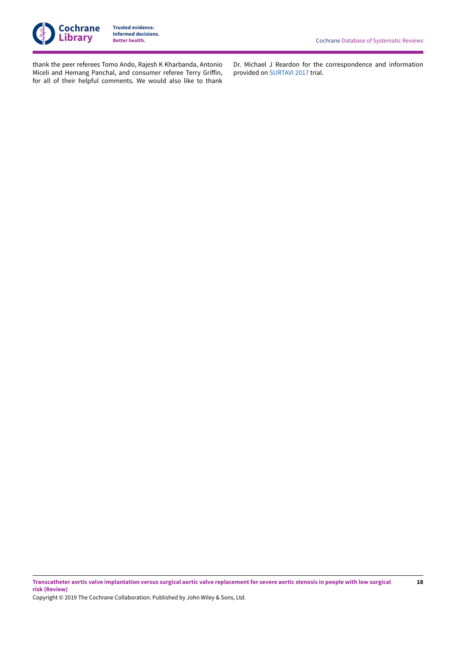

**18**

thank the peer referees Tomo Ando, Rajesh K Kharbanda, Antonio Miceli and Hemang Panchal, and consumer referee Terry Griffin, for all of their helpful comments. We would also like to thank

Dr. Michael J Reardon for the correspondence and information provided on [SURTAVI](#page-21-10) 2017 trial.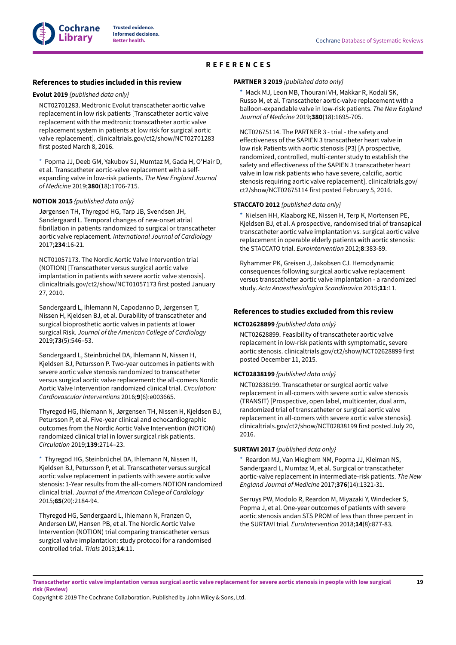<span id="page-21-3"></span>

# <span id="page-21-2"></span><span id="page-21-1"></span>**REFERENCES**

#### <span id="page-21-0"></span>**References to studies included in this review**

#### <span id="page-21-5"></span>**Evolut 2019** *{published data only}*

NCT02701283. Medtronic Evolut transcatheter aortic valve replacement in low risk patients [Transcatheter aortic valve replacement with the medtronic transcatheter aortic valve replacement system in patients at low risk for surgical aortic valve replacement]. clinicaltrials.gov/ct2/show/NCT02701283 first posted March 8, 2016.

[\\*](#page-24-7)  Popma JJ, Deeb GM, Yakubov SJ, Mumtaz M, Gada H, O'Hair D, et al. Transcatheter aortic-valve replacement with a selfexpanding valve in low-risk patients. *The New England Journal of Medicine* 2019;**380**(18):1706-715.

#### <span id="page-21-7"></span>**NOTION 2015** *{published data only}*

Jørgensen TH, Thyregod HG, Tarp JB, Svendsen JH, Søndergaard L. Temporal changes of new-onset atrial fibrillation in patients randomized to surgical or transcatheter aortic valve replacement. *International Journal of Cardiology* 2017;**234**:16-21.

NCT01057173. The Nordic Aortic Valve Intervention trial (NOTION) [Transcatheter versus surgical aortic valve implantation in patients with severe aortic valve stenosis]. clinicaltrials.gov/ct2/show/NCT01057173 first posted January 27, 2010.

Søndergaard L, Ihlemann N, Capodanno D, Jørgensen T, Nissen H, Kjeldsen BJ, et al. Durability of transcatheter and surgical bioprosthetic aortic valves in patients at lower surgical Risk. *Journal of the American College of Cardiology* 2019;**73**(5):546–53.

Søndergaard L, Steinbrüchel DA, Ihlemann N, Nissen H, Kjeldsen BJ, Petursson P. Two-year outcomes in patients with severe aortic valve stenosis randomized to transcatheter versus surgical aortic valve replacement: the all-comers Nordic Aortic Valve Intervention randomized clinical trial. *Circulation: Cardiovascular Interventions* 2016;**9**(6):e003665.

Thyregod HG, Ihlemann N, Jørgensen TH, Nissen H, Kjeldsen BJ, Petursson P, et al. Five-year clinical and echocardiographic outcomes from the Nordic Aortic Valve Intervention (NOTION) randomized clinical trial in lower surgical risk patients. *Circulation* 2019;**139**:2714–23.

[\\*](#page-24-7)  Thyregod HG, Steinbrüchel DA, Ihlemann N, Nissen H, Kjeldsen BJ, Petursson P, et al. Transcatheter versus surgical aortic valve replacement in patients with severe aortic valve stenosis: 1-Year results from the all-comers NOTION randomized clinical trial. *Journal of the American College of Cardiology* 2015;**65**(20):2184-94.

Thyregod HG, Søndergaard L, Ihlemann N, Franzen O, Andersen LW, Hansen PB, et al. The Nordic Aortic Valve Intervention (NOTION) trial comparing transcatheter versus surgical valve implantation: study protocol for a randomised controlled trial. *Trials* 2013;**14**:11.

#### <span id="page-21-6"></span>**PARTNER 3 2019** *{published data only}*

[\\*](#page-24-7)  Mack MJ, Leon MB, Thourani VH, Makkar R, Kodali SK, Russo M, et al. Transcatheter aortic-valve replacement with a balloon-expandable valve in low-risk patients. *The New England Journal of Medicine* 2019;**380**(18):1695-705.

NCT02675114. The PARTNER 3 - trial - the safety and effectiveness of the SAPIFN 3 transcatheter heart valve in low risk Patients with aortic stenosis (P3) [A prospective, randomized, controlled, multi-center study to establish the safety and effectiveness of the SAPIEN 3 transcatheter heart valve in low risk patients who have severe, calcific, aortic stenosis requiring aortic valve replacement]. clinicaltrials.gov/ ct2/show/NCT02675114 first posted February 5, 2016.

### <span id="page-21-4"></span>**STACCATO 2012** *{published data only}*

Nielsen HH, Klaaborg KE, Nissen H, Terp K, Mortensen PE, Kjeldsen BJ, et al. A prospective, randomised trial of transapical transcatheter aortic valve implantation vs. surgical aortic valve replacement in operable elderly patients with aortic stenosis: the STACCATO trial. *EuroIntervention* 2012;**8**:383-89.

Ryhammer PK, Greisen J, Jakobsen CJ. Hemodynamic consequences following surgical aortic valve replacement versus transcatheter aortic valve implantation - a randomized study. *Acta Anaesthesiologica Scandinavica* 2015;**11**:11.

#### **References to studies excluded from this review**

#### <span id="page-21-8"></span>**NCT02628899** *{published data only}*

NCT02628899. Feasibility of transcatheter aortic valve replacement in low-risk patients with symptomatic, severe aortic stenosis. clinicaltrials.gov/ct2/show/NCT02628899 first posted December 11, 2015.

#### <span id="page-21-9"></span>**NCT02838199** *{published data only}*

NCT02838199. Transcatheter or surgIcal aortic valve replacement in all-comers with severe aortic valve stenosis (TRANSIT) [Prospective, open label, multicenter, dual arm, randomized trial of transcatheter or surgIcal aortic valve replacement in all-comers with severe aortic valve stenosis]. clinicaltrials.gov/ct2/show/NCT02838199 first posted July 20, 2016.

### <span id="page-21-10"></span>**SURTAVI 2017** *{published data only}*

Reardon MJ, Van Mieghem NM, Popma JJ, Kleiman NS, Søndergaard L, Mumtaz M, et al. Surgical or transcatheter aortic-valve replacement in intermediate-risk patients. *The New England Journal of Medicine* 2017;**376**(14):1321-31.

Serruys PW, Modolo R, Reardon M, Miyazaki Y, Windecker S, Popma J, et al. One-year outcomes of patients with severe aortic stenosis andan STS PROM of less than three percent in the SURTAVI trial. *EuroIntervention* 2018;**14**(8):877-83.

Transcatheter aortic valve implantation versus surgical aortic valve replacement for severe aortic stenosis in people with low surgical **risk (Review)**

Copyright © 2019 The Cochrane Collaboration. Published by John Wiley & Sons, Ltd.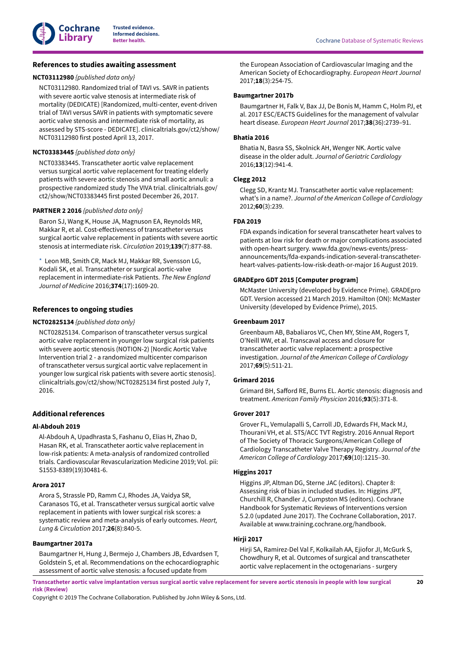

# **References to studies awaiting assessment**

### <span id="page-22-13"></span>**NCT03112980** *{published data only}*

NCT03112980. Randomized trial of TAVI vs. SAVR in patients with severe aortic valve stenosis at intermediate risk of mortality (DEDICATE) [Randomized, multi-center, event-driven trial of TAVI versus SAVR in patients with symptomatic severe aortic valve stenosis and intermediate risk of mortality, as assessed by STS-score - DEDICATE]. clinicaltrials.gov/ct2/show/ NCT03112980 first posted April 13, 2017.

### <span id="page-22-14"></span>**NCT03383445** *{published data only}*

NCT03383445. Transcatheter aortic valve replacement versus surgical aortic valve replacement for treating elderly patients with severe aortic stenosis and small aortic annuli: a prospective randomized study The VIVA trial. clinicaltrials.gov/ ct2/show/NCT03383445 first posted December 26, 2017.

### <span id="page-22-15"></span>**PARTNER 2 2016** *{published data only}*

Baron SJ, Wang K, House JA, Magnuson EA, Reynolds MR, Makkar R, et al. Cost-effectiveness of transcatheter versus surgical aortic valve replacement in patients with severe aortic stenosis at intermediate risk. *Circulation* 2019;**139**(7):877-88.

[\\*](#page-24-7)  Leon MB, Smith CR, Mack MJ, Makkar RR, Svensson LG, Kodali SK, et al. Transcatheter or surgical aortic-valve replacement in intermediate-risk Patients. *The New England Journal of Medicine* 2016;**374**(17):1609-20.

# **References to ongoing studies**

### <span id="page-22-12"></span>**NCT02825134** *{published data only}*

NCT02825134. Comparison of transcatheter versus surgical aortic valve replacement in younger low surgical risk patients with severe aortic stenosis (NOTION-2) [Nordic Aortic Valve Intervention trial 2 - a randomized multicenter comparison of transcatheter versus surgical aortic valve replacement in younger low surgical risk patients with severe aortic stenosis]. clinicaltrials.gov/ct2/show/NCT02825134 first posted July 7, 2016.

# **Additional references**

#### <span id="page-22-10"></span>**Al-Abdouh 2019**

Al-Abdouh A, Upadhrasta S, Fashanu O, Elias H, Zhao D, Hasan RK, et al. Transcatheter aortic valve replacement in low-risk patients: A meta-analysis of randomized controlled trials. Cardiovascular Revascularization Medicine 2019; Vol. pii: S1553-8389(19)30481-6.

#### <span id="page-22-9"></span>**Arora 2017**

Arora S, Strassle PD, Ramm CJ, Rhodes JA, Vaidya SR, Caranasos TG, et al. Transcatheter versus surgical aortic valve replacement in patients with lower surgical risk scores: a systematic review and meta-analysis of early outcomes. *Heart, Lung & Circulation* 2017;**26**(8):840-5.

#### <span id="page-22-2"></span>**Baumgartner 2017a**

Baumgartner H, Hung J, Bermejo J, Chambers JB, Edvardsen T, Goldstein S, et al. Recommendations on the echocardiographic assessment of aortic valve stenosis: a focused update from

the European Association of Cardiovascular Imaging and the American Society of Echocardiography. *European Heart Journal* 2017;**18**(3):254-75.

#### <span id="page-22-3"></span>**Baumgartner 2017b**

Baumgartner H, Falk V, Bax JJ, De Bonis M, Hamm C, Holm PJ, et al. 2017 ESC/EACTS Guidelines for the management of valvular heart disease. *European Heart Journal* 2017;**38**(36):2739–91.

### <span id="page-22-0"></span>**Bhatia 2016**

Bhatia N, Basra SS, Skolnick AH, Wenger NK. Aortic valve disease in the older adult. *Journal of Geriatric Cardiology* 2016;**13**(12):941-4.

#### <span id="page-22-16"></span>**Clegg 2012**

Clegg SD, Krantz MJ. Transcatheter aortic valve replacement: what's in a name?. *Journal of the American College of Cardiology* 2012;**60**(3):239.

### <span id="page-22-11"></span>**FDA 2019**

FDA expands indication for several transcatheter heart valves to patients at low risk for death or major complications associated with open-heart surgery. www.fda.gov/news-events/pressannouncements/fda-expands-indication-several-transcatheterheart-valves-patients-low-risk-death-or-major 16 August 2019.

# <span id="page-22-8"></span>**GRADEpro GDT 2015 [Computer program]**

McMaster University (developed by Evidence Prime). GRADEpro GDT. Version accessed 21 March 2019. Hamilton (ON): McMaster University (developed by Evidence Prime), 2015.

### <span id="page-22-6"></span>**Greenbaum 2017**

Greenbaum AB, Babaliaros VC, Chen MY, Stine AM, Rogers T, O'Neill WW, et al. Transcaval access and closure for transcatheter aortic valve replacement: a prospective investigation. *Journal of the American College of Cardiology* 2017;**69**(5):511-21.

### <span id="page-22-1"></span>**Grimard 2016**

Grimard BH, Safford RE, Burns EL. Aortic stenosis: diagnosis and treatment. *American Family Physician* 2016;**93**(5):371-8.

#### <span id="page-22-5"></span>**Grover 2017**

Grover FL, Vemulapalli S, Carroll JD, Edwards FH, Mack MJ, Thourani VH, et al. STS/ACC TVT Registry. 2016 Annual Report of The Society of Thoracic Surgeons/American College of Cardiology Transcatheter Valve Therapy Registry. *Journal of the American College of Cardiology* 2017;**69**(10):1215–30.

### <span id="page-22-7"></span>**Higgins 2017**

Higgins JP, Altman DG, Sterne JAC (editors). Chapter 8: Assessing risk of bias in included studies. In: Higgins JPT, Churchill R, Chandler J, Cumpston MS (editors). Cochrane Handbook for Systematic Reviews of Interventions version 5.2.0 (updated June 2017). The Cochrane Collaboration, 2017. Available at www.training.cochrane.org/handbook.

# <span id="page-22-4"></span>**Hirji 2017**

Hirji SA, Ramirez-Del Val F, Kolkailah AA, Ejiofor JI, McGurk S, Chowdhury R, et al. Outcomes of surgical and transcatheter aortic valve replacement in the octogenarians - surgery

Transcatheter aortic valve implantation versus surgical aortic valve replacement for severe aortic stenosis in people with low surgical **risk (Review)**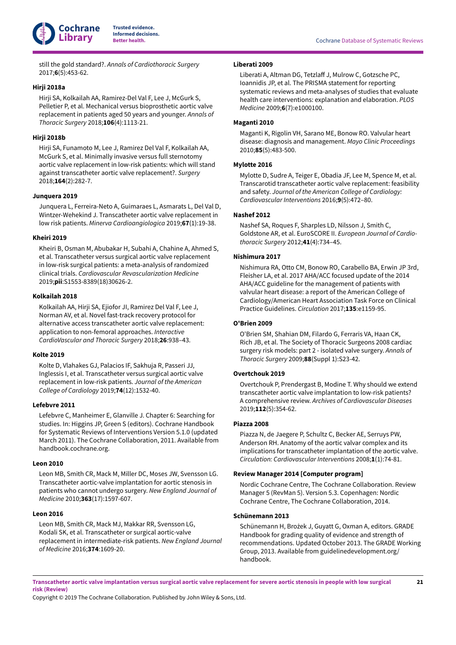

still the gold standard?. *Annals of Cardiothoracic Surgery* 2017;**6**(5):453-62.

### <span id="page-23-3"></span>**Hirji 2018a**

Hirji SA, Kolkailah AA, Ramirez-Del Val F, Lee J, McGurk S, Pelletier P, et al. Mechanical versus bioprosthetic aortic valve replacement in patients aged 50 years and younger. *Annals of Thoracic Surgery* 2018;**106**(4):1113-21.

# <span id="page-23-6"></span>**Hirji 2018b**

Hirji SA, Funamoto M, Lee J, Ramirez Del Val F, Kolkailah AA, McGurk S, et al. Minimally invasive versus full sternotomy aortic valve replacement in low-risk patients: which will stand against transcatheter aortic valve replacement?. *Surgery* 2018;**164**(2):282-7.

### <span id="page-23-17"></span>**Junquera 2019**

Junquera L, Ferreira-Neto A, Guimaraes L, Asmarats L, Del Val D, Wintzer-Wehekind J. Transcatheter aortic valve replacement in low risk patients. *Minerva Cardioangiologica* 2019;**67**(1):19-38.

#### <span id="page-23-18"></span>**Kheiri 2019**

Kheiri B, Osman M, Abubakar H, Subahi A, Chahine A, Ahmed S, et al. Transcatheter versus surgical aortic valve replacement in low-risk surgical patients: a meta-analysis of randomized clinical trials. *Cardiovascular Revascularization Medicine* 2019;**pii**:S1553-8389(18)30626-2.

# <span id="page-23-7"></span>**Kolkailah 2018**

Kolkailah AA, Hirji SA, Ejiofor JI, Ramirez Del Val F, Lee J, Norman AV, et al. Novel fast-track recovery protocol for alternative access transcatheter aortic valve replacement: application to non-femoral approaches. *Interactive CardioVascular and Thoracic Surgery* 2018;**26**:938–43.

#### <span id="page-23-19"></span>**Kolte 2019**

Kolte D, Vlahakes GJ, Palacios IF, Sakhuja R, Passeri JJ, Inglessis I, et al. Transcatheter versus surgical aortic valve replacement in low-risk patients. *Journal of the American College of Cardiology* 2019;**74**(12):1532-40.

#### <span id="page-23-12"></span>**Lefebvre 2011**

Lefebvre C, Manheimer E, Glanville J. Chapter 6: Searching for studies. In: Higgins JP, Green S (editors). Cochrane Handbook for Systematic Reviews of Interventions Version 5.1.0 (updated March 2011). The Cochrane Collaboration, 2011. Available from handbook.cochrane.org.

#### <span id="page-23-4"></span>**Leon 2010**

Leon MB, Smith CR, Mack M, Miller DC, Moses JW, Svensson LG. Transcatheter aortic-valve implantation for aortic stenosis in patients who cannot undergo surgery. *New England Journal of Medicine* 2010;**363**(17):1597-607.

#### <span id="page-23-9"></span>**Leon 2016**

Leon MB, Smith CR, Mack MJ, Makkar RR, Svensson LG, Kodali SK, et al. Transcatheter or surgical aortic-valve replacement in intermediate-risk patients. *New England Journal of Medicine* 2016;**374**:1609-20.

### <span id="page-23-13"></span>**Liberati 2009**

Liberati A, Altman DG, Tetzlaff J, Mulrow C, Gotzsche PC, Ioannidis JP, et al. The PRISMA statement for reporting systematic reviews and meta-analyses of studies that evaluate health care interventions: explanation and elaboration. *PLOS Medicine* 2009;**6**(7):e1000100.

#### <span id="page-23-1"></span>**Maganti 2010**

Maganti K, Rigolin VH, Sarano ME, Bonow RO. Valvular heart disease: diagnosis and management. *Mayo Clinic Proceedings* 2010;**85**(5):483-500.

#### <span id="page-23-8"></span>**Mylotte 2016**

Mylotte D, Sudre A, Teiger E, Obadia JF, Lee M, Spence M, et al. Transcarotid transcatheter aortic valve replacement: feasibility and safety. *Journal of the American College of Cardiology: Cardiovascular Interventions* 2016;**9**(5):472–80.

# <span id="page-23-11"></span>**Nashef 2012**

Nashef SA, Roques F, Sharples LD, Nilsson J, Smith C, Goldstone AR, et al. EuroSCORE II. *European Journal of Cardiothoracic Surgery* 2012;**41**(4):734–45.

### <span id="page-23-5"></span>**Nishimura 2017**

Nishimura RA, Otto CM, Bonow RO, Carabello BA, Erwin JP 3rd, Fleisher LA, et al. 2017 AHA/ACC focused update of the 2014 AHA/ACC guideline for the management of patients with valvular heart disease: a report of the American College of Cardiology/American Heart Association Task Force on Clinical Practice Guidelines. *Circulation* 2017;**135**:e1159-95.

# <span id="page-23-10"></span><span id="page-23-0"></span>**O'Brien 2009**

O'Brien SM, Shahian DM, Filardo G, Ferraris VA, Haan CK, Rich JB, et al. The Society of Thoracic Surgeons 2008 cardiac surgery risk models: part 2 - isolated valve surgery. *Annals of Thoracic Surgery* 2009;**88**(Suppl 1):S23-42.

### <span id="page-23-16"></span>**Overtchouk 2019**

Overtchouk P, Prendergast B, Modine T. Why should we extend transcatheter aortic valve implantation to low-risk patients? A comprehensive review. *Archives of Cardiovascular Diseases* 2019;**112**(5):354-62.

### <span id="page-23-2"></span>**Piazza 2008**

Piazza N, de Jaegere P, Schultz C, Becker AE, Serruys PW, Anderson RH. Anatomy of the aortic valvar complex and its implications for transcatheter implantation of the aortic valve. *Circulation: Cardiovascular Interventions* 2008;**1**(1):74-81.

#### <span id="page-23-14"></span>**Review Manager 2014 [Computer program]**

Nordic Cochrane Centre, The Cochrane Collaboration. Review Manager 5 (RevMan 5). Version 5.3. Copenhagen: Nordic Cochrane Centre, The Cochrane Collaboration, 2014.

# <span id="page-23-15"></span>**Schünemann 2013**

Schünemann H, Brożek J, Guyatt G, Oxman A, editors. GRADE Handbook for grading quality of evidence and strength of recommendations. Updated October 2013. The GRADE Working Group, 2013. Available from guidelinedevelopment.org/ handbook.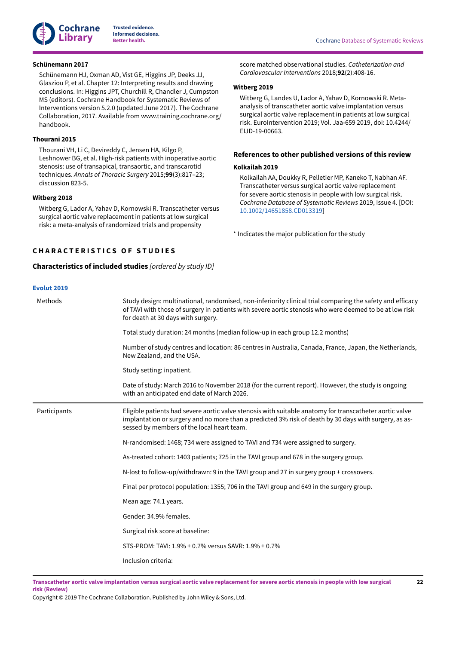

### <span id="page-24-5"></span>**Schünemann 2017**

Schünemann HJ, Oxman AD, Vist GE, Higgins JP, Deeks JJ, Glasziou P, et al. Chapter 12: Interpreting results and drawing conclusions. In: Higgins JPT, Churchill R, Chandler J, Cumpston MS (editors). Cochrane Handbook for Systematic Reviews of Interventions version 5.2.0 (updated June 2017). The Cochrane Collaboration, 2017. Available from www.training.cochrane.org/ handbook.

### <span id="page-24-1"></span>**Thourani 2015**

Thourani VH, Li C, Devireddy C, Jensen HA, Kilgo P, Leshnower BG, et al. High-risk patients with inoperative aortic stenosis: use of transapical, transaortic, and transcarotid techniques. *Annals of Thoracic Surgery* 2015;**99**(3):817–23; discussion 823-5.

# <span id="page-24-2"></span>**Witberg 2018**

Witberg G, Lador A, Yahav D, Kornowski R. Transcatheter versus surgical aortic valve replacement in patients at low surgical risk: a meta-analysis of randomized trials and propensity

# <span id="page-24-0"></span>**C H A R A C T E R I S T I C S O F S T U D I E S**

<span id="page-24-3"></span>**Characteristics of included studies** *[ordered by study ID]*

### score matched observational studies. *Catheterization and Cardiovascular Interventions* 2018;**92**(2):408-16.

#### <span id="page-24-6"></span>**Witberg 2019**

Witberg G, Landes U, Lador A, Yahav D, Kornowski R. Metaanalysis of transcatheter aortic valve implantation versus surgical aortic valve replacement in patients at low surgical risk. EuroIntervention 2019; Vol. Jaa-659 2019, doi: 10.4244/ EIJD-19-00663.

# **References to other published versions of this review**

#### <span id="page-24-4"></span>**Kolkailah 2019**

Kolkailah AA, Doukky R, Pelletier MP, Kaneko T, Nabhan AF. Transcatheter versus surgical aortic valve replacement for severe aortic stenosis in people with low surgical risk. *Cochrane Database of Systematic Reviews* 2019, Issue 4. [DOI: [10.1002/14651858.CD013319\]](https://doi.org/10.1002%2F14651858.CD013319)

<span id="page-24-7"></span>\* Indicates the major publication for the study

| <b>Evolut 2019</b> |                                                                                                                                                                                                                                                                |  |  |  |  |
|--------------------|----------------------------------------------------------------------------------------------------------------------------------------------------------------------------------------------------------------------------------------------------------------|--|--|--|--|
| Methods            | Study design: multinational, randomised, non-inferiority clinical trial comparing the safety and efficacy<br>of TAVI with those of surgery in patients with severe aortic stenosis who were deemed to be at low risk<br>for death at 30 days with surgery.     |  |  |  |  |
|                    | Total study duration: 24 months (median follow-up in each group 12.2 months)                                                                                                                                                                                   |  |  |  |  |
|                    | Number of study centres and location: 86 centres in Australia, Canada, France, Japan, the Netherlands,<br>New Zealand, and the USA.                                                                                                                            |  |  |  |  |
|                    | Study setting: inpatient.                                                                                                                                                                                                                                      |  |  |  |  |
|                    | Date of study: March 2016 to November 2018 (for the current report). However, the study is ongoing<br>with an anticipated end date of March 2026.                                                                                                              |  |  |  |  |
| Participants       | Eligible patients had severe aortic valve stenosis with suitable anatomy for transcatheter aortic valve<br>implantation or surgery and no more than a predicted 3% risk of death by 30 days with surgery, as as-<br>sessed by members of the local heart team. |  |  |  |  |
|                    | N-randomised: 1468; 734 were assigned to TAVI and 734 were assigned to surgery.                                                                                                                                                                                |  |  |  |  |
|                    | As-treated cohort: 1403 patients; 725 in the TAVI group and 678 in the surgery group.                                                                                                                                                                          |  |  |  |  |
|                    | N-lost to follow-up/withdrawn: 9 in the TAVI group and 27 in surgery group + crossovers.                                                                                                                                                                       |  |  |  |  |
|                    | Final per protocol population: 1355; 706 in the TAVI group and 649 in the surgery group.                                                                                                                                                                       |  |  |  |  |
|                    | Mean age: 74.1 years.                                                                                                                                                                                                                                          |  |  |  |  |
|                    | Gender: 34.9% females.                                                                                                                                                                                                                                         |  |  |  |  |
|                    | Surgical risk score at baseline:                                                                                                                                                                                                                               |  |  |  |  |
|                    | STS-PROM: TAVI: 1.9% ± 0.7% versus SAVR: 1.9% ± 0.7%                                                                                                                                                                                                           |  |  |  |  |
|                    | Inclusion criteria:                                                                                                                                                                                                                                            |  |  |  |  |

Transcatheter aortic valve implantation versus surgical aortic valve replacement for severe aortic stenosis in people with low surgical **risk (Review)**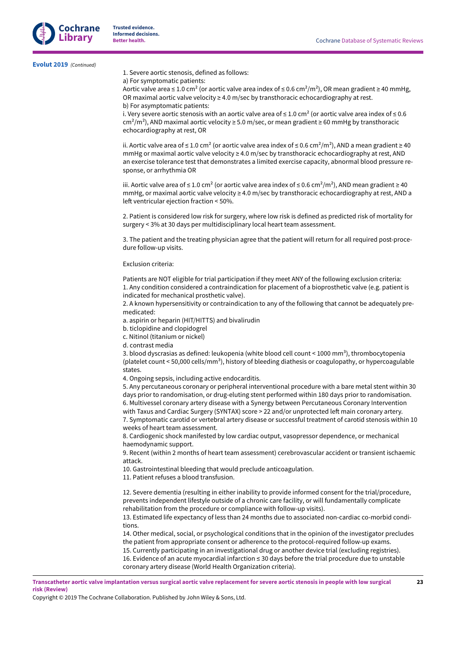**[Evolut](#page-21-5) 2019**  *(Continued)*

1. Severe aortic stenosis, defined as follows:

a) For symptomatic patients:

Aortic valve area ≤ 1.0 cm<sup>2</sup> (or aortic valve area index of ≤ 0.6 cm<sup>2</sup>/m<sup>2</sup>), OR mean gradient ≥ 40 mmHg, OR maximal aortic valve velocity  $\geq 4.0$  m/sec by transthoracic echocardiography at rest. b) For asymptomatic patients:

i. Very severe aortic stenosis with an aortic valve area of  $\leq 1.0$  cm<sup>2</sup> (or aortic valve area index of  $\leq 0.6$  $\text{cm}^2/\text{m}^2$ ), AND maximal aortic velocity  $\geq$  5.0 m/sec, or mean gradient  $\geq$  60 mmHg by transthoracic echocardiography at rest, OR

ii. Aortic valve area of ≤ 1.0 cm<sup>2</sup> (or aortic valve area index of ≤ 0.6 cm<sup>2</sup>/m<sup>2</sup>), AND a mean gradient ≥ 40 mmHg or maximal aortic valve velocity ≥ 4.0 m/sec by transthoracic echocardiography at rest, AND an exercise tolerance test that demonstrates a limited exercise capacity, abnormal blood pressure response, or arrhythmia OR

iii. Aortic valve area of ≤ 1.0 cm<sup>2</sup> (or aortic valve area index of ≤ 0.6 cm<sup>2</sup>/m<sup>2</sup>), AND mean gradient ≥ 40 mmHg, or maximal aortic valve velocity ≥ 4.0 m/sec by transthoracic echocardiography at rest, AND a left ventricular ejection fraction  $<$  50%.

2. Patient is considered low risk for surgery, where low risk is defined as predicted risk of mortality for surgery < 3% at 30 days per multidisciplinary local heart team assessment.

3. The patient and the treating physician agree that the patient will return for all required post-procedure follow-up visits.

#### Exclusion criteria:

Patients are NOT eligible for trial participation if they meet ANY of the following exclusion criteria: 1. Any condition considered a contraindication for placement of a bioprosthetic valve (e.g. patient is indicated for mechanical prosthetic valve).

2. A known hypersensitivity or contraindication to any of the following that cannot be adequately premedicated:

a. aspirin or heparin (HIT/HITTS) and bivalirudin

b. ticlopidine and clopidogrel

c. Nitinol (titanium or nickel)

d. contrast media

3. blood dyscrasias as defined: leukopenia (white blood cell count < 1000 mm<sup>3</sup>), thrombocytopenia (platelet count < 50,000 cells/mm<sup>3</sup>), history of bleeding diathesis or coagulopathy, or hypercoagulable states.

4. Ongoing sepsis, including active endocarditis.

5. Any percutaneous coronary or peripheral interventional procedure with a bare metal stent within 30 days prior to randomisation, or drug-eluting stent performed within 180 days prior to randomisation. 6. Multivessel coronary artery disease with a Synergy between Percutaneous Coronary Intervention with Taxus and Cardiac Surgery (SYNTAX) score > 22 and/or unprotected left main coronary artery. 7. Symptomatic carotid or vertebral artery disease or successful treatment of carotid stenosis within 10 weeks of heart team assessment.

8. Cardiogenic shock manifested by low cardiac output, vasopressor dependence, or mechanical haemodynamic support.

9. Recent (within 2 months of heart team assessment) cerebrovascular accident or transient ischaemic attack.

10. Gastrointestinal bleeding that would preclude anticoagulation.

11. Patient refuses a blood transfusion.

12. Severe dementia (resulting in either inability to provide informed consent for the trial/procedure, prevents independent lifestyle outside of a chronic care facility, or will fundamentally complicate rehabilitation from the procedure or compliance with follow-up visits).

13. Estimated life expectancy of less than 24 months due to associated non-cardiac co-morbid conditions.

14. Other medical, social, or psychological conditions that in the opinion of the investigator precludes the patient from appropriate consent or adherence to the protocol-required follow-up exams. 15. Currently participating in an investigational drug or another device trial (excluding registries).

16. Evidence of an acute myocardial infarction ≤ 30 days before the trial procedure due to unstable coronary artery disease (World Health Organization criteria).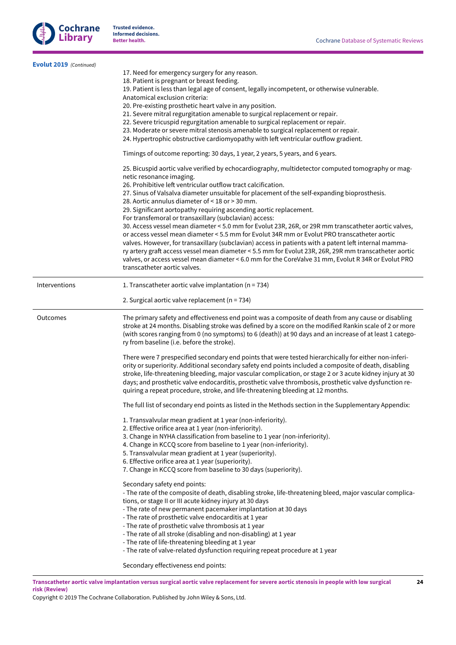**24**



**Trusted evidence. Informed decisions.**

| Evolut 2019 (Continued) |                                                                                                                                                                                                                                                                                                                                                                                                                                                                                                                                                                                                                                                                                                                                                                                                                                                                                                                                                                                                                                                    |
|-------------------------|----------------------------------------------------------------------------------------------------------------------------------------------------------------------------------------------------------------------------------------------------------------------------------------------------------------------------------------------------------------------------------------------------------------------------------------------------------------------------------------------------------------------------------------------------------------------------------------------------------------------------------------------------------------------------------------------------------------------------------------------------------------------------------------------------------------------------------------------------------------------------------------------------------------------------------------------------------------------------------------------------------------------------------------------------|
|                         | 17. Need for emergency surgery for any reason.<br>18. Patient is pregnant or breast feeding.<br>19. Patient is less than legal age of consent, legally incompetent, or otherwise vulnerable.<br>Anatomical exclusion criteria:<br>20. Pre-existing prosthetic heart valve in any position.<br>21. Severe mitral regurgitation amenable to surgical replacement or repair.<br>22. Severe tricuspid regurgitation amenable to surgical replacement or repair.<br>23. Moderate or severe mitral stenosis amenable to surgical replacement or repair.<br>24. Hypertrophic obstructive cardiomyopathy with left ventricular outflow gradient.                                                                                                                                                                                                                                                                                                                                                                                                           |
|                         | Timings of outcome reporting: 30 days, 1 year, 2 years, 5 years, and 6 years.                                                                                                                                                                                                                                                                                                                                                                                                                                                                                                                                                                                                                                                                                                                                                                                                                                                                                                                                                                      |
|                         | 25. Bicuspid aortic valve verified by echocardiography, multidetector computed tomography or mag-<br>netic resonance imaging.<br>26. Prohibitive left ventricular outflow tract calcification.<br>27. Sinus of Valsalva diameter unsuitable for placement of the self-expanding bioprosthesis.<br>28. Aortic annulus diameter of < 18 or > 30 mm.<br>29. Significant aortopathy requiring ascending aortic replacement.<br>For transfemoral or transaxillary (subclavian) access:<br>30. Access vessel mean diameter < 5.0 mm for Evolut 23R, 26R, or 29R mm transcatheter aortic valves,<br>or access vessel mean diameter < 5.5 mm for Evolut 34R mm or Evolut PRO transcatheter aortic<br>valves. However, for transaxillary (subclavian) access in patients with a patent left internal mamma-<br>ry artery graft access vessel mean diameter < 5.5 mm for Evolut 23R, 26R, 29R mm transcatheter aortic<br>valves, or access vessel mean diameter < 6.0 mm for the CoreValve 31 mm, Evolut R 34R or Evolut PRO<br>transcatheter aortic valves. |
| Interventions           | 1. Transcatheter aortic valve implantation ( $n = 734$ )                                                                                                                                                                                                                                                                                                                                                                                                                                                                                                                                                                                                                                                                                                                                                                                                                                                                                                                                                                                           |
|                         | 2. Surgical aortic valve replacement ( $n = 734$ )                                                                                                                                                                                                                                                                                                                                                                                                                                                                                                                                                                                                                                                                                                                                                                                                                                                                                                                                                                                                 |
| Outcomes                | The primary safety and effectiveness end point was a composite of death from any cause or disabling<br>stroke at 24 months. Disabling stroke was defined by a score on the modified Rankin scale of 2 or more<br>(with scores ranging from 0 (no symptoms) to 6 (death)) at 90 days and an increase of at least 1 catego-<br>ry from baseline (i.e. before the stroke).                                                                                                                                                                                                                                                                                                                                                                                                                                                                                                                                                                                                                                                                            |
|                         | There were 7 prespecified secondary end points that were tested hierarchically for either non-inferi-<br>ority or superiority. Additional secondary safety end points included a composite of death, disabling<br>stroke, life-threatening bleeding, major vascular complication, or stage 2 or 3 acute kidney injury at 30<br>days; and prosthetic valve endocarditis, prosthetic valve thrombosis, prosthetic valve dysfunction re-<br>quiring a repeat procedure, stroke, and life-threatening bleeding at 12 months.                                                                                                                                                                                                                                                                                                                                                                                                                                                                                                                           |
|                         | The full list of secondary end points as listed in the Methods section in the Supplementary Appendix:                                                                                                                                                                                                                                                                                                                                                                                                                                                                                                                                                                                                                                                                                                                                                                                                                                                                                                                                              |
|                         | 1. Transvalvular mean gradient at 1 year (non-inferiority).<br>2. Effective orifice area at 1 year (non-inferiority).<br>3. Change in NYHA classification from baseline to 1 year (non-inferiority).<br>4. Change in KCCQ score from baseline to 1 year (non-inferiority).<br>5. Transvalvular mean gradient at 1 year (superiority).<br>6. Effective orifice area at 1 year (superiority).<br>7. Change in KCCQ score from baseline to 30 days (superiority).                                                                                                                                                                                                                                                                                                                                                                                                                                                                                                                                                                                     |
|                         | Secondary safety end points:<br>- The rate of the composite of death, disabling stroke, life-threatening bleed, major vascular complica-<br>tions, or stage II or III acute kidney injury at 30 days<br>- The rate of new permanent pacemaker implantation at 30 days<br>- The rate of prosthetic valve endocarditis at 1 year<br>- The rate of prosthetic valve thrombosis at 1 year<br>- The rate of all stroke (disabling and non-disabling) at 1 year<br>- The rate of life-threatening bleeding at 1 year<br>- The rate of valve-related dysfunction requiring repeat procedure at 1 year<br>Secondary effectiveness end points:                                                                                                                                                                                                                                                                                                                                                                                                              |
|                         |                                                                                                                                                                                                                                                                                                                                                                                                                                                                                                                                                                                                                                                                                                                                                                                                                                                                                                                                                                                                                                                    |

Transcatheter aortic valve implantation versus surgical aortic valve replacement for severe aortic stenosis in people with low surgical **risk (Review)**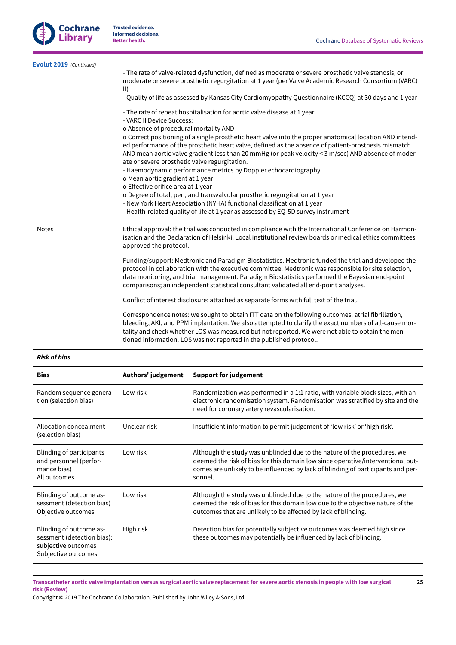**25**



**Trusted evidence. Informed decisions.**

| <b>Bias</b>             | Authors' judgement<br><b>Support for judgement</b>                                                                                                                                                                                                                                                                                                                                                                                                                                                                                                                                                                                                                                                                                                                                                                                                                                                                    |
|-------------------------|-----------------------------------------------------------------------------------------------------------------------------------------------------------------------------------------------------------------------------------------------------------------------------------------------------------------------------------------------------------------------------------------------------------------------------------------------------------------------------------------------------------------------------------------------------------------------------------------------------------------------------------------------------------------------------------------------------------------------------------------------------------------------------------------------------------------------------------------------------------------------------------------------------------------------|
| <b>Risk of bias</b>     |                                                                                                                                                                                                                                                                                                                                                                                                                                                                                                                                                                                                                                                                                                                                                                                                                                                                                                                       |
|                         | Correspondence notes: we sought to obtain ITT data on the following outcomes: atrial fibrillation,<br>bleeding, AKI, and PPM implantation. We also attempted to clarify the exact numbers of all-cause mor-<br>tality and check whether LOS was measured but not reported. We were not able to obtain the men-<br>tioned information. LOS was not reported in the published protocol.                                                                                                                                                                                                                                                                                                                                                                                                                                                                                                                                 |
|                         | Conflict of interest disclosure: attached as separate forms with full text of the trial.                                                                                                                                                                                                                                                                                                                                                                                                                                                                                                                                                                                                                                                                                                                                                                                                                              |
|                         | Funding/support: Medtronic and Paradigm Biostatistics. Medtronic funded the trial and developed the<br>protocol in collaboration with the executive committee. Medtronic was responsible for site selection,<br>data monitoring, and trial management. Paradigm Biostatistics performed the Bayesian end-point<br>comparisons; an independent statistical consultant validated all end-point analyses.                                                                                                                                                                                                                                                                                                                                                                                                                                                                                                                |
| <b>Notes</b>            | Ethical approval: the trial was conducted in compliance with the International Conference on Harmon-<br>isation and the Declaration of Helsinki. Local institutional review boards or medical ethics committees<br>approved the protocol.                                                                                                                                                                                                                                                                                                                                                                                                                                                                                                                                                                                                                                                                             |
|                         | - The rate of repeat hospitalisation for aortic valve disease at 1 year<br>- VARC II Device Success:<br>o Absence of procedural mortality AND<br>o Correct positioning of a single prosthetic heart valve into the proper anatomical location AND intend-<br>ed performance of the prosthetic heart valve, defined as the absence of patient-prosthesis mismatch<br>AND mean aortic valve gradient less than 20 mmHg (or peak velocity < 3 m/sec) AND absence of moder-<br>ate or severe prosthetic valve regurgitation.<br>- Haemodynamic performance metrics by Doppler echocardiography<br>o Mean aortic gradient at 1 year<br>o Effective orifice area at 1 year<br>o Degree of total, peri, and transvalvular prosthetic regurgitation at 1 year<br>- New York Heart Association (NYHA) functional classification at 1 year<br>- Health-related quality of life at 1 year as assessed by EQ-5D survey instrument |
|                         | - Quality of life as assessed by Kansas City Cardiomyopathy Questionnaire (KCCQ) at 30 days and 1 year                                                                                                                                                                                                                                                                                                                                                                                                                                                                                                                                                                                                                                                                                                                                                                                                                |
| Evolut 2019 (Continued) | - The rate of valve-related dysfunction, defined as moderate or severe prosthetic valve stenosis, or<br>moderate or severe prosthetic regurgitation at 1 year (per Valve Academic Research Consortium (VARC)<br>$\vert \vert$                                                                                                                                                                                                                                                                                                                                                                                                                                                                                                                                                                                                                                                                                         |

| DIAS                                                                                                | AULHOIS JUDGEMENT | Support for judgement                                                                                                                                                                                                                                      |
|-----------------------------------------------------------------------------------------------------|-------------------|------------------------------------------------------------------------------------------------------------------------------------------------------------------------------------------------------------------------------------------------------------|
| Random sequence genera-<br>tion (selection bias)                                                    | Low risk          | Randomization was performed in a 1:1 ratio, with variable block sizes, with an<br>electronic randomisation system. Randomisation was stratified by site and the<br>need for coronary artery revascularisation.                                             |
| Allocation concealment<br>(selection bias)                                                          | Unclear risk      | Insufficient information to permit judgement of 'low risk' or 'high risk'.                                                                                                                                                                                 |
| Blinding of participants<br>and personnel (perfor-<br>mance bias)<br>All outcomes                   | Low risk          | Although the study was unblinded due to the nature of the procedures, we<br>deemed the risk of bias for this domain low since operative/interventional out-<br>comes are unlikely to be influenced by lack of blinding of participants and per-<br>sonnel. |
| Blinding of outcome as-<br>sessment (detection bias)<br>Objective outcomes                          | Low risk          | Although the study was unblinded due to the nature of the procedures, we<br>deemed the risk of bias for this domain low due to the objective nature of the<br>outcomes that are unlikely to be affected by lack of blinding.                               |
| Blinding of outcome as-<br>sessment (detection bias):<br>subjective outcomes<br>Subjective outcomes | High risk         | Detection bias for potentially subjective outcomes was deemed high since<br>these outcomes may potentially be influenced by lack of blinding.                                                                                                              |

Transcatheter aortic valve implantation versus surgical aortic valve replacement for severe aortic stenosis in people with low surgical **risk (Review)**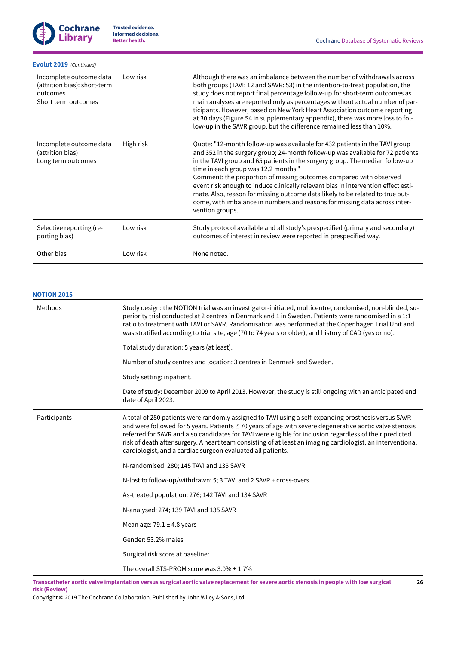| Evolut 2019 (Continued)                                                                    |           |                                                                                                                                                                                                                                                                                                                                                                                                                                                                                                                                                                                                                                    |
|--------------------------------------------------------------------------------------------|-----------|------------------------------------------------------------------------------------------------------------------------------------------------------------------------------------------------------------------------------------------------------------------------------------------------------------------------------------------------------------------------------------------------------------------------------------------------------------------------------------------------------------------------------------------------------------------------------------------------------------------------------------|
| Incomplete outcome data<br>(attrition bias): short-term<br>outcomes<br>Short term outcomes | Low risk  | Although there was an imbalance between the number of withdrawals across<br>both groups (TAVI: 12 and SAVR: 53) in the intention-to-treat population, the<br>study does not report final percentage follow-up for short-term outcomes as<br>main analyses are reported only as percentages without actual number of par-<br>ticipants. However, based on New York Heart Association outcome reporting<br>at 30 days (Figure S4 in supplementary appendix), there was more loss to fol-<br>low-up in the SAVR group, but the difference remained less than 10%.                                                                     |
| Incomplete outcome data<br>(attrition bias)<br>Long term outcomes                          | High risk | Quote: "12-month follow-up was available for 432 patients in the TAVI group<br>and 352 in the surgery group; 24-month follow-up was available for 72 patients<br>in the TAVI group and 65 patients in the surgery group. The median follow-up<br>time in each group was 12.2 months."<br>Comment: the proportion of missing outcomes compared with observed<br>event risk enough to induce clinically relevant bias in intervention effect esti-<br>mate. Also, reason for missing outcome data likely to be related to true out-<br>come, with imbalance in numbers and reasons for missing data across inter-<br>vention groups. |
| Selective reporting (re-<br>porting bias)                                                  | Low risk  | Study protocol available and all study's prespecified (primary and secondary)<br>outcomes of interest in review were reported in prespecified way.                                                                                                                                                                                                                                                                                                                                                                                                                                                                                 |
| Other bias                                                                                 | Low risk  | None noted.                                                                                                                                                                                                                                                                                                                                                                                                                                                                                                                                                                                                                        |

### **[NOTION](#page-21-7) 2015**

| Methods      | Study design: the NOTION trial was an investigator-initiated, multicentre, randomised, non-blinded, su-<br>periority trial conducted at 2 centres in Denmark and 1 in Sweden. Patients were randomised in a 1:1<br>ratio to treatment with TAVI or SAVR. Randomisation was performed at the Copenhagen Trial Unit and<br>was stratified according to trial site, age (70 to 74 years or older), and history of CAD (yes or no).                                                                            |
|--------------|------------------------------------------------------------------------------------------------------------------------------------------------------------------------------------------------------------------------------------------------------------------------------------------------------------------------------------------------------------------------------------------------------------------------------------------------------------------------------------------------------------|
|              | Total study duration: 5 years (at least).                                                                                                                                                                                                                                                                                                                                                                                                                                                                  |
|              | Number of study centres and location: 3 centres in Denmark and Sweden.                                                                                                                                                                                                                                                                                                                                                                                                                                     |
|              | Study setting: inpatient.                                                                                                                                                                                                                                                                                                                                                                                                                                                                                  |
|              | Date of study: December 2009 to April 2013. However, the study is still ongoing with an anticipated end<br>date of April 2023.                                                                                                                                                                                                                                                                                                                                                                             |
| Participants | A total of 280 patients were randomly assigned to TAVI using a self-expanding prosthesis versus SAVR<br>and were followed for 5 years. Patients ≧ 70 years of age with severe degenerative aortic valve stenosis<br>referred for SAVR and also candidates for TAVI were eligible for inclusion regardless of their predicted<br>risk of death after surgery. A heart team consisting of at least an imaging cardiologist, an interventional<br>cardiologist, and a cardiac surgeon evaluated all patients. |
|              | N-randomised: 280; 145 TAVI and 135 SAVR                                                                                                                                                                                                                                                                                                                                                                                                                                                                   |
|              | N-lost to follow-up/withdrawn: 5; 3 TAVI and 2 SAVR + cross-overs                                                                                                                                                                                                                                                                                                                                                                                                                                          |
|              | As-treated population: 276; 142 TAVI and 134 SAVR                                                                                                                                                                                                                                                                                                                                                                                                                                                          |
|              | N-analysed: 274; 139 TAVI and 135 SAVR                                                                                                                                                                                                                                                                                                                                                                                                                                                                     |
|              | Mean age: $79.1 \pm 4.8$ years                                                                                                                                                                                                                                                                                                                                                                                                                                                                             |
|              | Gender: 53.2% males                                                                                                                                                                                                                                                                                                                                                                                                                                                                                        |
|              | Surgical risk score at baseline:                                                                                                                                                                                                                                                                                                                                                                                                                                                                           |
|              | The overall STS-PROM score was $3.0\% \pm 1.7\%$                                                                                                                                                                                                                                                                                                                                                                                                                                                           |

Transcatheter aortic valve implantation versus surgical aortic valve replacement for severe aortic stenosis in people with low surgical **risk (Review)**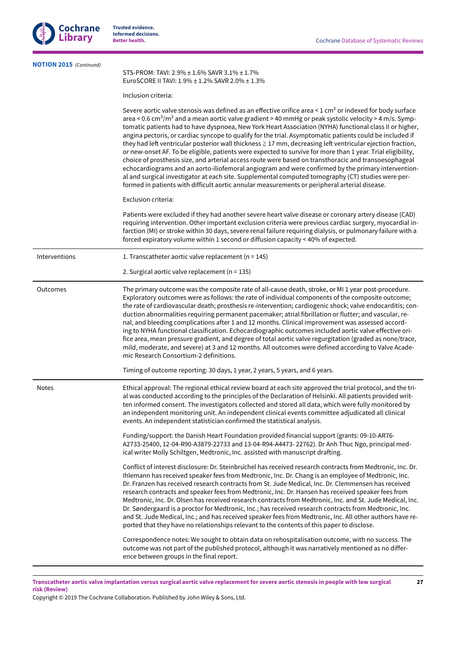

| <b>NOTION 2015</b> (Continued) | STS-PROM: TAVI: 2.9% ± 1.6% SAVR 3.1% ± 1.7%<br>EuroSCORE II TAVI: 1.9% ± 1.2% SAVR 2.0% ± 1.3%                                                                                                                                                                                                                                                                                                                                                                                                                                                                                                                                                                                                                                                                                                                                                                                                                                                                                                                                                                                                                                   |
|--------------------------------|-----------------------------------------------------------------------------------------------------------------------------------------------------------------------------------------------------------------------------------------------------------------------------------------------------------------------------------------------------------------------------------------------------------------------------------------------------------------------------------------------------------------------------------------------------------------------------------------------------------------------------------------------------------------------------------------------------------------------------------------------------------------------------------------------------------------------------------------------------------------------------------------------------------------------------------------------------------------------------------------------------------------------------------------------------------------------------------------------------------------------------------|
|                                | Inclusion criteria:                                                                                                                                                                                                                                                                                                                                                                                                                                                                                                                                                                                                                                                                                                                                                                                                                                                                                                                                                                                                                                                                                                               |
|                                | Severe aortic valve stenosis was defined as an effective orifice area < 1 cm <sup>2</sup> or indexed for body surface<br>area < 0.6 cm <sup>2</sup> /m <sup>2</sup> and a mean aortic valve gradient > 40 mmHg or peak systolic velocity > 4 m/s. Symp-<br>tomatic patients had to have dyspnoea, New York Heart Association (NYHA) functional class II or higher,<br>angina pectoris, or cardiac syncope to qualify for the trial. Asymptomatic patients could be included if<br>they had left ventricular posterior wall thickness ≧ 17 mm, decreasing left ventricular ejection fraction,<br>or new-onset AF. To be eligible, patients were expected to survive for more than 1 year. Trial eligibility,<br>choice of prosthesis size, and arterial access route were based on transthoracic and transoesophageal<br>echocardiograms and an aorto-iliofemoral angiogram and were confirmed by the primary intervention-<br>al and surgical investigator at each site. Supplemental computed tomography (CT) studies were per-<br>formed in patients with difficult aortic annular measurements or peripheral arterial disease. |
|                                | Exclusion criteria:                                                                                                                                                                                                                                                                                                                                                                                                                                                                                                                                                                                                                                                                                                                                                                                                                                                                                                                                                                                                                                                                                                               |
|                                | Patients were excluded if they had another severe heart valve disease or coronary artery disease (CAD)<br>requiring intervention. Other important exclusion criteria were previous cardiac surgery, myocardial in-<br>farction (MI) or stroke within 30 days, severe renal failure requiring dialysis, or pulmonary failure with a<br>forced expiratory volume within 1 second or diffusion capacity < 40% of expected.                                                                                                                                                                                                                                                                                                                                                                                                                                                                                                                                                                                                                                                                                                           |
| Interventions                  | 1. Transcatheter aortic valve replacement ( $n = 145$ )                                                                                                                                                                                                                                                                                                                                                                                                                                                                                                                                                                                                                                                                                                                                                                                                                                                                                                                                                                                                                                                                           |
|                                | 2. Surgical aortic valve replacement ( $n = 135$ )                                                                                                                                                                                                                                                                                                                                                                                                                                                                                                                                                                                                                                                                                                                                                                                                                                                                                                                                                                                                                                                                                |
| Outcomes                       | The primary outcome was the composite rate of all-cause death, stroke, or MI 1 year post-procedure.<br>Exploratory outcomes were as follows: the rate of individual components of the composite outcome;<br>the rate of cardiovascular death; prosthesis re-intervention; cardiogenic shock; valve endocarditis; con-<br>duction abnormalities requiring permanent pacemaker; atrial fibrillation or flutter; and vascular, re-<br>nal, and bleeding complications after 1 and 12 months. Clinical improvement was assessed accord-<br>ing to NYHA functional classification. Echocardiographic outcomes included aortic valve effective ori-<br>fice area, mean pressure gradient, and degree of total aortic valve regurgitation (graded as none/trace,<br>mild, moderate, and severe) at 3 and 12 months. All outcomes were defined according to Valve Acade-<br>mic Research Consortium-2 definitions.                                                                                                                                                                                                                        |
|                                | Timing of outcome reporting: 30 days, 1 year, 2 years, 5 years, and 6 years.                                                                                                                                                                                                                                                                                                                                                                                                                                                                                                                                                                                                                                                                                                                                                                                                                                                                                                                                                                                                                                                      |
| <b>Notes</b>                   | Ethical approval: The regional ethical review board at each site approved the trial protocol, and the tri-<br>al was conducted according to the principles of the Declaration of Helsinki. All patients provided writ-<br>ten informed consent. The investigators collected and stored all data, which were fully monitored by<br>an independent monitoring unit. An independent clinical events committee adjudicated all clinical<br>events. An independent statistician confirmed the statistical analysis.                                                                                                                                                                                                                                                                                                                                                                                                                                                                                                                                                                                                                    |
|                                | Funding/support: the Danish Heart Foundation provided financial support (grants: 09-10-AR76-<br>A2733-25400, 12-04-R90-A3879-22733 and 13-04-R94-A4473-22762). Dr Anh Thuc Ngo, principal med-<br>ical writer Molly Schiltgen, Medtronic, Inc. assisted with manuscript drafting.                                                                                                                                                                                                                                                                                                                                                                                                                                                                                                                                                                                                                                                                                                                                                                                                                                                 |
|                                | Conflict of interest disclosure: Dr. Steinbruchel has received research contracts from Medtronic, Inc. Dr.<br>Ihlemann has received speaker fees from Medtronic, Inc. Dr. Chang is an employee of Medtronic, Inc.<br>Dr. Franzen has received research contracts from St. Jude Medical, Inc. Dr. Clemmensen has received<br>research contracts and speaker fees from Medtronic, Inc. Dr. Hansen has received speaker fees from<br>Medtronic, Inc. Dr. Olsen has received research contracts from Medtronic, Inc. and St. Jude Medical, Inc.<br>Dr. Søndergaard is a proctor for Medtronic, Inc.; has received research contracts from Medtronic, Inc.<br>and St. Jude Medical, Inc.; and has received speaker fees from Medtronic, Inc. All other authors have re-<br>ported that they have no relationships relevant to the contents of this paper to disclose.<br>Correspondence notes: We sought to obtain data on rehospitalisation outcome, with no success. The                                                                                                                                                             |
|                                | outcome was not part of the published protocol, although it was narratively mentioned as no differ-<br>ence between groups in the final report.                                                                                                                                                                                                                                                                                                                                                                                                                                                                                                                                                                                                                                                                                                                                                                                                                                                                                                                                                                                   |

Transcatheter aortic valve implantation versus surgical aortic valve replacement for severe aortic stenosis in people with low surgical **risk (Review)**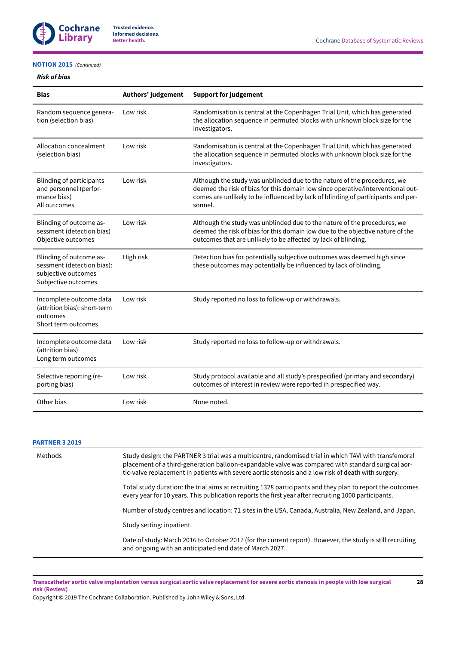

# **[NOTION](#page-21-7) 2015**  *(Continued)*

# *Risk of bias*

| <b>Bias</b>                                                                                         | Authors' judgement | <b>Support for judgement</b>                                                                                                                                                                                                                               |
|-----------------------------------------------------------------------------------------------------|--------------------|------------------------------------------------------------------------------------------------------------------------------------------------------------------------------------------------------------------------------------------------------------|
| Random sequence genera-<br>tion (selection bias)                                                    | Low risk           | Randomisation is central at the Copenhagen Trial Unit, which has generated<br>the allocation sequence in permuted blocks with unknown block size for the<br>investigators.                                                                                 |
| Allocation concealment<br>(selection bias)                                                          | Low risk           | Randomisation is central at the Copenhagen Trial Unit, which has generated<br>the allocation sequence in permuted blocks with unknown block size for the<br>investigators.                                                                                 |
| <b>Blinding of participants</b><br>and personnel (perfor-<br>mance bias)<br>All outcomes            | Low risk           | Although the study was unblinded due to the nature of the procedures, we<br>deemed the risk of bias for this domain low since operative/interventional out-<br>comes are unlikely to be influenced by lack of blinding of participants and per-<br>sonnel. |
| Blinding of outcome as-<br>sessment (detection bias)<br>Objective outcomes                          | Low risk           | Although the study was unblinded due to the nature of the procedures, we<br>deemed the risk of bias for this domain low due to the objective nature of the<br>outcomes that are unlikely to be affected by lack of blinding.                               |
| Blinding of outcome as-<br>sessment (detection bias):<br>subjective outcomes<br>Subjective outcomes | High risk          | Detection bias for potentially subjective outcomes was deemed high since<br>these outcomes may potentially be influenced by lack of blinding.                                                                                                              |
| Incomplete outcome data<br>(attrition bias): short-term<br>outcomes<br>Short term outcomes          | Low risk           | Study reported no loss to follow-up or withdrawals.                                                                                                                                                                                                        |
| Incomplete outcome data<br>(attrition bias)<br>Long term outcomes                                   | Low risk           | Study reported no loss to follow-up or withdrawals.                                                                                                                                                                                                        |
| Selective reporting (re-<br>porting bias)                                                           | Low risk           | Study protocol available and all study's prespecified (primary and secondary)<br>outcomes of interest in review were reported in prespecified way.                                                                                                         |
| Other bias                                                                                          | Low risk           | None noted.                                                                                                                                                                                                                                                |

### **[PARTNER](#page-21-6) 3 2019**

| Methods | Study design: the PARTNER 3 trial was a multicentre, randomised trial in which TAVI with transfemoral<br>placement of a third-generation balloon-expandable valve was compared with standard surgical aor-<br>tic-valve replacement in patients with severe aortic stenosis and a low risk of death with surgery. |  |  |
|---------|-------------------------------------------------------------------------------------------------------------------------------------------------------------------------------------------------------------------------------------------------------------------------------------------------------------------|--|--|
|         | Total study duration: the trial aims at recruiting 1328 participants and they plan to report the outcomes<br>every year for 10 years. This publication reports the first year after recruiting 1000 participants.                                                                                                 |  |  |
|         | Number of study centres and location: 71 sites in the USA, Canada, Australia, New Zealand, and Japan.                                                                                                                                                                                                             |  |  |
|         | Study setting: inpatient.                                                                                                                                                                                                                                                                                         |  |  |
|         | Date of study: March 2016 to October 2017 (for the current report). However, the study is still recruiting<br>and ongoing with an anticipated end date of March 2027.                                                                                                                                             |  |  |

Transcatheter aortic valve implantation versus surgical aortic valve replacement for severe aortic stenosis in people with low surgical **risk (Review)**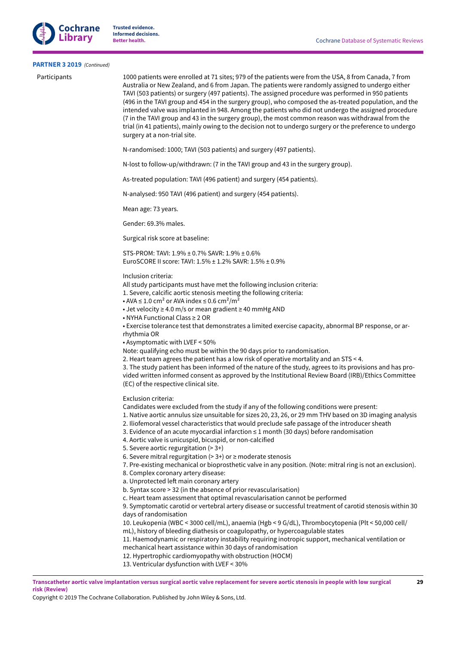

### **[PARTNER](#page-21-6) 3 2019**  *(Continued)*

Participants 1000 patients were enrolled at 71 sites; 979 of the patients were from the USA, 8 from Canada, 7 from Australia or New Zealand, and 6 from Japan. The patients were randomly assigned to undergo either TAVI (503 patients) or surgery (497 patients). The assigned procedure was performed in 950 patients (496 in the TAVI group and 454 in the surgery group), who composed the as-treated population, and the intended valve was implanted in 948. Among the patients who did not undergo the assigned procedure (7 in the TAVI group and 43 in the surgery group), the most common reason was withdrawal from the trial (in 41 patients), mainly owing to the decision not to undergo surgery or the preference to undergo surgery at a non-trial site.

N-randomised: 1000; TAVI (503 patients) and surgery (497 patients).

N-lost to follow-up/withdrawn: (7 in the TAVI group and 43 in the surgery group).

As-treated population: TAVI (496 patient) and surgery (454 patients).

N-analysed: 950 TAVI (496 patient) and surgery (454 patients).

Mean age: 73 years.

Gender: 69.3% males.

Surgical risk score at baseline:

STS-PROM: TAVI: 1.9% ± 0.7% SAVR: 1.9% ± 0.6% EuroSCORE II score: TAVI: 1.5% ± 1.2% SAVR: 1.5% ± 0.9%

#### Inclusion criteria:

All study participants must have met the following inclusion criteria:

1. Severe, calcific aortic stenosis meeting the following criteria:

- AVA  $\leq 1.0$  cm<sup>2</sup> or AVA index  $\leq 0.6$  cm<sup>2</sup>/m<sup>2</sup>
- Jet velocity ≥ 4.0 m/s or mean gradient ≥ 40 mmHg AND
- NYHA Functional Class ≥ 2 OR

• Exercise tolerance test that demonstrates a limited exercise capacity, abnormal BP response, or ar-

rhythmia OR

• Asymptomatic with LVEF < 50%

Note: qualifying echo must be within the 90 days prior to randomisation.

2. Heart team agrees the patient has a low risk of operative mortality and an STS < 4.

3. The study patient has been informed of the nature of the study, agrees to its provisions and has provided written informed consent as approved by the Institutional Review Board (IRB)/Ethics Committee (EC) of the respective clinical site.

Exclusion criteria:

Candidates were excluded from the study if any of the following conditions were present:

1. Native aortic annulus size unsuitable for sizes 20, 23, 26, or 29 mm THV based on 3D imaging analysis

- 2. Iliofemoral vessel characteristics that would preclude safe passage of the introducer sheath
- 3. Evidence of an acute myocardial infarction ≤ 1 month (30 days) before randomisation
- 4. Aortic valve is unicuspid, bicuspid, or non-calcified
- 5. Severe aortic regurgitation (> 3+)
- 6. Severe mitral regurgitation (>  $3+$ ) or  $\geq$  moderate stenosis
- 7. Pre-existing mechanical or bioprosthetic valve in any position. (Note: mitral ring is not an exclusion).
- 8. Complex coronary artery disease:
- a. Unprotected left main coronary artery
- b. Syntax score > 32 (in the absence of prior revascularisation)
- c. Heart team assessment that optimal revascularisation cannot be performed

9. Symptomatic carotid or vertebral artery disease or successful treatment of carotid stenosis within 30 days of randomisation

10. Leukopenia (WBC < 3000 cell/mL), anaemia (Hgb < 9 G/dL), Thrombocytopenia (Plt < 50,000 cell/ mL), history of bleeding diathesis or coagulopathy, or hypercoagulable states

11. Haemodynamic or respiratory instability requiring inotropic support, mechanical ventilation or mechanical heart assistance within 30 days of randomisation

- 12. Hypertrophic cardiomyopathy with obstruction (HOCM)
- 13. Ventricular dysfunction with LVEF < 30%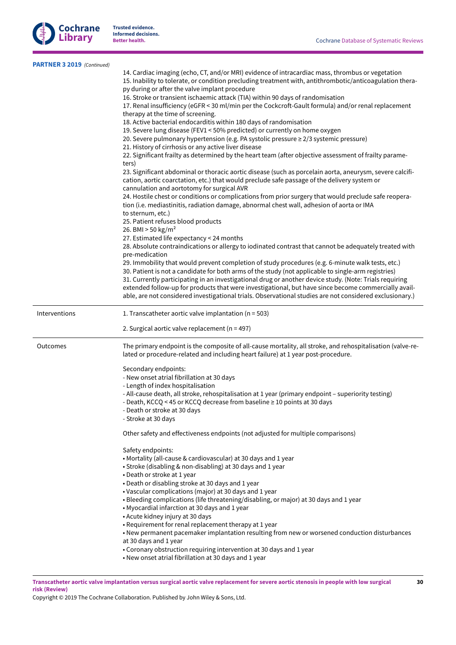

| PARTNER 3 2019 (Continued) |                                                                                                                                                                                                                                                                |
|----------------------------|----------------------------------------------------------------------------------------------------------------------------------------------------------------------------------------------------------------------------------------------------------------|
|                            | 14. Cardiac imaging (echo, CT, and/or MRI) evidence of intracardiac mass, thrombus or vegetation<br>15. Inability to tolerate, or condition precluding treatment with, antithrombotic/anticoagulation thera-<br>py during or after the valve implant procedure |
|                            | 16. Stroke or transient ischaemic attack (TIA) within 90 days of randomisation<br>17. Renal insufficiency (eGFR < 30 ml/min per the Cockcroft-Gault formula) and/or renal replacement<br>therapy at the time of screening.                                     |
|                            | 18. Active bacterial endocarditis within 180 days of randomisation                                                                                                                                                                                             |
|                            | 19. Severe lung disease (FEV1 < 50% predicted) or currently on home oxygen                                                                                                                                                                                     |
|                            | 20. Severe pulmonary hypertension (e.g. PA systolic pressure ≥ 2/3 systemic pressure)                                                                                                                                                                          |
|                            | 21. History of cirrhosis or any active liver disease                                                                                                                                                                                                           |
|                            | 22. Significant frailty as determined by the heart team (after objective assessment of frailty parame-<br>ters)                                                                                                                                                |
|                            | 23. Significant abdominal or thoracic aortic disease (such as porcelain aorta, aneurysm, severe calcifi-<br>cation, aortic coarctation, etc.) that would preclude safe passage of the delivery system or<br>cannulation and aortotomy for surgical AVR         |
|                            | 24. Hostile chest or conditions or complications from prior surgery that would preclude safe reopera-<br>tion (i.e. mediastinitis, radiation damage, abnormal chest wall, adhesion of aorta or IMA                                                             |
|                            | to sternum, etc.)<br>25. Patient refuses blood products                                                                                                                                                                                                        |
|                            | 26. BMI $> 50$ kg/m <sup>2</sup>                                                                                                                                                                                                                               |
|                            | 27. Estimated life expectancy < 24 months                                                                                                                                                                                                                      |
|                            | 28. Absolute contraindications or allergy to iodinated contrast that cannot be adequately treated with                                                                                                                                                         |
|                            | pre-medication<br>29. Immobility that would prevent completion of study procedures (e.g. 6-minute walk tests, etc.)                                                                                                                                            |
|                            | 30. Patient is not a candidate for both arms of the study (not applicable to single-arm registries)                                                                                                                                                            |
|                            | 31. Currently participating in an investigational drug or another device study. (Note: Trials requiring                                                                                                                                                        |
|                            | extended follow-up for products that were investigational, but have since become commercially avail-                                                                                                                                                           |
|                            | able, are not considered investigational trials. Observational studies are not considered exclusionary.)                                                                                                                                                       |
| Interventions              | 1. Transcatheter aortic valve implantation ( $n = 503$ )                                                                                                                                                                                                       |
|                            | 2. Surgical aortic valve replacement ( $n = 497$ )                                                                                                                                                                                                             |
| Outcomes                   | The primary endpoint is the composite of all-cause mortality, all stroke, and rehospitalisation (valve-re-<br>lated or procedure-related and including heart failure) at 1 year post-procedure.                                                                |
|                            | Secondary endpoints:                                                                                                                                                                                                                                           |
|                            | - New onset atrial fibrillation at 30 days                                                                                                                                                                                                                     |
|                            | - Length of index hospitalisation                                                                                                                                                                                                                              |
|                            | - All-cause death, all stroke, rehospitalisation at 1 year (primary endpoint - superiority testing)<br>- Death, KCCQ < 45 or KCCQ decrease from baseline ≥ 10 points at 30 days                                                                                |
|                            | - Death or stroke at 30 days                                                                                                                                                                                                                                   |
|                            | - Stroke at 30 days                                                                                                                                                                                                                                            |
|                            | Other safety and effectiveness endpoints (not adjusted for multiple comparisons)                                                                                                                                                                               |
|                            | Safety endpoints:                                                                                                                                                                                                                                              |
|                            | • Mortality (all-cause & cardiovascular) at 30 days and 1 year                                                                                                                                                                                                 |
|                            | • Stroke (disabling & non-disabling) at 30 days and 1 year                                                                                                                                                                                                     |
|                            | • Death or stroke at 1 year<br>• Death or disabling stroke at 30 days and 1 year                                                                                                                                                                               |
|                            | • Vascular complications (major) at 30 days and 1 year                                                                                                                                                                                                         |
|                            | • Bleeding complications (life threatening/disabling, or major) at 30 days and 1 year                                                                                                                                                                          |
|                            | • Myocardial infarction at 30 days and 1 year                                                                                                                                                                                                                  |
|                            | • Acute kidney injury at 30 days                                                                                                                                                                                                                               |
|                            | • Requirement for renal replacement therapy at 1 year                                                                                                                                                                                                          |
|                            | • New permanent pacemaker implantation resulting from new or worsened conduction disturbances                                                                                                                                                                  |
|                            | at 30 days and 1 year<br>• Coronary obstruction requiring intervention at 30 days and 1 year                                                                                                                                                                   |
|                            | • New onset atrial fibrillation at 30 days and 1 year                                                                                                                                                                                                          |
|                            |                                                                                                                                                                                                                                                                |

Transcatheter aortic valve implantation versus surgical aortic valve replacement for severe aortic stenosis in people with low surgical **risk (Review)**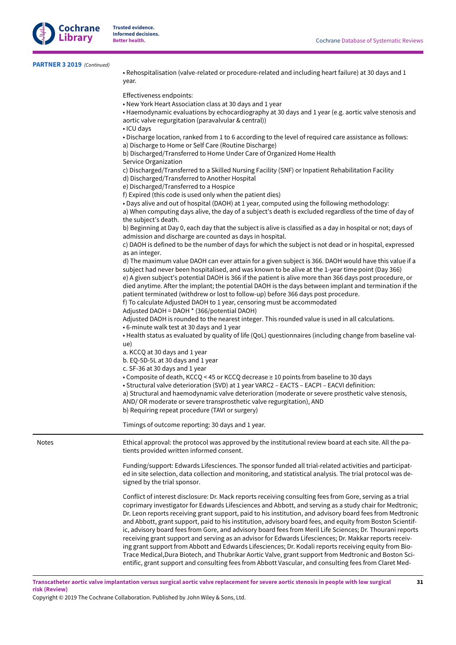| <b>PARTNER 3 2019</b> (Continued) |  |
|-----------------------------------|--|
|-----------------------------------|--|

• Rehospitalisation (valve-related or procedure-related and including heart failure) at 30 days and 1 year.

Effectiveness endpoints: • New York Heart Association class at 30 days and 1 year • Haemodynamic evaluations by echocardiography at 30 days and 1 year (e.g. aortic valve stenosis and aortic valve regurgitation (paravalvular & central)) • ICU days • Discharge location, ranked from 1 to 6 according to the level of required care assistance as follows: a) Discharge to Home or Self Care (Routine Discharge) b) Discharged/Transferred to Home Under Care of Organized Home Health Service Organization c) Discharged/Transferred to a Skilled Nursing Facility (SNF) or Inpatient Rehabilitation Facility d) Discharged/Transferred to Another Hospital e) Discharged/Transferred to a Hospice f) Expired (this code is used only when the patient dies) • Days alive and out of hospital (DAOH) at 1 year, computed using the following methodology: a) When computing days alive, the day of a subject's death is excluded regardless of the time of day of the subject's death. b) Beginning at Day 0, each day that the subject is alive is classified as a day in hospital or not; days of admission and discharge are counted as days in hospital. c) DAOH is defined to be the number of days for which the subject is not dead or in hospital, expressed as an integer. d) The maximum value DAOH can ever attain for a given subject is 366. DAOH would have this value if a subject had never been hospitalised, and was known to be alive at the 1-year time point (Day 366) e) A given subject's potential DAOH is 366 if the patient is alive more than 366 days post procedure, or died anytime. After the implant; the potential DAOH is the days between implant and termination if the patient terminated (withdrew or lost to follow-up) before 366 days post procedure. f) To calculate Adjusted DAOH to 1 year, censoring must be accommodated Adjusted DAOH = DAOH \* (366/potential DAOH) Adjusted DAOH is rounded to the nearest integer. This rounded value is used in all calculations. • 6-minute walk test at 30 days and 1 year • Health status as evaluated by quality of life (QoL) questionnaires (including change from baseline value) a. KCCQ at 30 days and 1 year b. EQ-5D-5L at 30 days and 1 year c. SF-36 at 30 days and 1 year • Composite of death, KCCQ < 45 or KCCQ decrease ≥ 10 points from baseline to 30 days • Structural valve deterioration (SVD) at 1 year VARC2 – EACTS – EACPI – EACVI definition: a) Structural and haemodynamic valve deterioration (moderate or severe prosthetic valve stenosis, AND/ OR moderate or severe transprosthetic valve regurgitation), AND b) Requiring repeat procedure (TAVI or surgery) Timings of outcome reporting: 30 days and 1 year. Notes **Ethical approval: the protocol was approved by the institutional review board at each site. All the pa**tients provided written informed consent. Funding/support: Edwards Lifesciences. The sponsor funded all trial-related activities and participated in site selection, data collection and monitoring, and statistical analysis. The trial protocol was designed by the trial sponsor. Conflict of interest disclosure: Dr. Mack reports receiving consulting fees from Gore, serving as a trial coprimary investigator for Edwards Lifesciences and Abbott, and serving as a study chair for Medtronic; Dr. Leon reports receiving grant support, paid to his institution, and advisory board fees from Medtronic and Abbott, grant support, paid to his institution, advisory board fees, and equity from Boston Scientific, advisory board fees from Gore, and advisory board fees from Meril Life Sciences; Dr. Thourani reports receiving grant support and serving as an advisor for Edwards Lifesciences; Dr. Makkar reports receiving grant support from Abbott and Edwards Lifesciences; Dr. Kodali reports receiving equity from Bio-Trace Medical,Dura Biotech, and Thubrikar Aortic Valve, grant support from Medtronic and Boston Scientific, grant support and consulting fees from Abbott Vascular, and consulting fees from Claret Med-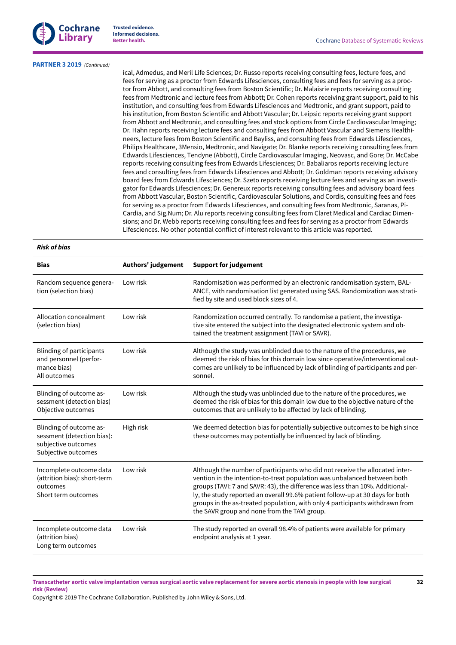

#### **[PARTNER](#page-21-6) 3 2019**  *(Continued)*

ical, Admedus, and Meril Life Sciences; Dr. Russo reports receiving consulting fees, lecture fees, and fees for serving as a proctor from Edwards Lifesciences, consulting fees and fees for serving as a proctor from Abbott, and consulting fees from Boston Scientific; Dr. Malaisrie reports receiving consulting fees from Medtronic and lecture fees from Abbott; Dr. Cohen reports receiving grant support, paid to his institution, and consulting fees from Edwards Lifesciences and Medtronic, and grant support, paid to his institution, from Boston Scientific and Abbott Vascular; Dr. Leipsic reports receiving grant support from Abbott and Medtronic, and consulting fees and stock options from Circle Cardiovascular Imaging; Dr. Hahn reports receiving lecture fees and consulting fees from Abbott Vascular and Siemens Healthineers, lecture fees from Boston Scientific and Bayliss, and consulting fees from Edwards Lifesciences, Philips Healthcare, 3Mensio, Medtronic, and Navigate; Dr. Blanke reports receiving consulting fees from Edwards Lifesciences, Tendyne (Abbott), Circle Cardiovascular Imaging, Neovasc, and Gore; Dr. McCabe reports receiving consulting fees from Edwards Lifesciences; Dr. Babaliaros reports receiving lecture fees and consulting fees from Edwards Lifesciences and Abbott; Dr. Goldman reports receiving advisory board fees from Edwards Lifesciences; Dr. Szeto reports receiving lecture fees and serving as an investigator for Edwards Lifesciences; Dr. Genereux reports receiving consulting fees and advisory board fees from Abbott Vascular, Boston Scientific, Cardiovascular Solutions, and Cordis, consulting fees and fees for serving as a proctor from Edwards Lifesciences, and consulting fees from Medtronic, Saranas, Pi-Cardia, and Sig.Num; Dr. Alu reports receiving consulting fees from Claret Medical and Cardiac Dimensions; and Dr. Webb reports receiving consulting fees and fees for serving as a proctor from Edwards Lifesciences. No other potential conflict of interest relevant to this article was reported.

# *Risk of bias*

| <b>Bias</b>                                                                                         | Authors' judgement | <b>Support for judgement</b>                                                                                                                                                                                                                                                                                                                                                                                                                              |
|-----------------------------------------------------------------------------------------------------|--------------------|-----------------------------------------------------------------------------------------------------------------------------------------------------------------------------------------------------------------------------------------------------------------------------------------------------------------------------------------------------------------------------------------------------------------------------------------------------------|
| Random sequence genera-<br>tion (selection bias)                                                    | Low risk           | Randomisation was performed by an electronic randomisation system, BAL-<br>ANCE, with randomisation list generated using SAS. Randomization was strati-<br>fied by site and used block sizes of 4.                                                                                                                                                                                                                                                        |
| Allocation concealment<br>(selection bias)                                                          | Low risk           | Randomization occurred centrally. To randomise a patient, the investiga-<br>tive site entered the subject into the designated electronic system and ob-<br>tained the treatment assignment (TAVI or SAVR).                                                                                                                                                                                                                                                |
| Blinding of participants<br>and personnel (perfor-<br>mance bias)<br>All outcomes                   | Low risk           | Although the study was unblinded due to the nature of the procedures, we<br>deemed the risk of bias for this domain low since operative/interventional out-<br>comes are unlikely to be influenced by lack of blinding of participants and per-<br>sonnel.                                                                                                                                                                                                |
| Blinding of outcome as-<br>sessment (detection bias)<br>Objective outcomes                          | Low risk           | Although the study was unblinded due to the nature of the procedures, we<br>deemed the risk of bias for this domain low due to the objective nature of the<br>outcomes that are unlikely to be affected by lack of blinding.                                                                                                                                                                                                                              |
| Blinding of outcome as-<br>sessment (detection bias):<br>subjective outcomes<br>Subjective outcomes | High risk          | We deemed detection bias for potentially subjective outcomes to be high since<br>these outcomes may potentially be influenced by lack of blinding.                                                                                                                                                                                                                                                                                                        |
| Incomplete outcome data<br>(attrition bias): short-term<br>outcomes<br>Short term outcomes          | Low risk           | Although the number of participants who did not receive the allocated inter-<br>vention in the intention-to-treat population was unbalanced between both<br>groups (TAVI: 7 and SAVR: 43), the difference was less than 10%. Additional-<br>ly, the study reported an overall 99.6% patient follow-up at 30 days for both<br>groups in the as-treated population, with only 4 participants withdrawn from<br>the SAVR group and none from the TAVI group. |
| Incomplete outcome data<br>(attrition bias)<br>Long term outcomes                                   | Low risk           | The study reported an overall 98.4% of patients were available for primary<br>endpoint analysis at 1 year.                                                                                                                                                                                                                                                                                                                                                |

Transcatheter aortic valve implantation versus surgical aortic valve replacement for severe aortic stenosis in people with low surgical **risk (Review)**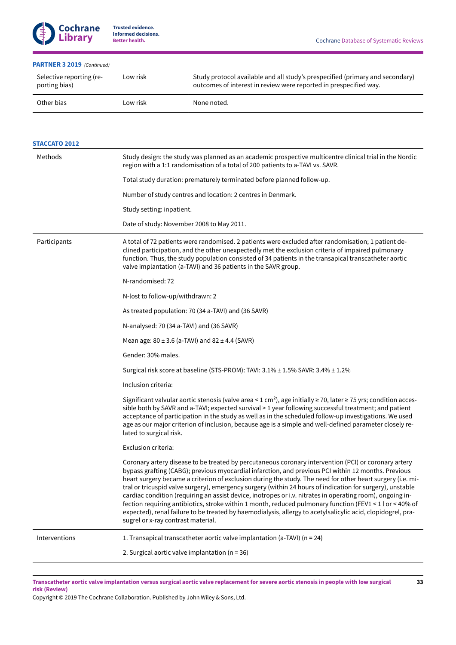# **[PARTNER](#page-21-6) 3 2019**  *(Continued)*

| Selective reporting (re-<br>porting bias) | Low risk | Study protocol available and all study's prespecified (primary and secondary)<br>outcomes of interest in review were reported in prespecified way. |
|-------------------------------------------|----------|----------------------------------------------------------------------------------------------------------------------------------------------------|
| Other bias                                | Low risk | None noted.                                                                                                                                        |

| <b>STACCATO 2012</b> |                                                                                                                                                                                                                                                                                                                                                                                                                                                                                                                                                                                                                                                                                                                                                                                                                      |  |  |
|----------------------|----------------------------------------------------------------------------------------------------------------------------------------------------------------------------------------------------------------------------------------------------------------------------------------------------------------------------------------------------------------------------------------------------------------------------------------------------------------------------------------------------------------------------------------------------------------------------------------------------------------------------------------------------------------------------------------------------------------------------------------------------------------------------------------------------------------------|--|--|
| Methods              | Study design: the study was planned as an academic prospective multicentre clinical trial in the Nordic<br>region with a 1:1 randomisation of a total of 200 patients to a-TAVI vs. SAVR.                                                                                                                                                                                                                                                                                                                                                                                                                                                                                                                                                                                                                            |  |  |
|                      | Total study duration: prematurely terminated before planned follow-up.                                                                                                                                                                                                                                                                                                                                                                                                                                                                                                                                                                                                                                                                                                                                               |  |  |
|                      | Number of study centres and location: 2 centres in Denmark.                                                                                                                                                                                                                                                                                                                                                                                                                                                                                                                                                                                                                                                                                                                                                          |  |  |
|                      | Study setting: inpatient.                                                                                                                                                                                                                                                                                                                                                                                                                                                                                                                                                                                                                                                                                                                                                                                            |  |  |
|                      | Date of study: November 2008 to May 2011.                                                                                                                                                                                                                                                                                                                                                                                                                                                                                                                                                                                                                                                                                                                                                                            |  |  |
| Participants         | A total of 72 patients were randomised. 2 patients were excluded after randomisation; 1 patient de-<br>clined participation, and the other unexpectedly met the exclusion criteria of impaired pulmonary<br>function. Thus, the study population consisted of 34 patients in the transapical transcatheter aortic<br>valve implantation (a-TAVI) and 36 patients in the SAVR group.                                                                                                                                                                                                                                                                                                                                                                                                                                  |  |  |
|                      | N-randomised: 72                                                                                                                                                                                                                                                                                                                                                                                                                                                                                                                                                                                                                                                                                                                                                                                                     |  |  |
|                      | N-lost to follow-up/withdrawn: 2                                                                                                                                                                                                                                                                                                                                                                                                                                                                                                                                                                                                                                                                                                                                                                                     |  |  |
|                      | As treated population: 70 (34 a-TAVI) and (36 SAVR)                                                                                                                                                                                                                                                                                                                                                                                                                                                                                                                                                                                                                                                                                                                                                                  |  |  |
|                      | N-analysed: 70 (34 a-TAVI) and (36 SAVR)                                                                                                                                                                                                                                                                                                                                                                                                                                                                                                                                                                                                                                                                                                                                                                             |  |  |
|                      | Mean age: $80 \pm 3.6$ (a-TAVI) and $82 \pm 4.4$ (SAVR)                                                                                                                                                                                                                                                                                                                                                                                                                                                                                                                                                                                                                                                                                                                                                              |  |  |
|                      | Gender: 30% males.                                                                                                                                                                                                                                                                                                                                                                                                                                                                                                                                                                                                                                                                                                                                                                                                   |  |  |
|                      | Surgical risk score at baseline (STS-PROM): TAVI: 3.1% ± 1.5% SAVR: 3.4% ± 1.2%                                                                                                                                                                                                                                                                                                                                                                                                                                                                                                                                                                                                                                                                                                                                      |  |  |
|                      | Inclusion criteria:                                                                                                                                                                                                                                                                                                                                                                                                                                                                                                                                                                                                                                                                                                                                                                                                  |  |  |
|                      | Significant valvular aortic stenosis (valve area < 1 cm <sup>2</sup> ), age initially $\geq$ 70, later $\geq$ 75 yrs; condition acces-<br>sible both by SAVR and a-TAVI; expected survival > 1 year following successful treatment; and patient<br>acceptance of participation in the study as well as in the scheduled follow-up investigations. We used<br>age as our major criterion of inclusion, because age is a simple and well-defined parameter closely re-<br>lated to surgical risk.                                                                                                                                                                                                                                                                                                                      |  |  |
|                      | Exclusion criteria:                                                                                                                                                                                                                                                                                                                                                                                                                                                                                                                                                                                                                                                                                                                                                                                                  |  |  |
|                      | Coronary artery disease to be treated by percutaneous coronary intervention (PCI) or coronary artery<br>bypass grafting (CABG); previous myocardial infarction, and previous PCI within 12 months. Previous<br>heart surgery became a criterion of exclusion during the study. The need for other heart surgery (i.e. mi-<br>tral or tricuspid valve surgery), emergency surgery (within 24 hours of indication for surgery), unstable<br>cardiac condition (requiring an assist device, inotropes or i.v. nitrates in operating room), ongoing in-<br>fection requiring antibiotics, stroke within 1 month, reduced pulmonary function (FEV1 < 1 l or < 40% of<br>expected), renal failure to be treated by haemodialysis, allergy to acetylsalicylic acid, clopidogrel, pra-<br>sugrel or x-ray contrast material. |  |  |
| Interventions        | 1. Transapical transcatheter aortic valve implantation (a-TAVI) (n = 24)                                                                                                                                                                                                                                                                                                                                                                                                                                                                                                                                                                                                                                                                                                                                             |  |  |
|                      | 2. Surgical aortic valve implantation ( $n = 36$ )                                                                                                                                                                                                                                                                                                                                                                                                                                                                                                                                                                                                                                                                                                                                                                   |  |  |

Transcatheter aortic valve implantation versus surgical aortic valve replacement for severe aortic stenosis in people with low surgical **risk (Review)**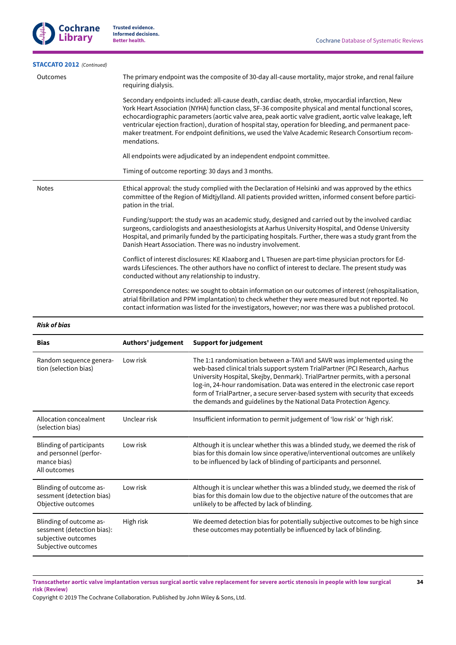

| <b>STACCATO 2012</b> (Continued) |                                                                                                                                                                                                                                                                                                                                                                                                                                                                                                                                                  |  |  |  |
|----------------------------------|--------------------------------------------------------------------------------------------------------------------------------------------------------------------------------------------------------------------------------------------------------------------------------------------------------------------------------------------------------------------------------------------------------------------------------------------------------------------------------------------------------------------------------------------------|--|--|--|
| Outcomes                         | The primary endpoint was the composite of 30-day all-cause mortality, major stroke, and renal failure<br>requiring dialysis.                                                                                                                                                                                                                                                                                                                                                                                                                     |  |  |  |
|                                  | Secondary endpoints included: all-cause death, cardiac death, stroke, myocardial infarction, New<br>York Heart Association (NYHA) function class, SF-36 composite physical and mental functional scores,<br>echocardiographic parameters (aortic valve area, peak aortic valve gradient, aortic valve leakage, left<br>ventricular ejection fraction), duration of hospital stay, operation for bleeding, and permanent pace-<br>maker treatment. For endpoint definitions, we used the Valve Academic Research Consortium recom-<br>mendations. |  |  |  |
|                                  | All endpoints were adjudicated by an independent endpoint committee.                                                                                                                                                                                                                                                                                                                                                                                                                                                                             |  |  |  |
|                                  | Timing of outcome reporting: 30 days and 3 months.                                                                                                                                                                                                                                                                                                                                                                                                                                                                                               |  |  |  |
| <b>Notes</b>                     | Ethical approval: the study complied with the Declaration of Helsinki and was approved by the ethics<br>committee of the Region of Midtjylland. All patients provided written, informed consent before partici-<br>pation in the trial.                                                                                                                                                                                                                                                                                                          |  |  |  |
|                                  | Funding/support: the study was an academic study, designed and carried out by the involved cardiac<br>surgeons, cardiologists and anaesthesiologists at Aarhus University Hospital, and Odense University<br>Hospital, and primarily funded by the participating hospitals. Further, there was a study grant from the<br>Danish Heart Association. There was no industry involvement.                                                                                                                                                            |  |  |  |
|                                  | Conflict of interest disclosures: KE Klaaborg and L Thuesen are part-time physician proctors for Ed-<br>wards Lifesciences. The other authors have no conflict of interest to declare. The present study was<br>conducted without any relationship to industry.                                                                                                                                                                                                                                                                                  |  |  |  |
|                                  | Correspondence notes: we sought to obtain information on our outcomes of interest (rehospitalisation,<br>atrial fibrillation and PPM implantation) to check whether they were measured but not reported. No<br>contact information was listed for the investigators, however; nor was there was a published protocol.                                                                                                                                                                                                                            |  |  |  |
|                                  |                                                                                                                                                                                                                                                                                                                                                                                                                                                                                                                                                  |  |  |  |

# *Risk of bias*

| <b>Bias</b>                                                                                         | Authors' judgement | <b>Support for judgement</b>                                                                                                                                                                                                                                                                                                                                                                                                                                                   |
|-----------------------------------------------------------------------------------------------------|--------------------|--------------------------------------------------------------------------------------------------------------------------------------------------------------------------------------------------------------------------------------------------------------------------------------------------------------------------------------------------------------------------------------------------------------------------------------------------------------------------------|
| Random sequence genera-<br>tion (selection bias)                                                    | Low risk           | The 1:1 randomisation between a-TAVI and SAVR was implemented using the<br>web-based clinical trials support system TrialPartner (PCI Research, Aarhus<br>University Hospital, Skejby, Denmark). TrialPartner permits, with a personal<br>log-in, 24-hour randomisation. Data was entered in the electronic case report<br>form of TrialPartner, a secure server-based system with security that exceeds<br>the demands and guidelines by the National Data Protection Agency. |
| Allocation concealment<br>(selection bias)                                                          | Unclear risk       | Insufficient information to permit judgement of 'low risk' or 'high risk'.                                                                                                                                                                                                                                                                                                                                                                                                     |
| <b>Blinding of participants</b><br>and personnel (perfor-<br>mance bias)<br>All outcomes            | Low risk           | Although it is unclear whether this was a blinded study, we deemed the risk of<br>bias for this domain low since operative/interventional outcomes are unlikely<br>to be influenced by lack of blinding of participants and personnel.                                                                                                                                                                                                                                         |
| Blinding of outcome as-<br>sessment (detection bias)<br>Objective outcomes                          | Low risk           | Although it is unclear whether this was a blinded study, we deemed the risk of<br>bias for this domain low due to the objective nature of the outcomes that are<br>unlikely to be affected by lack of blinding.                                                                                                                                                                                                                                                                |
| Blinding of outcome as-<br>sessment (detection bias):<br>subjective outcomes<br>Subjective outcomes | High risk          | We deemed detection bias for potentially subjective outcomes to be high since<br>these outcomes may potentially be influenced by lack of blinding.                                                                                                                                                                                                                                                                                                                             |

Transcatheter aortic valve implantation versus surgical aortic valve replacement for severe aortic stenosis in people with low surgical **risk (Review)**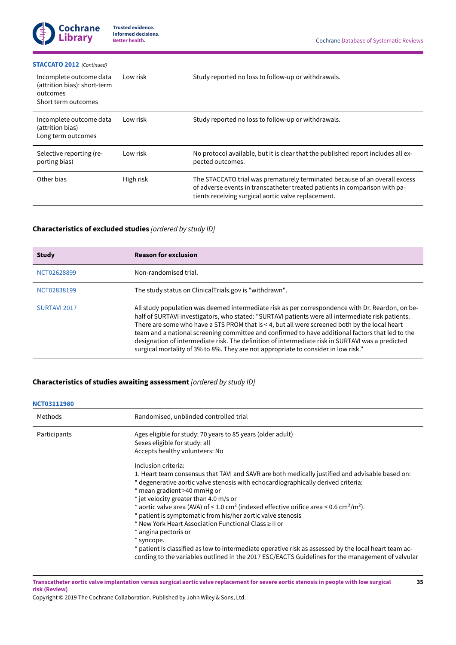#### **[STACCATO](#page-21-4) 2012**  *(Continued)*

| Incomplete outcome data<br>(attrition bias): short-term<br>outcomes<br>Short term outcomes | Low risk  | Study reported no loss to follow-up or withdrawals.                                                                                                                                                             |
|--------------------------------------------------------------------------------------------|-----------|-----------------------------------------------------------------------------------------------------------------------------------------------------------------------------------------------------------------|
| Incomplete outcome data<br>(attrition bias)<br>Long term outcomes                          | Low risk  | Study reported no loss to follow-up or withdrawals.                                                                                                                                                             |
| Selective reporting (re-<br>porting bias)                                                  | Low risk  | No protocol available, but it is clear that the published report includes all ex-<br>pected outcomes.                                                                                                           |
| Other bias                                                                                 | High risk | The STACCATO trial was prematurely terminated because of an overall excess<br>of adverse events in transcatheter treated patients in comparison with pa-<br>tients receiving surgical aortic valve replacement. |

# <span id="page-37-0"></span>**Characteristics of excluded studies** *[ordered by study ID]*

| <b>Study</b> | <b>Reason for exclusion</b>                                                                                                                                                                                                                                                                                                                                                                                                                                                                                                                                                                          |
|--------------|------------------------------------------------------------------------------------------------------------------------------------------------------------------------------------------------------------------------------------------------------------------------------------------------------------------------------------------------------------------------------------------------------------------------------------------------------------------------------------------------------------------------------------------------------------------------------------------------------|
| NCT02628899  | Non-randomised trial.                                                                                                                                                                                                                                                                                                                                                                                                                                                                                                                                                                                |
| NCT02838199  | The study status on Clinical Trials.gov is "withdrawn".                                                                                                                                                                                                                                                                                                                                                                                                                                                                                                                                              |
| SURTAVI 2017 | All study population was deemed intermediate risk as per correspondence with Dr. Reardon, on be-<br>half of SURTAVI investigators, who stated: "SURTAVI patients were all intermediate risk patients.<br>There are some who have a STS PROM that is < 4, but all were screened both by the local heart<br>team and a national screening committee and confirmed to have additional factors that led to the<br>designation of intermediate risk. The definition of intermediate risk in SURTAVI was a predicted<br>surgical mortality of 3% to 8%. They are not appropriate to consider in low risk." |

# **Characteristics of studies awaiting assessment** *[ordered by study ID]*

# Methods Randomised, unblinded controlled trial Participants **Ages eligible for study: 70 years to 85 years (older adult)** Participants Sexes eligible for study: all Accepts healthy volunteers: No Inclusion criteria: 1. Heart team consensus that TAVI and SAVR are both medically justified and advisable based on: \* degenerative aortic valve stenosis with echocardiographically derived criteria: \* mean gradient >40 mmHg or \* jet velocity greater than 4.0 m/s or \* aortic valve area (AVA) of < 1.0 cm<sup>2</sup> (indexed effective orifice area < 0.6 cm<sup>2</sup>/m<sup>2</sup>). \* patient is symptomatic from his/her aortic valve stenosis \* New York Heart Association Functional Class ≥ II or \* angina pectoris or \* syncope. \* patient is classified as low to intermediate operative risk as assessed by the local heart team according to the variables outlined in the 2017 ESC/EACTS Guidelines for the management of valvular **[NCT03112980](#page-22-13)**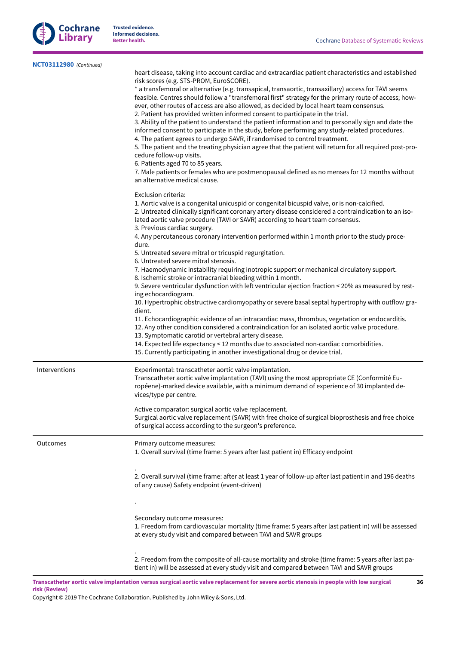

| NCT03112980 (Continued) |                                                                                                                                                                                                                                                                                                                                                                                                                                                                                                                                                                                                                                                                                                                                                                                                                                                                                                                                                                                                                                                                                                                                                 |
|-------------------------|-------------------------------------------------------------------------------------------------------------------------------------------------------------------------------------------------------------------------------------------------------------------------------------------------------------------------------------------------------------------------------------------------------------------------------------------------------------------------------------------------------------------------------------------------------------------------------------------------------------------------------------------------------------------------------------------------------------------------------------------------------------------------------------------------------------------------------------------------------------------------------------------------------------------------------------------------------------------------------------------------------------------------------------------------------------------------------------------------------------------------------------------------|
|                         | heart disease, taking into account cardiac and extracardiac patient characteristics and established<br>risk scores (e.g. STS-PROM, EuroSCORE).<br>* a transfemoral or alternative (e.g. transapical, transaortic, transaxillary) access for TAVI seems<br>feasible. Centres should follow a "transfemoral first" strategy for the primary route of access; how-<br>ever, other routes of access are also allowed, as decided by local heart team consensus.<br>2. Patient has provided written informed consent to participate in the trial.<br>3. Ability of the patient to understand the patient information and to personally sign and date the<br>informed consent to participate in the study, before performing any study-related procedures.<br>4. The patient agrees to undergo SAVR, if randomised to control treatment.<br>5. The patient and the treating physician agree that the patient will return for all required post-pro-<br>cedure follow-up visits.<br>6. Patients aged 70 to 85 years.<br>7. Male patients or females who are postmenopausal defined as no menses for 12 months without<br>an alternative medical cause. |
|                         | Exclusion criteria:<br>1. Aortic valve is a congenital unicuspid or congenital bicuspid valve, or is non-calcified.<br>2. Untreated clinically significant coronary artery disease considered a contraindication to an iso-<br>lated aortic valve procedure (TAVI or SAVR) according to heart team consensus.<br>3. Previous cardiac surgery.                                                                                                                                                                                                                                                                                                                                                                                                                                                                                                                                                                                                                                                                                                                                                                                                   |
|                         | 4. Any percutaneous coronary intervention performed within 1 month prior to the study proce-<br>dure.<br>5. Untreated severe mitral or tricuspid regurgitation.<br>6. Untreated severe mitral stenosis.                                                                                                                                                                                                                                                                                                                                                                                                                                                                                                                                                                                                                                                                                                                                                                                                                                                                                                                                         |
|                         | 7. Haemodynamic instability requiring inotropic support or mechanical circulatory support.<br>8. Ischemic stroke or intracranial bleeding within 1 month.<br>9. Severe ventricular dysfunction with left ventricular ejection fraction < 20% as measured by rest-<br>ing echocardiogram.<br>10. Hypertrophic obstructive cardiomyopathy or severe basal septal hypertrophy with outflow gra-                                                                                                                                                                                                                                                                                                                                                                                                                                                                                                                                                                                                                                                                                                                                                    |
|                         | dient.<br>11. Echocardiographic evidence of an intracardiac mass, thrombus, vegetation or endocarditis.<br>12. Any other condition considered a contraindication for an isolated aortic valve procedure.<br>13. Symptomatic carotid or vertebral artery disease.<br>14. Expected life expectancy < 12 months due to associated non-cardiac comorbidities.<br>15. Currently participating in another investigational drug or device trial.                                                                                                                                                                                                                                                                                                                                                                                                                                                                                                                                                                                                                                                                                                       |
| Interventions           | Experimental: transcatheter aortic valve implantation.<br>Transcatheter aortic valve implantation (TAVI) using the most appropriate CE (Conformité Eu-<br>ropéene)-marked device available, with a minimum demand of experience of 30 implanted de-<br>vices/type per centre.                                                                                                                                                                                                                                                                                                                                                                                                                                                                                                                                                                                                                                                                                                                                                                                                                                                                   |
|                         | Active comparator: surgical aortic valve replacement.<br>Surgical aortic valve replacement (SAVR) with free choice of surgical bioprosthesis and free choice<br>of surgical access according to the surgeon's preference.                                                                                                                                                                                                                                                                                                                                                                                                                                                                                                                                                                                                                                                                                                                                                                                                                                                                                                                       |
| Outcomes                | Primary outcome measures:<br>1. Overall survival (time frame: 5 years after last patient in) Efficacy endpoint                                                                                                                                                                                                                                                                                                                                                                                                                                                                                                                                                                                                                                                                                                                                                                                                                                                                                                                                                                                                                                  |
|                         | 2. Overall survival (time frame: after at least 1 year of follow-up after last patient in and 196 deaths<br>of any cause) Safety endpoint (event-driven)                                                                                                                                                                                                                                                                                                                                                                                                                                                                                                                                                                                                                                                                                                                                                                                                                                                                                                                                                                                        |
|                         | Secondary outcome measures:<br>1. Freedom from cardiovascular mortality (time frame: 5 years after last patient in) will be assessed<br>at every study visit and compared between TAVI and SAVR groups                                                                                                                                                                                                                                                                                                                                                                                                                                                                                                                                                                                                                                                                                                                                                                                                                                                                                                                                          |
|                         | 2. Freedom from the composite of all-cause mortality and stroke (time frame: 5 years after last pa-<br>tient in) will be assessed at every study visit and compared between TAVI and SAVR groups                                                                                                                                                                                                                                                                                                                                                                                                                                                                                                                                                                                                                                                                                                                                                                                                                                                                                                                                                |

Transcatheter aortic valve implantation versus surgical aortic valve replacement for severe aortic stenosis in people with low surgical **risk (Review)**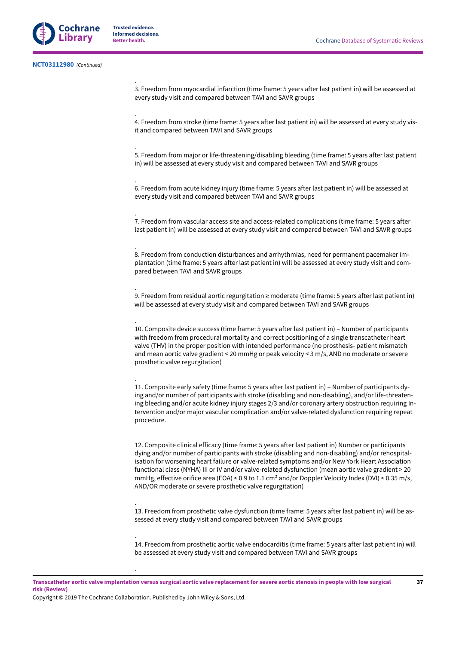.

.

.

.

.

.

.

.

.

3. Freedom from myocardial infarction (time frame: 5 years after last patient in) will be assessed at every study visit and compared between TAVI and SAVR groups

4. Freedom from stroke (time frame: 5 years after last patient in) will be assessed at every study visit and compared between TAVI and SAVR groups

5. Freedom from major or life-threatening/disabling bleeding (time frame: 5 years after last patient in) will be assessed at every study visit and compared between TAVI and SAVR groups

6. Freedom from acute kidney injury (time frame: 5 years after last patient in) will be assessed at every study visit and compared between TAVI and SAVR groups

7. Freedom from vascular access site and access-related complications (time frame: 5 years after last patient in) will be assessed at every study visit and compared between TAVI and SAVR groups

8. Freedom from conduction disturbances and arrhythmias, need for permanent pacemaker implantation (time frame: 5 years after last patient in) will be assessed at every study visit and compared between TAVI and SAVR groups

9. Freedom from residual aortic regurgitation ≥ moderate (time frame: 5 years after last patient in) will be assessed at every study visit and compared between TAVI and SAVR groups

10. Composite device success (time frame: 5 years after last patient in) – Number of participants with freedom from procedural mortality and correct positioning of a single transcatheter heart valve (THV) in the proper position with intended performance (no prosthesis- patient mismatch and mean aortic valve gradient < 20 mmHg or peak velocity < 3 m/s, AND no moderate or severe prosthetic valve regurgitation)

11. Composite early safety (time frame: 5 years after last patient in) ‒ Number of participants dying and/or number of participants with stroke (disabling and non-disabling), and/or life-threatening bleeding and/or acute kidney injury stages 2/3 and/or coronary artery obstruction requiring Intervention and/or major vascular complication and/or valve-related dysfunction requiring repeat procedure.

12. Composite clinical efficacy (time frame: 5 years after last patient in) Number or participants dying and/or number of participants with stroke (disabling and non-disabling) and/or rehospitalisation for worsening heart failure or valve-related symptoms and/or New York Heart Association functional class (NYHA) III or IV and/or valve-related dysfunction (mean aortic valve gradient > 20 mmHg, effective orifice area (EOA) < 0.9 to 1.1 cm<sup>2</sup> and/or Doppler Velocity Index (DVI) < 0.35 m/s, AND/OR moderate or severe prosthetic valve regurgitation)

13. Freedom from prosthetic valve dysfunction (time frame: 5 years after last patient in) will be assessed at every study visit and compared between TAVI and SAVR groups

14. Freedom from prosthetic aortic valve endocarditis (time frame: 5 years after last patient in) will be assessed at every study visit and compared between TAVI and SAVR groups

Transcatheter aortic valve implantation versus surgical aortic valve replacement for severe aortic stenosis in people with low surgical **risk (Review)**

Copyright © 2019 The Cochrane Collaboration. Published by John Wiley & Sons, Ltd.

.

.

.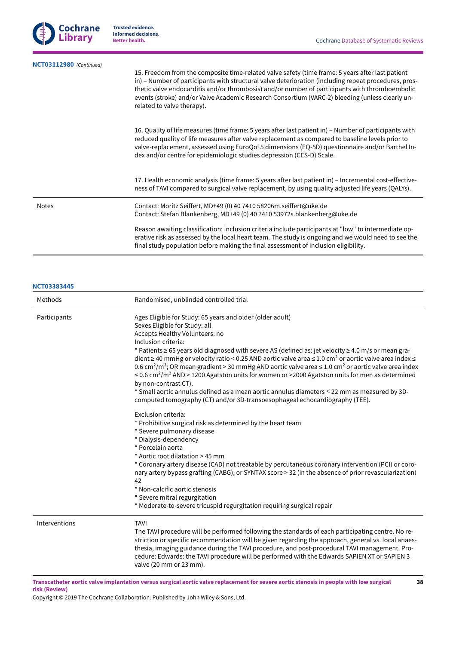| <b>Cochrane</b> |
|-----------------|
| Librarv         |

| NCT03112980 (Continued) | 15. Freedom from the composite time-related valve safety (time frame: 5 years after last patient<br>in) – Number of participants with structural valve deterioration (including repeat procedures, pros-                                                                                                                                                                               |
|-------------------------|----------------------------------------------------------------------------------------------------------------------------------------------------------------------------------------------------------------------------------------------------------------------------------------------------------------------------------------------------------------------------------------|
|                         | thetic valve endocarditis and/or thrombosis) and/or number of participants with thromboembolic<br>events (stroke) and/or Valve Academic Research Consortium (VARC-2) bleeding (unless clearly un-<br>related to valve therapy).                                                                                                                                                        |
|                         | 16. Quality of life measures (time frame: 5 years after last patient in) – Number of participants with<br>reduced quality of life measures after valve replacement as compared to baseline levels prior to<br>valve-replacement, assessed using EuroQol 5 dimensions (EQ-5D) questionnaire and/or Barthel In-<br>dex and/or centre for epidemiologic studies depression (CES-D) Scale. |
|                         |                                                                                                                                                                                                                                                                                                                                                                                        |

17. Health economic analysis (time frame: 5 years after last patient in) – Incremental cost-effectiveness of TAVI compared to surgical valve replacement, by using quality adjusted life years (QALYs).

Notes Contact: Moritz Seiffert, MD+49 (0) 40 7410 58206m.seiffert@uke.de Contact: Stefan Blankenberg, MD+49 (0) 40 7410 53972s.blankenberg@uke.de

> Reason awaiting classification: inclusion criteria include participants at "low" to intermediate operative risk as assessed by the local heart team. The study is ongoing and we would need to see the final study population before making the final assessment of inclusion eligibility.

# **[NCT03383445](#page-22-14)**

| Methods       | Randomised, unblinded controlled trial                                                                                                                                                                                                                                                                                                                                                                                                                                                                                                                                                                                                                                                                                                                                                                                                                                           |
|---------------|----------------------------------------------------------------------------------------------------------------------------------------------------------------------------------------------------------------------------------------------------------------------------------------------------------------------------------------------------------------------------------------------------------------------------------------------------------------------------------------------------------------------------------------------------------------------------------------------------------------------------------------------------------------------------------------------------------------------------------------------------------------------------------------------------------------------------------------------------------------------------------|
| Participants  | Ages Eligible for Study: 65 years and older (older adult)<br>Sexes Eligible for Study: all<br>Accepts Healthy Volunteers: no<br>Inclusion criteria:<br>* Patients $\geq$ 65 years old diagnosed with severe AS (defined as: jet velocity $\geq$ 4.0 m/s or mean gra-<br>dient ≥ 40 mmHg or velocity ratio < 0.25 AND aortic valve area ≤ 1.0 cm <sup>2</sup> or aortic valve area index ≤<br>0.6 cm <sup>2</sup> /m <sup>2</sup> ; OR mean gradient > 30 mmHg AND aortic valve area $\leq$ 1.0 cm <sup>2</sup> or aortic valve area index<br>$\leq$ 0.6 cm <sup>2</sup> /m <sup>2</sup> AND > 1200 Agatston units for women or >2000 Agatston units for men as determined<br>by non-contrast CT).<br>* Small aortic annulus defined as a mean aortic annulus diameters < 22 mm as measured by 3D-<br>computed tomography (CT) and/or 3D-transoesophageal echocardiography (TEE). |
|               | Exclusion criteria:<br>* Prohibitive surgical risk as determined by the heart team<br>* Severe pulmonary disease<br>* Dialysis-dependency<br>* Porcelain aorta<br>* Aortic root dilatation > 45 mm<br>* Coronary artery disease (CAD) not treatable by percutaneous coronary intervention (PCI) or coro-<br>nary artery bypass grafting (CABG), or SYNTAX score > 32 (in the absence of prior revascularization)<br>42<br>* Non-calcific aortic stenosis<br>* Severe mitral regurgitation<br>* Moderate-to-severe tricuspid regurgitation requiring surgical repair                                                                                                                                                                                                                                                                                                              |
| Interventions | <b>TAVI</b><br>The TAVI procedure will be performed following the standards of each participating centre. No re-<br>striction or specific recommendation will be given regarding the approach, general vs. local anaes-<br>thesia, imaging guidance during the TAVI procedure, and post-procedural TAVI management. Pro-<br>cedure: Edwards: the TAVI procedure will be performed with the Edwards SAPIEN XT or SAPIEN 3<br>valve (20 mm or 23 mm).                                                                                                                                                                                                                                                                                                                                                                                                                              |

Transcatheter aortic valve implantation versus surgical aortic valve replacement for severe aortic stenosis in people with low surgical **risk (Review)**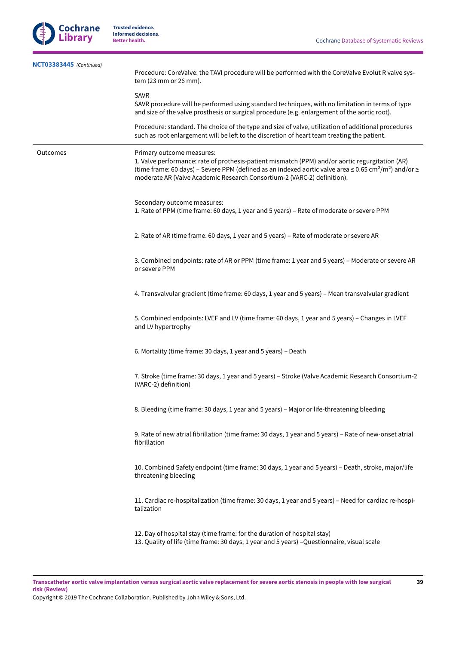**39**



**Trusted evidence. Informed decisions.**

| NCT03383445 (Continued) | Procedure: CoreValve: the TAVI procedure will be performed with the CoreValve Evolut R valve sys-<br>tem (23 mm or 26 mm).                                                                                                                                                                                                               |  |  |  |  |
|-------------------------|------------------------------------------------------------------------------------------------------------------------------------------------------------------------------------------------------------------------------------------------------------------------------------------------------------------------------------------|--|--|--|--|
|                         | <b>SAVR</b><br>SAVR procedure will be performed using standard techniques, with no limitation in terms of type<br>and size of the valve prosthesis or surgical procedure (e.g. enlargement of the aortic root).                                                                                                                          |  |  |  |  |
|                         | Procedure: standard. The choice of the type and size of valve, utilization of additional procedures<br>such as root enlargement will be left to the discretion of heart team treating the patient.                                                                                                                                       |  |  |  |  |
| Outcomes                | Primary outcome measures:<br>1. Valve performance: rate of prothesis-patient mismatch (PPM) and/or aortic regurgitation (AR)<br>(time frame: 60 days) – Severe PPM (defined as an indexed aortic valve area ≤ 0.65 cm <sup>2</sup> /m <sup>2</sup> ) and/or ≥<br>moderate AR (Valve Academic Research Consortium-2 (VARC-2) definition). |  |  |  |  |
|                         | Secondary outcome measures:<br>1. Rate of PPM (time frame: 60 days, 1 year and 5 years) - Rate of moderate or severe PPM                                                                                                                                                                                                                 |  |  |  |  |
|                         | 2. Rate of AR (time frame: 60 days, 1 year and 5 years) - Rate of moderate or severe AR                                                                                                                                                                                                                                                  |  |  |  |  |
|                         | 3. Combined endpoints: rate of AR or PPM (time frame: 1 year and 5 years) - Moderate or severe AR<br>or severe PPM                                                                                                                                                                                                                       |  |  |  |  |
|                         | 4. Transvalvular gradient (time frame: 60 days, 1 year and 5 years) - Mean transvalvular gradient                                                                                                                                                                                                                                        |  |  |  |  |
|                         | 5. Combined endpoints: LVEF and LV (time frame: 60 days, 1 year and 5 years) - Changes in LVEF<br>and LV hypertrophy                                                                                                                                                                                                                     |  |  |  |  |
|                         | 6. Mortality (time frame: 30 days, 1 year and 5 years) - Death                                                                                                                                                                                                                                                                           |  |  |  |  |
|                         | 7. Stroke (time frame: 30 days, 1 year and 5 years) - Stroke (Valve Academic Research Consortium-2<br>(VARC-2) definition)                                                                                                                                                                                                               |  |  |  |  |
|                         | 8. Bleeding (time frame: 30 days, 1 year and 5 years) - Major or life-threatening bleeding                                                                                                                                                                                                                                               |  |  |  |  |
|                         | 9. Rate of new atrial fibrillation (time frame: 30 days, 1 year and 5 years) - Rate of new-onset atrial<br>fibrillation                                                                                                                                                                                                                  |  |  |  |  |
|                         | 10. Combined Safety endpoint (time frame: 30 days, 1 year and 5 years) - Death, stroke, major/life<br>threatening bleeding                                                                                                                                                                                                               |  |  |  |  |
|                         | 11. Cardiac re-hospitalization (time frame: 30 days, 1 year and 5 years) - Need for cardiac re-hospi-<br>talization                                                                                                                                                                                                                      |  |  |  |  |
|                         | 12. Day of hospital stay (time frame: for the duration of hospital stay)<br>13. Quality of life (time frame: 30 days, 1 year and 5 years) - Questionnaire, visual scale                                                                                                                                                                  |  |  |  |  |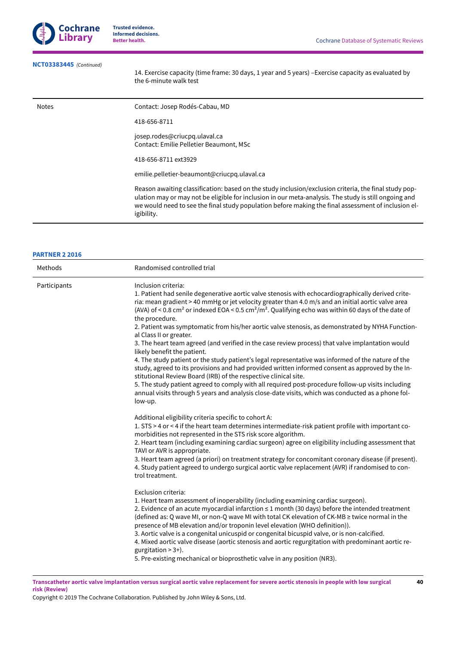

# **[NCT03383445](#page-22-14)**  *(Continued)*

14. Exercise capacity (time frame: 30 days, 1 year and 5 years) -Exercise capacity as evaluated by the 6-minute walk test

| Notes | Contact: Josep Rodés-Cabau, MD                                                                                                                                                                                                                                                                                                      |
|-------|-------------------------------------------------------------------------------------------------------------------------------------------------------------------------------------------------------------------------------------------------------------------------------------------------------------------------------------|
|       | 418-656-8711                                                                                                                                                                                                                                                                                                                        |
|       | josep.rodes@criucpg.ulaval.ca<br>Contact: Emilie Pelletier Beaumont, MSc                                                                                                                                                                                                                                                            |
|       | 418-656-8711 ext3929                                                                                                                                                                                                                                                                                                                |
|       | emilie.pelletier-beaumont@criucpq.ulaval.ca                                                                                                                                                                                                                                                                                         |
|       | Reason awaiting classification: based on the study inclusion/exclusion criteria, the final study pop-<br>ulation may or may not be eligible for inclusion in our meta-analysis. The study is still ongoing and<br>we would need to see the final study population before making the final assessment of inclusion el-<br>igibility. |

# **[PARTNER](#page-22-15) 2 2016**

| Methods      | Randomised controlled trial                                                                                                                                                                                                                                                                                                                                                                                                                                                                                                                                                                                                                                                                                                                                                                                                                                                                                                                                                                                                                                                                                                                                      |
|--------------|------------------------------------------------------------------------------------------------------------------------------------------------------------------------------------------------------------------------------------------------------------------------------------------------------------------------------------------------------------------------------------------------------------------------------------------------------------------------------------------------------------------------------------------------------------------------------------------------------------------------------------------------------------------------------------------------------------------------------------------------------------------------------------------------------------------------------------------------------------------------------------------------------------------------------------------------------------------------------------------------------------------------------------------------------------------------------------------------------------------------------------------------------------------|
| Participants | Inclusion criteria:<br>1. Patient had senile degenerative aortic valve stenosis with echocardiographically derived crite-<br>ria: mean gradient > 40 mmHg or jet velocity greater than 4.0 m/s and an initial aortic valve area<br>(AVA) of < 0.8 cm <sup>2</sup> or indexed EOA < 0.5 cm <sup>2</sup> /m <sup>2</sup> . Qualifying echo was within 60 days of the date of<br>the procedure.<br>2. Patient was symptomatic from his/her aortic valve stenosis, as demonstrated by NYHA Function-<br>al Class II or greater.<br>3. The heart team agreed (and verified in the case review process) that valve implantation would<br>likely benefit the patient.<br>4. The study patient or the study patient's legal representative was informed of the nature of the<br>study, agreed to its provisions and had provided written informed consent as approved by the In-<br>stitutional Review Board (IRB) of the respective clinical site.<br>5. The study patient agreed to comply with all required post-procedure follow-up visits including<br>annual visits through 5 years and analysis close-date visits, which was conducted as a phone fol-<br>low-up. |
|              | Additional eligibility criteria specific to cohort A:<br>1. STS > 4 or < 4 if the heart team determines intermediate-risk patient profile with important co-<br>morbidities not represented in the STS risk score algorithm.<br>2. Heart team (including examining cardiac surgeon) agree on eligibility including assessment that<br>TAVI or AVR is appropriate.<br>3. Heart team agreed (a priori) on treatment strategy for concomitant coronary disease (if present).<br>4. Study patient agreed to undergo surgical aortic valve replacement (AVR) if randomised to con-<br>trol treatment.                                                                                                                                                                                                                                                                                                                                                                                                                                                                                                                                                                 |
|              | Exclusion criteria:<br>1. Heart team assessment of inoperability (including examining cardiac surgeon).<br>2. Evidence of an acute myocardial infarction ≤ 1 month (30 days) before the intended treatment<br>(defined as: Q wave MI, or non-Q wave MI with total CK elevation of CK-MB ≥ twice normal in the<br>presence of MB elevation and/or troponin level elevation (WHO definition)).<br>3. Aortic valve is a congenital unicuspid or congenital bicuspid valve, or is non-calcified.<br>4. Mixed aortic valve disease (aortic stenosis and aortic regurgitation with predominant aortic re-<br>gurgitation $> 3+$ ).<br>5. Pre-existing mechanical or bioprosthetic valve in any position (NR3).                                                                                                                                                                                                                                                                                                                                                                                                                                                         |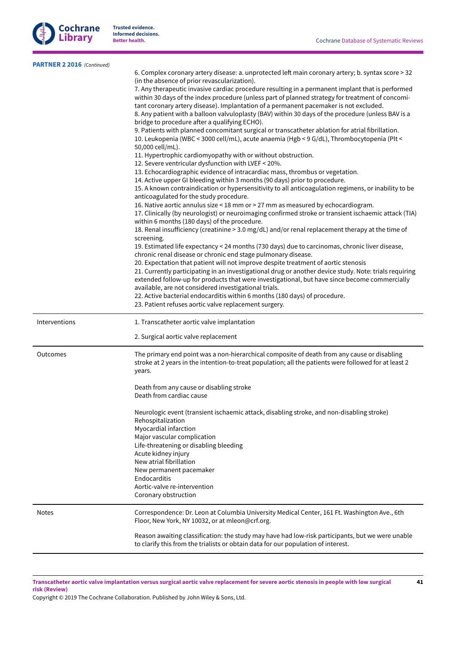

**41**

| PARTNER 2 2016 (Continued) |                                                                                                                                                                                                                                                                                                                                                                                                                                                                                                                                                                                                                                                                                                                                                                                                                                                                                                                                                                                                                                                                           |  |  |  |  |  |
|----------------------------|---------------------------------------------------------------------------------------------------------------------------------------------------------------------------------------------------------------------------------------------------------------------------------------------------------------------------------------------------------------------------------------------------------------------------------------------------------------------------------------------------------------------------------------------------------------------------------------------------------------------------------------------------------------------------------------------------------------------------------------------------------------------------------------------------------------------------------------------------------------------------------------------------------------------------------------------------------------------------------------------------------------------------------------------------------------------------|--|--|--|--|--|
|                            | 6. Complex coronary artery disease: a. unprotected left main coronary artery; b. syntax score > 32<br>(in the absence of prior revascularization).<br>7. Any therapeutic invasive cardiac procedure resulting in a permanent implant that is performed<br>within 30 days of the index procedure (unless part of planned strategy for treatment of concomi-<br>tant coronary artery disease). Implantation of a permanent pacemaker is not excluded.<br>8. Any patient with a balloon valvuloplasty (BAV) within 30 days of the procedure (unless BAV is a<br>bridge to procedure after a qualifying ECHO).<br>9. Patients with planned concomitant surgical or transcatheter ablation for atrial fibrillation.<br>10. Leukopenia (WBC < 3000 cell/mL), acute anaemia (Hgb < 9 G/dL), Thrombocytopenia (Plt <<br>50,000 cell/mL).<br>11. Hypertrophic cardiomyopathy with or without obstruction.                                                                                                                                                                          |  |  |  |  |  |
|                            | 12. Severe ventricular dysfunction with LVEF < 20%.<br>13. Echocardiographic evidence of intracardiac mass, thrombus or vegetation.<br>14. Active upper GI bleeding within 3 months (90 days) prior to procedure.<br>15. A known contraindication or hypersensitivity to all anticoagulation regimens, or inability to be                                                                                                                                                                                                                                                                                                                                                                                                                                                                                                                                                                                                                                                                                                                                                 |  |  |  |  |  |
|                            | anticoagulated for the study procedure.<br>16. Native aortic annulus size < 18 mm or > 27 mm as measured by echocardiogram.<br>17. Clinically (by neurologist) or neuroimaging confirmed stroke or transient ischaemic attack (TIA)<br>within 6 months (180 days) of the procedure.<br>18. Renal insufficiency (creatinine > 3.0 mg/dL) and/or renal replacement therapy at the time of<br>screening.<br>19. Estimated life expectancy < 24 months (730 days) due to carcinomas, chronic liver disease,<br>chronic renal disease or chronic end stage pulmonary disease.<br>20. Expectation that patient will not improve despite treatment of aortic stenosis<br>21. Currently participating in an investigational drug or another device study. Note: trials requiring<br>extended follow-up for products that were investigational, but have since become commercially<br>available, are not considered investigational trials.<br>22. Active bacterial endocarditis within 6 months (180 days) of procedure.<br>23. Patient refuses aortic valve replacement surgery. |  |  |  |  |  |
| Interventions              | 1. Transcatheter aortic valve implantation<br>2. Surgical aortic valve replacement                                                                                                                                                                                                                                                                                                                                                                                                                                                                                                                                                                                                                                                                                                                                                                                                                                                                                                                                                                                        |  |  |  |  |  |
| Outcomes                   | The primary end point was a non-hierarchical composite of death from any cause or disabling<br>stroke at 2 years in the intention-to-treat population; all the patients were followed for at least 2<br>years.<br>Death from any cause or disabling stroke                                                                                                                                                                                                                                                                                                                                                                                                                                                                                                                                                                                                                                                                                                                                                                                                                |  |  |  |  |  |
|                            | Death from cardiac cause<br>Neurologic event (transient ischaemic attack, disabling stroke, and non-disabling stroke)<br>Rehospitalization<br>Myocardial infarction<br>Major vascular complication<br>Life-threatening or disabling bleeding<br>Acute kidney injury<br>New atrial fibrillation<br>New permanent pacemaker                                                                                                                                                                                                                                                                                                                                                                                                                                                                                                                                                                                                                                                                                                                                                 |  |  |  |  |  |
|                            | Endocarditis<br>Aortic-valve re-intervention<br>Coronary obstruction                                                                                                                                                                                                                                                                                                                                                                                                                                                                                                                                                                                                                                                                                                                                                                                                                                                                                                                                                                                                      |  |  |  |  |  |
| <b>Notes</b>               | Correspondence: Dr. Leon at Columbia University Medical Center, 161 Ft. Washington Ave., 6th<br>Floor, New York, NY 10032, or at mleon@crf.org.<br>Reason awaiting classification: the study may have had low-risk participants, but we were unable                                                                                                                                                                                                                                                                                                                                                                                                                                                                                                                                                                                                                                                                                                                                                                                                                       |  |  |  |  |  |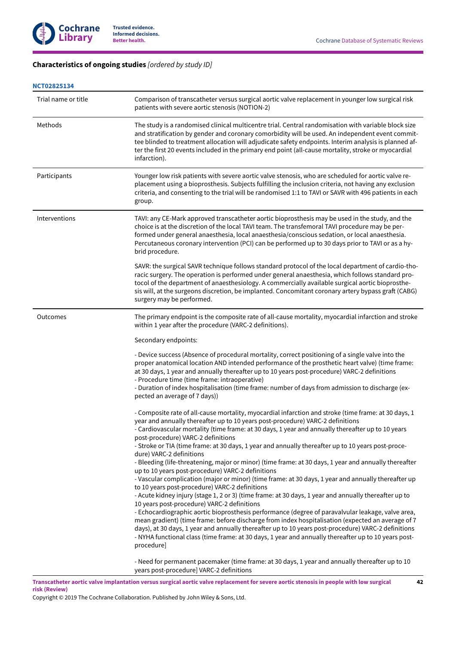# <span id="page-44-0"></span>**Characteristics of ongoing studies** *[ordered by study ID]*

### **[NCT02825134](#page-22-12)**

| Trial name or title | Comparison of transcatheter versus surgical aortic valve replacement in younger low surgical risk<br>patients with severe aortic stenosis (NOTION-2)                                                                                                                                                                                                                                                                                                                                                                                                                                                                                                                                                                                                                                                                                                                                                                                                                                                                                                                                                                                                                                                                                                                                                                                                                                                                                                                                         |
|---------------------|----------------------------------------------------------------------------------------------------------------------------------------------------------------------------------------------------------------------------------------------------------------------------------------------------------------------------------------------------------------------------------------------------------------------------------------------------------------------------------------------------------------------------------------------------------------------------------------------------------------------------------------------------------------------------------------------------------------------------------------------------------------------------------------------------------------------------------------------------------------------------------------------------------------------------------------------------------------------------------------------------------------------------------------------------------------------------------------------------------------------------------------------------------------------------------------------------------------------------------------------------------------------------------------------------------------------------------------------------------------------------------------------------------------------------------------------------------------------------------------------|
| Methods             | The study is a randomised clinical multicentre trial. Central randomisation with variable block size<br>and stratification by gender and coronary comorbidity will be used. An independent event commit-<br>tee blinded to treatment allocation will adjudicate safety endpoints. Interim analysis is planned af-<br>ter the first 20 events included in the primary end point (all-cause mortality, stroke or myocardial<br>infarction).                                                                                                                                                                                                                                                                                                                                                                                                                                                                                                                                                                                                                                                                                                                                                                                                                                                                                                                                                                                                                                                    |
| Participants        | Younger low risk patients with severe aortic valve stenosis, who are scheduled for aortic valve re-<br>placement using a bioprosthesis. Subjects fulfilling the inclusion criteria, not having any exclusion<br>criteria, and consenting to the trial will be randomised 1:1 to TAVI or SAVR with 496 patients in each<br>group.                                                                                                                                                                                                                                                                                                                                                                                                                                                                                                                                                                                                                                                                                                                                                                                                                                                                                                                                                                                                                                                                                                                                                             |
| Interventions       | TAVI: any CE-Mark approved transcatheter aortic bioprosthesis may be used in the study, and the<br>choice is at the discretion of the local TAVI team. The transfemoral TAVI procedure may be per-<br>formed under general anaesthesia, local anaesthesia/conscious sedation, or local anaesthesia.<br>Percutaneous coronary intervention (PCI) can be performed up to 30 days prior to TAVI or as a hy-<br>brid procedure.                                                                                                                                                                                                                                                                                                                                                                                                                                                                                                                                                                                                                                                                                                                                                                                                                                                                                                                                                                                                                                                                  |
|                     | SAVR: the surgical SAVR technique follows standard protocol of the local department of cardio-tho-<br>racic surgery. The operation is performed under general anaesthesia, which follows standard pro-<br>tocol of the department of anaesthesiology. A commercially available surgical aortic bioprosthe-<br>sis will, at the surgeons discretion, be implanted. Concomitant coronary artery bypass graft (CABG)<br>surgery may be performed.                                                                                                                                                                                                                                                                                                                                                                                                                                                                                                                                                                                                                                                                                                                                                                                                                                                                                                                                                                                                                                               |
| Outcomes            | The primary endpoint is the composite rate of all-cause mortality, myocardial infarction and stroke<br>within 1 year after the procedure (VARC-2 definitions).                                                                                                                                                                                                                                                                                                                                                                                                                                                                                                                                                                                                                                                                                                                                                                                                                                                                                                                                                                                                                                                                                                                                                                                                                                                                                                                               |
|                     | Secondary endpoints:                                                                                                                                                                                                                                                                                                                                                                                                                                                                                                                                                                                                                                                                                                                                                                                                                                                                                                                                                                                                                                                                                                                                                                                                                                                                                                                                                                                                                                                                         |
|                     | - Device success (Absence of procedural mortality, correct positioning of a single valve into the<br>proper anatomical location AND intended performance of the prosthetic heart valve) (time frame:<br>at 30 days, 1 year and annually thereafter up to 10 years post-procedure) VARC-2 definitions<br>- Procedure time (time frame: intraoperative)<br>- Duration of index hospitalisation (time frame: number of days from admission to discharge (ex-<br>pected an average of 7 days))                                                                                                                                                                                                                                                                                                                                                                                                                                                                                                                                                                                                                                                                                                                                                                                                                                                                                                                                                                                                   |
|                     | - Composite rate of all-cause mortality, myocardial infarction and stroke (time frame: at 30 days, 1<br>year and annually thereafter up to 10 years post-procedure) VARC-2 definitions<br>- Cardiovascular mortality (time frame: at 30 days, 1 year and annually thereafter up to 10 years<br>post-procedure) VARC-2 definitions<br>- Stroke or TIA (time frame: at 30 days, 1 year and annually thereafter up to 10 years post-proce-<br>dure) VARC-2 definitions<br>- Bleeding (life-threatening, major or minor) (time frame: at 30 days, 1 year and annually thereafter<br>up to 10 years post-procedure) VARC-2 definitions<br>- Vascular complication (major or minor) (time frame: at 30 days, 1 year and annually thereafter up<br>to 10 years post-procedure) VARC-2 definitions<br>- Acute kidney injury (stage 1, 2 or 3) (time frame: at 30 days, 1 year and annually thereafter up to<br>10 years post-procedure) VARC-2 definitions<br>- Echocardiographic aortic bioprosthesis performance (degree of paravalvular leakage, valve area,<br>mean gradient) (time frame: before discharge from index hospitalisation (expected an average of 7<br>days), at 30 days, 1 year and annually thereafter up to 10 years post-procedure) VARC-2 definitions<br>- NYHA functional class (time frame: at 30 days, 1 year and annually thereafter up to 10 years post-<br>procedure]<br>- Need for permanent pacemaker (time frame: at 30 days, 1 year and annually thereafter up to 10 |
|                     | years post-procedure] VARC-2 definitions                                                                                                                                                                                                                                                                                                                                                                                                                                                                                                                                                                                                                                                                                                                                                                                                                                                                                                                                                                                                                                                                                                                                                                                                                                                                                                                                                                                                                                                     |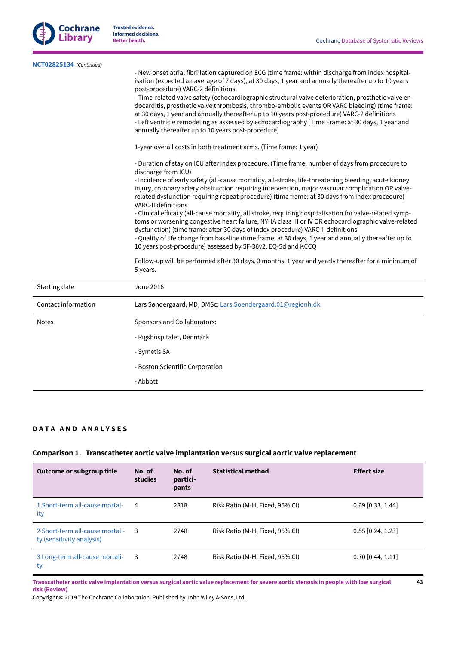**43**



**Trusted evidence. Informed decisions.**

| NCT02825134 (Continued) | - New onset atrial fibrillation captured on ECG (time frame: within discharge from index hospital-<br>isation (expected an average of 7 days), at 30 days, 1 year and annually thereafter up to 10 years<br>post-procedure) VARC-2 definitions<br>- Time-related valve safety (echocardiographic structural valve deterioration, prosthetic valve en-<br>docarditis, prosthetic valve thrombosis, thrombo-embolic events OR VARC bleeding) (time frame:<br>at 30 days, 1 year and annually thereafter up to 10 years post-procedure) VARC-2 definitions<br>- Left ventricle remodeling as assessed by echocardiography [Time Frame: at 30 days, 1 year and<br>annually thereafter up to 10 years post-procedure]<br>1-year overall costs in both treatment arms. (Time frame: 1 year)<br>- Duration of stay on ICU after index procedure. (Time frame: number of days from procedure to<br>discharge from ICU)<br>- Incidence of early safety (all-cause mortality, all-stroke, life-threatening bleeding, acute kidney<br>injury, coronary artery obstruction requiring intervention, major vascular complication OR valve-<br>related dysfunction requiring repeat procedure) (time frame: at 30 days from index procedure)<br>VARC-II definitions<br>- Clinical efficacy (all-cause mortality, all stroke, requiring hospitalisation for valve-related symp-<br>toms or worsening congestive heart failure, NYHA class III or IV OR echocardiographic valve-related<br>dysfunction) (time frame: after 30 days of index procedure) VARC-II definitions<br>- Quality of life change from baseline (time frame: at 30 days, 1 year and annually thereafter up to<br>10 years post-procedure) assessed by SF-36v2, EQ-5d and KCCQ<br>Follow-up will be performed after 30 days, 3 months, 1 year and yearly thereafter for a minimum of<br>5 years. |
|-------------------------|-----------------------------------------------------------------------------------------------------------------------------------------------------------------------------------------------------------------------------------------------------------------------------------------------------------------------------------------------------------------------------------------------------------------------------------------------------------------------------------------------------------------------------------------------------------------------------------------------------------------------------------------------------------------------------------------------------------------------------------------------------------------------------------------------------------------------------------------------------------------------------------------------------------------------------------------------------------------------------------------------------------------------------------------------------------------------------------------------------------------------------------------------------------------------------------------------------------------------------------------------------------------------------------------------------------------------------------------------------------------------------------------------------------------------------------------------------------------------------------------------------------------------------------------------------------------------------------------------------------------------------------------------------------------------------------------------------------------------------------------------------------------------------------------------------------------------------------------------------|
| Starting date           | <b>June 2016</b>                                                                                                                                                                                                                                                                                                                                                                                                                                                                                                                                                                                                                                                                                                                                                                                                                                                                                                                                                                                                                                                                                                                                                                                                                                                                                                                                                                                                                                                                                                                                                                                                                                                                                                                                                                                                                                    |
| Contact information     | Lars Søndergaard, MD; DMSc: Lars.Soendergaard.01@regionh.dk                                                                                                                                                                                                                                                                                                                                                                                                                                                                                                                                                                                                                                                                                                                                                                                                                                                                                                                                                                                                                                                                                                                                                                                                                                                                                                                                                                                                                                                                                                                                                                                                                                                                                                                                                                                         |
| <b>Notes</b>            | Sponsors and Collaborators:                                                                                                                                                                                                                                                                                                                                                                                                                                                                                                                                                                                                                                                                                                                                                                                                                                                                                                                                                                                                                                                                                                                                                                                                                                                                                                                                                                                                                                                                                                                                                                                                                                                                                                                                                                                                                         |
|                         | - Rigshospitalet, Denmark                                                                                                                                                                                                                                                                                                                                                                                                                                                                                                                                                                                                                                                                                                                                                                                                                                                                                                                                                                                                                                                                                                                                                                                                                                                                                                                                                                                                                                                                                                                                                                                                                                                                                                                                                                                                                           |
|                         | - Symetis SA                                                                                                                                                                                                                                                                                                                                                                                                                                                                                                                                                                                                                                                                                                                                                                                                                                                                                                                                                                                                                                                                                                                                                                                                                                                                                                                                                                                                                                                                                                                                                                                                                                                                                                                                                                                                                                        |
|                         | - Boston Scientific Corporation                                                                                                                                                                                                                                                                                                                                                                                                                                                                                                                                                                                                                                                                                                                                                                                                                                                                                                                                                                                                                                                                                                                                                                                                                                                                                                                                                                                                                                                                                                                                                                                                                                                                                                                                                                                                                     |
|                         | - Abbott                                                                                                                                                                                                                                                                                                                                                                                                                                                                                                                                                                                                                                                                                                                                                                                                                                                                                                                                                                                                                                                                                                                                                                                                                                                                                                                                                                                                                                                                                                                                                                                                                                                                                                                                                                                                                                            |
|                         |                                                                                                                                                                                                                                                                                                                                                                                                                                                                                                                                                                                                                                                                                                                                                                                                                                                                                                                                                                                                                                                                                                                                                                                                                                                                                                                                                                                                                                                                                                                                                                                                                                                                                                                                                                                                                                                     |

# <span id="page-45-0"></span>**D A T A A N D A N A L Y S E S**

# **Comparison 1. Transcatheter aortic valve implantation versus surgical aortic valve replacement**

| Outcome or subgroup title                                    | No. of<br>studies | No. of<br>partici-<br>pants | <b>Statistical method</b>       | <b>Effect size</b>  |
|--------------------------------------------------------------|-------------------|-----------------------------|---------------------------------|---------------------|
| 1 Short-term all-cause mortal-<br>ity                        | 4                 | 2818                        | Risk Ratio (M-H, Fixed, 95% CI) | $0.69$ [0.33, 1.44] |
| 2 Short-term all-cause mortali-<br>ty (sensitivity analysis) | - 3               | 2748                        | Risk Ratio (M-H, Fixed, 95% CI) | $0.55$ [0.24, 1.23] |
| 3 Long-term all-cause mortali-<br>ty                         | -3                | 2748                        | Risk Ratio (M-H, Fixed, 95% CI) | $0.70$ [0.44, 1.11] |

Transcatheter aortic valve implantation versus surgical aortic valve replacement for severe aortic stenosis in people with low surgical **risk (Review)**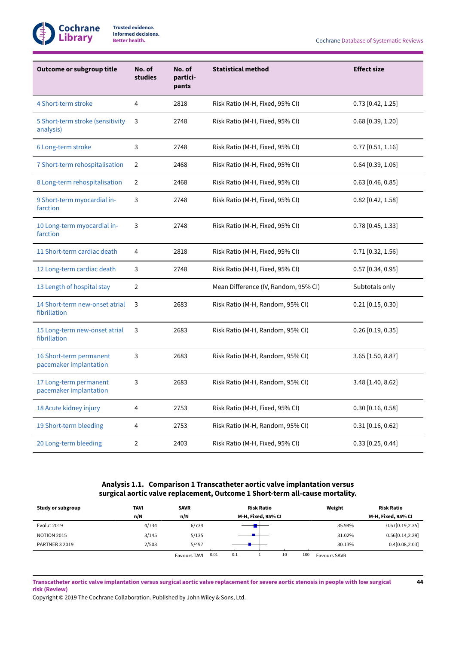

**Better health.** Cochrane Database of Systematic Reviews

| <b>Outcome or subgroup title</b>                  | No. of<br>studies | No. of<br>partici-<br>pants | <b>Statistical method</b>            | <b>Effect size</b>  |
|---------------------------------------------------|-------------------|-----------------------------|--------------------------------------|---------------------|
| 4 Short-term stroke                               | $\overline{4}$    | 2818                        | Risk Ratio (M-H, Fixed, 95% CI)      | $0.73$ [0.42, 1.25] |
| 5 Short-term stroke (sensitivity<br>analysis)     | 3                 | 2748                        | Risk Ratio (M-H, Fixed, 95% CI)      | $0.68$ [0.39, 1.20] |
| 6 Long-term stroke                                | 3                 | 2748                        | Risk Ratio (M-H, Fixed, 95% CI)      | $0.77$ [0.51, 1.16] |
| 7 Short-term rehospitalisation                    | $\overline{2}$    | 2468                        | Risk Ratio (M-H, Fixed, 95% CI)      | $0.64$ [0.39, 1.06] |
| 8 Long-term rehospitalisation                     | $\overline{2}$    | 2468                        | Risk Ratio (M-H, Fixed, 95% CI)      | $0.63$ [0.46, 0.85] |
| 9 Short-term myocardial in-<br>farction           | 3                 | 2748                        | Risk Ratio (M-H, Fixed, 95% CI)      | $0.82$ [0.42, 1.58] |
| 10 Long-term myocardial in-<br>farction           | 3                 | 2748                        | Risk Ratio (M-H, Fixed, 95% CI)      | $0.78$ [0.45, 1.33] |
| 11 Short-term cardiac death                       | 4                 | 2818                        | Risk Ratio (M-H, Fixed, 95% CI)      | $0.71$ [0.32, 1.56] |
| 12 Long-term cardiac death                        | 3                 | 2748                        | Risk Ratio (M-H, Fixed, 95% CI)      | $0.57$ [0.34, 0.95] |
| 13 Length of hospital stay                        | $\overline{2}$    |                             | Mean Difference (IV, Random, 95% CI) | Subtotals only      |
| 14 Short-term new-onset atrial<br>fibrillation    | 3                 | 2683                        | Risk Ratio (M-H, Random, 95% CI)     | $0.21$ [0.15, 0.30] |
| 15 Long-term new-onset atrial<br>fibrillation     | 3                 | 2683                        | Risk Ratio (M-H, Random, 95% CI)     | $0.26$ [0.19, 0.35] |
| 16 Short-term permanent<br>pacemaker implantation | 3                 | 2683                        | Risk Ratio (M-H, Random, 95% CI)     | $3.65$ [1.50, 8.87] |
| 17 Long-term permanent<br>pacemaker implantation  | 3                 | 2683                        | Risk Ratio (M-H, Random, 95% CI)     | 3.48 [1.40, 8.62]   |
| 18 Acute kidney injury                            | $\overline{4}$    | 2753                        | Risk Ratio (M-H, Fixed, 95% CI)      | 0.30 [0.16, 0.58]   |
| 19 Short-term bleeding                            | 4                 | 2753                        | Risk Ratio (M-H, Random, 95% CI)     | $0.31$ [0.16, 0.62] |
| 20 Long-term bleeding                             | $\overline{2}$    | 2403                        | Risk Ratio (M-H, Fixed, 95% CI)      | $0.33$ [0.25, 0.44] |

# **Analysis 1.1. Comparison 1Transcatheter aortic valve implantation versus surgical aortic valve replacement, Outcome 1Short-term all-cause mortality.**

<span id="page-46-0"></span>

| Study or subgroup  | <b>TAVI</b> | <b>SAVR</b>                 | <b>Risk Ratio</b>  | Weight                     | <b>Risk Ratio</b>  |
|--------------------|-------------|-----------------------------|--------------------|----------------------------|--------------------|
|                    | n/N         | n/N                         | M-H, Fixed, 95% CI |                            | M-H, Fixed, 95% CI |
| Evolut 2019        | 4/734       | 6/734                       |                    | 35.94%                     | 0.67[0.19, 2.35]   |
| <b>NOTION 2015</b> | 3/145       | 5/135                       |                    | 31.02%                     | 0.56[0.14, 2.29]   |
| PARTNER 3 2019     | 2/503       | 5/497                       |                    | 30.13%                     | 0.4[0.08, 2.03]    |
|                    |             | 0.01<br><b>Favours TAVI</b> | 10<br>0.1          | 100<br><b>Favours SAVR</b> |                    |

Transcatheter aortic valve implantation versus surgical aortic valve replacement for severe aortic stenosis in people with low surgical **risk (Review)**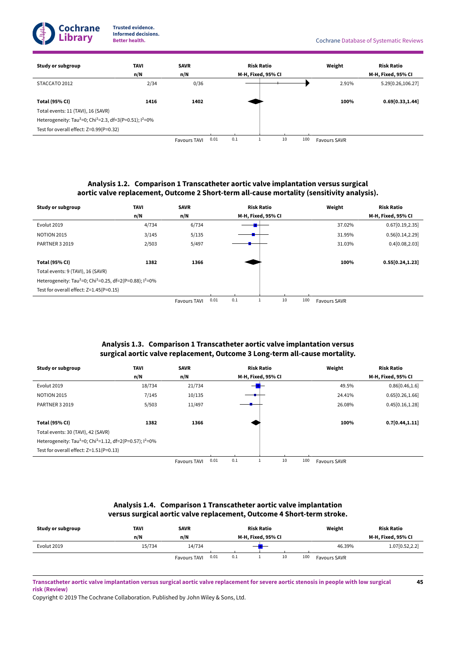

**45**



# **Analysis 1.2. Comparison 1Transcatheter aortic valve implantation versus surgical aortic valve replacement, Outcome 2Short-term all-cause mortality (sensitivity analysis).**

<span id="page-47-0"></span>

| Study or subgroup                                                                   | <b>TAVI</b> | <b>SAVR</b>         |      | <b>Risk Ratio</b> |                    |    |     | Weight              | <b>Risk Ratio</b>  |
|-------------------------------------------------------------------------------------|-------------|---------------------|------|-------------------|--------------------|----|-----|---------------------|--------------------|
|                                                                                     | n/N         | n/N                 |      |                   | M-H, Fixed, 95% CI |    |     |                     | M-H, Fixed, 95% CI |
| Evolut 2019                                                                         | 4/734       | 6/734               |      |                   |                    |    |     | 37.02%              | 0.67[0.19, 2.35]   |
| <b>NOTION 2015</b>                                                                  | 3/145       | 5/135               |      |                   |                    |    |     | 31.95%              | 0.56[0.14, 2.29]   |
| <b>PARTNER 3 2019</b>                                                               | 2/503       | 5/497               |      |                   |                    |    |     | 31.03%              | 0.4[0.08, 2.03]    |
|                                                                                     |             |                     |      |                   |                    |    |     |                     |                    |
| <b>Total (95% CI)</b>                                                               | 1382        | 1366                |      |                   |                    |    |     | 100%                | 0.55[0.24, 1.23]   |
| Total events: 9 (TAVI), 16 (SAVR)                                                   |             |                     |      |                   |                    |    |     |                     |                    |
| Heterogeneity: Tau <sup>2</sup> =0; Chi <sup>2</sup> =0.25, df=2(P=0.88); $1^2$ =0% |             |                     |      |                   |                    |    |     |                     |                    |
| Test for overall effect: Z=1.45(P=0.15)                                             |             |                     |      |                   |                    |    |     |                     |                    |
|                                                                                     |             | <b>Favours TAVI</b> | 0.01 | 0.1               |                    | 10 | 100 | <b>Favours SAVR</b> |                    |

# **Analysis 1.3. Comparison 1Transcatheter aortic valve implantation versus surgical aortic valve replacement, Outcome 3 Long-term all-cause mortality.**

<span id="page-47-1"></span>

| Study or subgroup                                                                            | TAVI   | <b>SAVR</b>         |      |     | <b>Risk Ratio</b>  |    |     | Weight              | <b>Risk Ratio</b>  |
|----------------------------------------------------------------------------------------------|--------|---------------------|------|-----|--------------------|----|-----|---------------------|--------------------|
|                                                                                              | n/N    | n/N                 |      |     | M-H, Fixed, 95% CI |    |     |                     | M-H, Fixed, 95% CI |
| Evolut 2019                                                                                  | 18/734 | 21/734              |      |     |                    |    |     | 49.5%               | 0.86[0.46, 1.6]    |
| <b>NOTION 2015</b>                                                                           | 7/145  | 10/135              |      |     |                    |    |     | 24.41%              | 0.65[0.26, 1.66]   |
| <b>PARTNER 3 2019</b>                                                                        | 5/503  | 11/497              |      |     |                    |    |     | 26.08%              | 0.45[0.16, 1.28]   |
|                                                                                              |        |                     |      |     |                    |    |     |                     |                    |
| <b>Total (95% CI)</b>                                                                        | 1382   | 1366                |      |     |                    |    |     | 100%                | 0.7[0.44, 1.11]    |
| Total events: 30 (TAVI), 42 (SAVR)                                                           |        |                     |      |     |                    |    |     |                     |                    |
| Heterogeneity: Tau <sup>2</sup> =0; Chi <sup>2</sup> =1.12, df=2(P=0.57); l <sup>2</sup> =0% |        |                     |      |     |                    |    |     |                     |                    |
| Test for overall effect: Z=1.51(P=0.13)                                                      |        |                     |      |     |                    |    |     |                     |                    |
|                                                                                              |        | <b>Favours TAVI</b> | 0.01 | 0.1 |                    | 10 | 100 | <b>Favours SAVR</b> |                    |

# **Analysis 1.4. Comparison 1Transcatheter aortic valve implantation versus surgical aortic valve replacement, Outcome 4Short-term stroke.**

<span id="page-47-2"></span>

| Study or subgroup | TAVI   | <b>SAVR</b>         |      | <b>Risk Ratio</b>  |  |    |     | Weight              | <b>Risk Ratio</b>  |
|-------------------|--------|---------------------|------|--------------------|--|----|-----|---------------------|--------------------|
|                   | n/N    | n/N                 |      | M-H, Fixed, 95% CI |  |    |     |                     | M-H, Fixed, 95% CI |
| Evolut 2019       | 15/734 | 14/734              |      |                    |  |    |     | 46.39%              | 1.07[0.52,2.2]     |
|                   |        | <b>Favours TAVI</b> | 0.01 | 0.1                |  | 10 | 100 | <b>Favours SAVR</b> |                    |

Transcatheter aortic valve implantation versus surgical aortic valve replacement for severe aortic stenosis in people with low surgical **risk (Review)**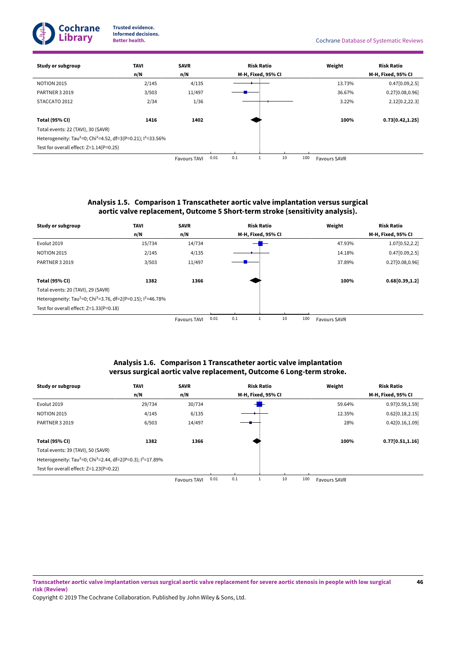

**46**

| Study or subgroup                                                                                | <b>TAVI</b> | <b>SAVR</b>         |      |     | <b>Risk Ratio</b>  |    |     | Weight              | <b>Risk Ratio</b>  |
|--------------------------------------------------------------------------------------------------|-------------|---------------------|------|-----|--------------------|----|-----|---------------------|--------------------|
|                                                                                                  | n/N         | n/N                 |      |     | M-H, Fixed, 95% CI |    |     |                     | M-H, Fixed, 95% CI |
| <b>NOTION 2015</b>                                                                               | 2/145       | 4/135               |      |     |                    |    |     | 13.73%              | 0.47[0.09, 2.5]    |
| <b>PARTNER 3 2019</b>                                                                            | 3/503       | 11/497              |      |     |                    |    |     | 36.67%              | 0.27[0.08, 0.96]   |
| STACCATO 2012                                                                                    | 2/34        | 1/36                |      |     |                    |    |     | 3.22%               | 2.12[0.2, 22.3]    |
|                                                                                                  |             |                     |      |     |                    |    |     |                     |                    |
| <b>Total (95% CI)</b>                                                                            | 1416        | 1402                |      |     |                    |    |     | 100%                | 0.73[0.42, 1.25]   |
| Total events: 22 (TAVI), 30 (SAVR)                                                               |             |                     |      |     |                    |    |     |                     |                    |
| Heterogeneity: Tau <sup>2</sup> =0; Chi <sup>2</sup> =4.52, df=3(P=0.21); l <sup>2</sup> =33.56% |             |                     |      |     |                    |    |     |                     |                    |
| Test for overall effect: Z=1.14(P=0.25)                                                          |             |                     |      |     |                    |    |     |                     |                    |
|                                                                                                  |             | <b>Favours TAVI</b> | 0.01 | 0.1 |                    | 10 | 100 | <b>Favours SAVR</b> |                    |

# **Analysis 1.5. Comparison 1Transcatheter aortic valve implantation versus surgical aortic valve replacement, Outcome 5Short-term stroke (sensitivity analysis).**

<span id="page-48-0"></span>

| Study or subgroup                                                                                | <b>TAVI</b> | <b>SAVR</b>                           |                      | <b>Risk Ratio</b>  | Weight                  | <b>Risk Ratio</b>  |
|--------------------------------------------------------------------------------------------------|-------------|---------------------------------------|----------------------|--------------------|-------------------------|--------------------|
|                                                                                                  | n/N         | n/N                                   |                      | M-H, Fixed, 95% CI |                         | M-H, Fixed, 95% CI |
| Evolut 2019                                                                                      | 15/734      | 14/734                                |                      |                    | 47.93%                  | 1.07[0.52, 2.2]    |
| <b>NOTION 2015</b>                                                                               | 2/145       | 4/135                                 |                      |                    | 14.18%                  | 0.47[0.09, 2.5]    |
| PARTNER 3 2019                                                                                   | 3/503       | 11/497                                |                      |                    | 37.89%                  | 0.27[0.08, 0.96]   |
|                                                                                                  |             |                                       |                      |                    |                         |                    |
| <b>Total (95% CI)</b>                                                                            | 1382        | 1366                                  |                      |                    | 100%                    | 0.68[0.39, 1.2]    |
| Total events: 20 (TAVI), 29 (SAVR)                                                               |             |                                       |                      |                    |                         |                    |
| Heterogeneity: Tau <sup>2</sup> =0; Chi <sup>2</sup> =3.76, df=2(P=0.15); l <sup>2</sup> =46.78% |             |                                       |                      |                    |                         |                    |
| Test for overall effect: Z=1.33(P=0.18)                                                          |             |                                       |                      |                    |                         |                    |
|                                                                                                  |             | $F \sim 10^{-1}$ and $F \sim 10^{-1}$ | 0.01<br>$^{\circ}$ 1 | 10<br>100 L        | $F \ldots$ $R \ldots R$ |                    |

Favours TAVI 0.01 0.1

1 10 100 Favours SAVR

# **Analysis 1.6. Comparison 1Transcatheter aortic valve implantation versus surgical aortic valve replacement, Outcome 6 Long-term stroke.**

<span id="page-48-1"></span>

| Study or subgroup                                                                               | <b>TAVI</b> | <b>SAVR</b>         |      | <b>Risk Ratio</b> |                    |    |     | Weight              | <b>Risk Ratio</b>  |
|-------------------------------------------------------------------------------------------------|-------------|---------------------|------|-------------------|--------------------|----|-----|---------------------|--------------------|
|                                                                                                 | n/N         | n/N                 |      |                   | M-H, Fixed, 95% CI |    |     |                     | M-H, Fixed, 95% CI |
| Evolut 2019                                                                                     | 29/734      | 30/734              |      |                   |                    |    |     | 59.64%              | 0.97[0.59, 1.59]   |
| <b>NOTION 2015</b>                                                                              | 4/145       | 6/135               |      |                   |                    |    |     | 12.35%              | 0.62[0.18, 2.15]   |
| PARTNER 3 2019                                                                                  | 6/503       | 14/497              |      |                   |                    |    |     | 28%                 | 0.42[0.16, 1.09]   |
|                                                                                                 |             |                     |      |                   |                    |    |     |                     |                    |
| <b>Total (95% CI)</b>                                                                           | 1382        | 1366                |      |                   |                    |    |     | 100%                | 0.77[0.51, 1.16]   |
| Total events: 39 (TAVI), 50 (SAVR)                                                              |             |                     |      |                   |                    |    |     |                     |                    |
| Heterogeneity: Tau <sup>2</sup> =0; Chi <sup>2</sup> =2.44, df=2(P=0.3); l <sup>2</sup> =17.89% |             |                     |      |                   |                    |    |     |                     |                    |
| Test for overall effect: Z=1.23(P=0.22)                                                         |             |                     |      |                   |                    |    |     |                     |                    |
|                                                                                                 |             | <b>Favours TAVI</b> | 0.01 | 0.1               |                    | 10 | 100 | <b>Favours SAVR</b> |                    |

Transcatheter aortic valve implantation versus surgical aortic valve replacement for severe aortic stenosis in people with low surgical **risk (Review)**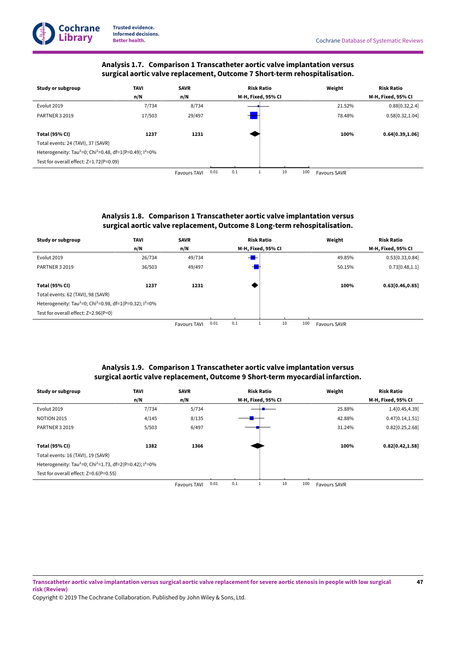# **Analysis 1.7. Comparison 1Transcatheter aortic valve implantation versus surgical aortic valve replacement, Outcome 7Short-term rehospitalisation.**

**Cochrane Library**

**Trusted evidence. Informed decisions.**

<span id="page-49-0"></span>

| Study or subgroup                                                                   | TAVI   | <b>SAVR</b>         |      |     | <b>Risk Ratio</b>  |    |     | Weight              | <b>Risk Ratio</b>  |
|-------------------------------------------------------------------------------------|--------|---------------------|------|-----|--------------------|----|-----|---------------------|--------------------|
|                                                                                     | n/N    | n/N                 |      |     | M-H, Fixed, 95% CI |    |     |                     | M-H, Fixed, 95% CI |
| Evolut 2019                                                                         | 7/734  | 8/734               |      |     |                    |    |     | 21.52%              | 0.88[0.32, 2.4]    |
| <b>PARTNER 3 2019</b>                                                               | 17/503 | 29/497              |      |     |                    |    |     | 78.48%              | 0.58[0.32, 1.04]   |
|                                                                                     |        |                     |      |     |                    |    |     |                     |                    |
| <b>Total (95% CI)</b>                                                               | 1237   | 1231                |      |     |                    |    |     | 100%                | 0.64[0.39,1.06]    |
| Total events: 24 (TAVI), 37 (SAVR)                                                  |        |                     |      |     |                    |    |     |                     |                    |
| Heterogeneity: Tau <sup>2</sup> =0; Chi <sup>2</sup> =0.48, df=1(P=0.49); $1^2$ =0% |        |                     |      |     |                    |    |     |                     |                    |
| Test for overall effect: Z=1.72(P=0.09)                                             |        |                     |      |     |                    |    |     |                     |                    |
|                                                                                     |        | <b>Favours TAVI</b> | 0.01 | 0.1 |                    | 10 | 100 | <b>Favours SAVR</b> |                    |

# **Analysis 1.8. Comparison 1Transcatheter aortic valve implantation versus surgical aortic valve replacement, Outcome 8 Long-term rehospitalisation.**

<span id="page-49-1"></span>

| Study or subgroup                                                                   | TAVI   | <b>SAVR</b>                              |              | <b>Risk Ratio</b>  | Weight    | <b>Risk Ratio</b>  |
|-------------------------------------------------------------------------------------|--------|------------------------------------------|--------------|--------------------|-----------|--------------------|
|                                                                                     | n/N    | n/N                                      |              | M-H, Fixed, 95% CI |           | M-H, Fixed, 95% CI |
| Evolut 2019                                                                         | 26/734 | 49/734                                   |              | ╼╋                 | 49.85%    | 0.53 [0.33, 0.84]  |
| <b>PARTNER 3 2019</b>                                                               | 36/503 | 49/497                                   |              |                    | 50.15%    | 0.73[0.48, 1.1]    |
|                                                                                     |        |                                          |              |                    |           |                    |
| <b>Total (95% CI)</b>                                                               | 1237   | 1231                                     |              |                    | 100%      | 0.63[0.46, 0.85]   |
| Total events: 62 (TAVI), 98 (SAVR)                                                  |        |                                          |              |                    |           |                    |
| Heterogeneity: Tau <sup>2</sup> =0; Chi <sup>2</sup> =0.98, df=1(P=0.32); $1^2$ =0% |        |                                          |              |                    |           |                    |
| Test for overall effect: Z=2.96(P=0)                                                |        |                                          |              |                    |           |                    |
|                                                                                     |        | $F_{21}, F_{31}, F_{41}, F_{51}, F_{61}$ | $^{\circ}$ 1 | 10                 | $100 - 5$ |                    |

Favours TAVI

Favours SAVR

**47**

# **Analysis 1.9. Comparison 1Transcatheter aortic valve implantation versus surgical aortic valve replacement, Outcome 9Short-term myocardial infarction.**

<span id="page-49-2"></span>

| Study or subgroup                                                                            | TAVI  | <b>SAVR</b>         |      |     | <b>Risk Ratio</b>  |    |     | Weight              | <b>Risk Ratio</b>  |
|----------------------------------------------------------------------------------------------|-------|---------------------|------|-----|--------------------|----|-----|---------------------|--------------------|
|                                                                                              | n/N   | n/N                 |      |     | M-H, Fixed, 95% CI |    |     |                     | M-H, Fixed, 95% CI |
| Evolut 2019                                                                                  | 7/734 | 5/734               |      |     |                    |    |     | 25.88%              | 1.4 [0.45, 4.39]   |
| <b>NOTION 2015</b>                                                                           | 4/145 | 8/135               |      |     |                    |    |     | 42.88%              | 0.47[0.14, 1.51]   |
| <b>PARTNER 3 2019</b>                                                                        | 5/503 | 6/497               |      |     |                    |    |     | 31.24%              | 0.82[0.25, 2.68]   |
|                                                                                              |       |                     |      |     |                    |    |     |                     |                    |
| <b>Total (95% CI)</b>                                                                        | 1382  | 1366                |      |     |                    |    |     | 100%                | 0.82[0.42, 1.58]   |
| Total events: 16 (TAVI), 19 (SAVR)                                                           |       |                     |      |     |                    |    |     |                     |                    |
| Heterogeneity: Tau <sup>2</sup> =0; Chi <sup>2</sup> =1.73, df=2(P=0.42); l <sup>2</sup> =0% |       |                     |      |     |                    |    |     |                     |                    |
| Test for overall effect: Z=0.6(P=0.55)                                                       |       |                     |      |     |                    |    |     |                     |                    |
|                                                                                              |       | <b>Favours TAVI</b> | 0.01 | 0.1 |                    | 10 | 100 | <b>Favours SAVR</b> |                    |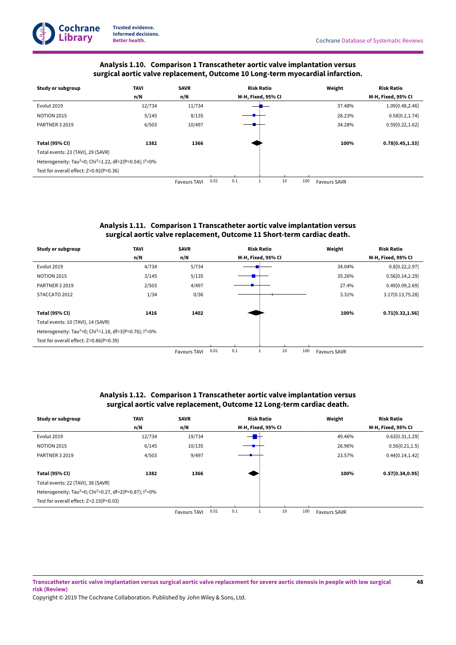# **Cochrane Library**

**Trusted evidence. Informed decisions.**

# **Analysis 1.10. Comparison 1Transcatheter aortic valve implantation versus surgical aortic valve replacement, Outcome 10 Long-term myocardial infarction.**

<span id="page-50-0"></span>

| Study or subgroup                                                                            | <b>TAVI</b> | <b>SAVR</b>         |      | <b>Risk Ratio</b> |                    |    |     | Weight              | <b>Risk Ratio</b>  |
|----------------------------------------------------------------------------------------------|-------------|---------------------|------|-------------------|--------------------|----|-----|---------------------|--------------------|
|                                                                                              | n/N         | n/N                 |      |                   | M-H, Fixed, 95% CI |    |     |                     | M-H, Fixed, 95% CI |
| Evolut 2019                                                                                  | 12/734      | 11/734              |      |                   |                    |    |     | 37.48%              | 1.09 [0.48, 2.46]  |
| <b>NOTION 2015</b>                                                                           | 5/145       | 8/135               |      |                   |                    |    |     | 28.23%              | 0.58[0.2, 1.74]    |
| PARTNER 3 2019                                                                               | 6/503       | 10/497              |      |                   |                    |    |     | 34.28%              | 0.59[0.22, 1.62]   |
|                                                                                              |             |                     |      |                   |                    |    |     |                     |                    |
| <b>Total (95% CI)</b>                                                                        | 1382        | 1366                |      |                   |                    |    |     | 100%                | 0.78[0.45, 1.33]   |
| Total events: 23 (TAVI), 29 (SAVR)                                                           |             |                     |      |                   |                    |    |     |                     |                    |
| Heterogeneity: Tau <sup>2</sup> =0; Chi <sup>2</sup> =1.22, df=2(P=0.54); l <sup>2</sup> =0% |             |                     |      |                   |                    |    |     |                     |                    |
| Test for overall effect: Z=0.92(P=0.36)                                                      |             |                     |      |                   |                    |    |     |                     |                    |
|                                                                                              |             | <b>Favours TAVI</b> | 0.01 | 0.1               |                    | 10 | 100 | <b>Favours SAVR</b> |                    |

# **Analysis 1.11. Comparison 1Transcatheter aortic valve implantation versus surgical aortic valve replacement, Outcome 11Short-term cardiac death.**

<span id="page-50-1"></span>

| Study or subgroup                                                                   | <b>TAVI</b> | <b>SAVR</b>         |      | <b>Risk Ratio</b> |                    |    |     | Weight              | <b>Risk Ratio</b>  |
|-------------------------------------------------------------------------------------|-------------|---------------------|------|-------------------|--------------------|----|-----|---------------------|--------------------|
|                                                                                     | n/N         | n/N                 |      |                   | M-H, Fixed, 95% CI |    |     |                     | M-H, Fixed, 95% CI |
| Evolut 2019                                                                         | 4/734       | 5/734               |      |                   |                    |    |     | 34.04%              | 0.8[0.22, 2.97]    |
| <b>NOTION 2015</b>                                                                  | 3/145       | 5/135               |      |                   |                    |    |     | 35.26%              | 0.56[0.14, 2.29]   |
| <b>PARTNER 3 2019</b>                                                               | 2/503       | 4/497               |      |                   |                    |    |     | 27.4%               | 0.49[0.09,2.69]    |
| STACCATO 2012                                                                       | 1/34        | 0/36                |      |                   |                    |    |     | 3.31%               | 3.17[0.13,75.28]   |
|                                                                                     |             |                     |      |                   |                    |    |     |                     |                    |
| <b>Total (95% CI)</b>                                                               | 1416        | 1402                |      |                   |                    |    |     | 100%                | 0.71[0.32, 1.56]   |
| Total events: 10 (TAVI), 14 (SAVR)                                                  |             |                     |      |                   |                    |    |     |                     |                    |
| Heterogeneity: Tau <sup>2</sup> =0; Chi <sup>2</sup> =1.18, df=3(P=0.76); $1^2$ =0% |             |                     |      |                   |                    |    |     |                     |                    |
| Test for overall effect: Z=0.86(P=0.39)                                             |             |                     |      |                   |                    |    |     |                     |                    |
|                                                                                     |             | <b>Favours TAVI</b> | 0.01 | 0.1               |                    | 10 | 100 | <b>Favours SAVR</b> |                    |

# **Analysis 1.12. Comparison 1Transcatheter aortic valve implantation versus surgical aortic valve replacement, Outcome 12 Long-term cardiac death.**

<span id="page-50-2"></span>

| Study or subgroup                                                                   | <b>TAVI</b> | <b>SAVR</b>         |      | <b>Risk Ratio</b> |                    |    | Weight | <b>Risk Ratio</b>   |                    |
|-------------------------------------------------------------------------------------|-------------|---------------------|------|-------------------|--------------------|----|--------|---------------------|--------------------|
|                                                                                     | n/N         | n/N                 |      |                   | M-H, Fixed, 95% CI |    |        |                     | M-H, Fixed, 95% CI |
| Evolut 2019                                                                         | 12/734      | 19/734              |      | —                 |                    |    |        | 49.46%              | 0.63[0.31, 1.29]   |
| <b>NOTION 2015</b>                                                                  | 6/145       | 10/135              |      |                   |                    |    |        | 26.96%              | 0.56[0.21, 1.5]    |
| PARTNER 3 2019                                                                      | 4/503       | 9/497               |      |                   |                    |    |        | 23.57%              | 0.44[0.14, 1.42]   |
|                                                                                     |             |                     |      |                   |                    |    |        |                     |                    |
| <b>Total (95% CI)</b>                                                               | 1382        | 1366                |      |                   |                    |    |        | 100%                | 0.57[0.34, 0.95]   |
| Total events: 22 (TAVI), 38 (SAVR)                                                  |             |                     |      |                   |                    |    |        |                     |                    |
| Heterogeneity: Tau <sup>2</sup> =0; Chi <sup>2</sup> =0.27, df=2(P=0.87); $1^2$ =0% |             |                     |      |                   |                    |    |        |                     |                    |
| Test for overall effect: Z=2.15(P=0.03)                                             |             |                     |      |                   |                    |    |        |                     |                    |
|                                                                                     |             | <b>Favours TAVI</b> | 0.01 | 0.1               |                    | 10 | 100    | <b>Favours SAVR</b> |                    |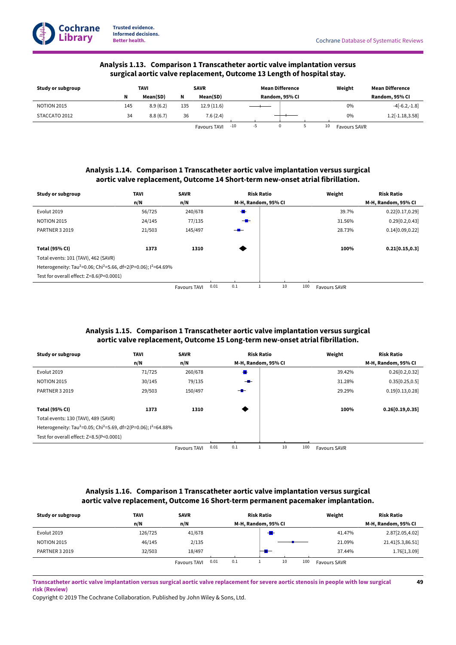**49**



# **Analysis 1.13. Comparison 1Transcatheter aortic valve implantation versus surgical aortic valve replacement, Outcome 13 Length of hospital stay.**

<span id="page-51-0"></span>

| Study or subgroup  |     | TAVI     | <b>SAVR</b> |                     |                | <b>Mean Difference</b> |   |  |    | Weight              | Mean Difference |
|--------------------|-----|----------|-------------|---------------------|----------------|------------------------|---|--|----|---------------------|-----------------|
|                    | N   | Mean(SD) | N           | Mean(SD)            | Random, 95% CI |                        |   |  |    | Random, 95% CI      |                 |
| <b>NOTION 2015</b> | 145 | 8.9(6.2) | 135         | 12.9(11.6)          |                |                        |   |  |    | 0%                  | $-4[-6.2,-1.8]$ |
| STACCATO 2012      | 34  | 8.8(6.7) | 36          | 7.6(2.4)            |                |                        |   |  |    | 0%                  | 1.2[-1.18,3.58] |
|                    |     |          |             | <b>Favours TAVI</b> | $-10$          | -5                     | 0 |  | 10 | <b>Favours SAVR</b> |                 |

# **Analysis 1.14. Comparison 1Transcatheter aortic valve implantation versus surgical aortic valve replacement, Outcome 14Short-term new-onset atrial fibrillation.**

<span id="page-51-1"></span>

| Study or subgroup                                                                                   | <b>TAVI</b> | <b>SAVR</b>         |      |                | <b>Risk Ratio</b>   |    |     | Weight              | <b>Risk Ratio</b>   |
|-----------------------------------------------------------------------------------------------------|-------------|---------------------|------|----------------|---------------------|----|-----|---------------------|---------------------|
|                                                                                                     | n/N         | n/N                 |      |                | M-H, Random, 95% CI |    |     |                     | M-H, Random, 95% CI |
| Evolut 2019                                                                                         | 56/725      | 240/678             |      | $\blacksquare$ |                     |    |     | 39.7%               | 0.22[0.17, 0.29]    |
| <b>NOTION 2015</b>                                                                                  | 24/145      | 77/135              |      | $-$            |                     |    |     | 31.56%              | 0.29[0.2, 0.43]     |
| <b>PARTNER 3 2019</b>                                                                               | 21/503      | 145/497             |      |                |                     |    |     | 28.73%              | 0.14[0.09, 0.22]    |
|                                                                                                     |             |                     |      |                |                     |    |     |                     |                     |
| <b>Total (95% CI)</b>                                                                               | 1373        | 1310                |      |                |                     |    |     | 100%                | 0.21[0.15, 0.3]     |
| Total events: 101 (TAVI), 462 (SAVR)                                                                |             |                     |      |                |                     |    |     |                     |                     |
| Heterogeneity: Tau <sup>2</sup> =0.06; Chi <sup>2</sup> =5.66, df=2(P=0.06); l <sup>2</sup> =64.69% |             |                     |      |                |                     |    |     |                     |                     |
| Test for overall effect: Z=8.6(P<0.0001)                                                            |             |                     |      |                |                     |    |     |                     |                     |
|                                                                                                     |             | <b>Favours TAVI</b> | 0.01 | 0.1            |                     | 10 | 100 | <b>Favours SAVR</b> |                     |

# **Analysis 1.15. Comparison 1Transcatheter aortic valve implantation versus surgical aortic valve replacement, Outcome 15 Long-term new-onset atrial fibrillation.**

<span id="page-51-2"></span>

| Study or subgroup                                                                                   | <b>TAVI</b> | <b>SAVR</b>         |      |     | <b>Risk Ratio</b>   |     | Weight              | <b>Risk Ratio</b>   |
|-----------------------------------------------------------------------------------------------------|-------------|---------------------|------|-----|---------------------|-----|---------------------|---------------------|
|                                                                                                     | n/N         | n/N                 |      |     | M-H, Random, 95% CI |     |                     | M-H, Random, 95% CI |
| Evolut 2019                                                                                         | 71/725      | 260/678             |      | ₩   |                     |     | 39.42%              | 0.26[0.2, 0.32]     |
| <b>NOTION 2015</b>                                                                                  | 30/145      | 79/135              |      | $-$ |                     |     | 31.28%              | 0.35[0.25, 0.5]     |
| <b>PARTNER 3 2019</b>                                                                               | 29/503      | 150/497             |      | $-$ |                     |     | 29.29%              | 0.19[0.13, 0.28]    |
|                                                                                                     |             |                     |      |     |                     |     |                     |                     |
| <b>Total (95% CI)</b>                                                                               | 1373        | 1310                |      |     |                     |     | 100%                | 0.26[0.19, 0.35]    |
| Total events: 130 (TAVI), 489 (SAVR)                                                                |             |                     |      |     |                     |     |                     |                     |
| Heterogeneity: Tau <sup>2</sup> =0.05; Chi <sup>2</sup> =5.69, df=2(P=0.06); l <sup>2</sup> =64.88% |             |                     |      |     |                     |     |                     |                     |
| Test for overall effect: Z=8.5(P<0.0001)                                                            |             |                     |      |     |                     |     |                     |                     |
|                                                                                                     |             | <b>Favours TAVI</b> | 0.01 | 0.1 | 10                  | 100 | <b>Favours SAVR</b> |                     |

# **Analysis 1.16. Comparison 1Transcatheter aortic valve implantation versus surgical aortic valve replacement, Outcome 16Short-term permanent pacemaker implantation.**

<span id="page-51-3"></span>

| Study or subgroup  | <b>TAVI</b> | <b>SAVR</b>                 | <b>Risk Ratio</b>   | Weight              | <b>Risk Ratio</b>   |
|--------------------|-------------|-----------------------------|---------------------|---------------------|---------------------|
|                    | n/N         | n/N                         | M-H, Random, 95% CI |                     | M-H, Random, 95% CI |
| Evolut 2019        | 126/725     | 41/678                      |                     | 41.47%              | 2.87 [2.05,4.02]    |
| <b>NOTION 2015</b> | 46/145      | 2/135                       |                     | 21.09%              | 21.41 [5.3,86.51]   |
| PARTNER 3 2019     | 32/503      | 18/497                      |                     | 37.44%              | 1.76[1,3.09]        |
|                    |             | 0.01<br><b>Favours TAVI</b> | 10<br>100<br>0.1    | <b>Favours SAVR</b> |                     |

Transcatheter aortic valve implantation versus surgical aortic valve replacement for severe aortic stenosis in people with low surgical **risk (Review)**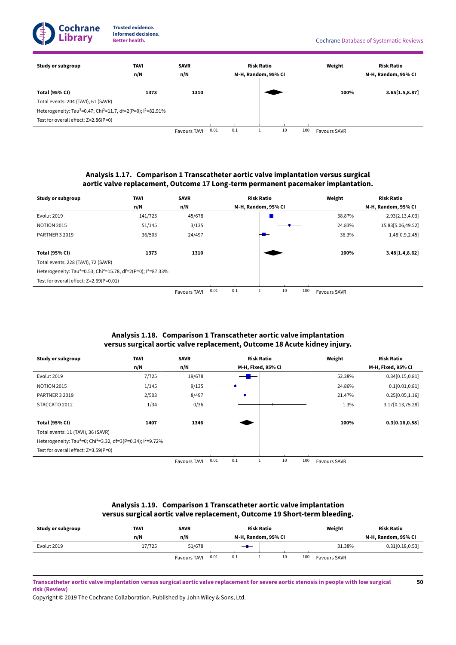

**50**

| Study or subgroup                                                                                | <b>TAVI</b><br>n/N | <b>SAVR</b><br>n/N  |      | M-H, Random, 95% CI | <b>Risk Ratio</b> |    |     | Weight              | <b>Risk Ratio</b><br>M-H, Random, 95% CI |
|--------------------------------------------------------------------------------------------------|--------------------|---------------------|------|---------------------|-------------------|----|-----|---------------------|------------------------------------------|
|                                                                                                  |                    |                     |      |                     |                   |    |     |                     |                                          |
| <b>Total (95% CI)</b>                                                                            | 1373               | 1310                |      |                     |                   |    |     | 100%                | 3.65[1.5, 8.87]                          |
| Total events: 204 (TAVI), 61 (SAVR)                                                              |                    |                     |      |                     |                   |    |     |                     |                                          |
| Heterogeneity: Tau <sup>2</sup> =0.47; Chi <sup>2</sup> =11.7, df=2(P=0); l <sup>2</sup> =82.91% |                    |                     |      |                     |                   |    |     |                     |                                          |
| Test for overall effect: Z=2.86(P=0)                                                             |                    |                     |      |                     |                   |    |     |                     |                                          |
|                                                                                                  |                    | <b>Favours TAVI</b> | 0.01 | 0.1                 |                   | 10 | 100 | <b>Favours SAVR</b> |                                          |

# **Analysis 1.17. Comparison 1Transcatheter aortic valve implantation versus surgical aortic valve replacement, Outcome 17 Long-term permanent pacemaker implantation.**

<span id="page-52-0"></span>

| Study or subgroup                                                                                 | <b>TAVI</b> | <b>SAVR</b>         |      |                     | <b>Risk Ratio</b> |    |     | Weight              | <b>Risk Ratio</b>   |
|---------------------------------------------------------------------------------------------------|-------------|---------------------|------|---------------------|-------------------|----|-----|---------------------|---------------------|
|                                                                                                   | n/N         | n/N                 |      | M-H, Random, 95% CI |                   |    |     |                     | M-H, Random, 95% CI |
| Evolut 2019                                                                                       | 141/725     | 45/678              |      |                     | $\cdot$           |    |     | 38.87%              | 2.93 [2.13,4.03]    |
| <b>NOTION 2015</b>                                                                                | 51/145      | 3/135               |      |                     |                   |    |     | 24.83%              | 15.83 [5.06,49.52]  |
| <b>PARTNER 3 2019</b>                                                                             | 36/503      | 24/497              |      |                     |                   |    |     | 36.3%               | 1.48 [0.9, 2.45]    |
|                                                                                                   |             |                     |      |                     |                   |    |     |                     |                     |
| <b>Total (95% CI)</b>                                                                             | 1373        | 1310                |      |                     |                   |    |     | 100%                | 3.48[1.4, 8.62]     |
| Total events: 228 (TAVI), 72 (SAVR)                                                               |             |                     |      |                     |                   |    |     |                     |                     |
| Heterogeneity: Tau <sup>2</sup> =0.53; Chi <sup>2</sup> =15.78, df=2(P=0); l <sup>2</sup> =87.33% |             |                     |      |                     |                   |    |     |                     |                     |
| Test for overall effect: Z=2.69(P=0.01)                                                           |             |                     |      |                     |                   |    |     |                     |                     |
|                                                                                                   |             | <b>Favours TAVI</b> | 0.01 | 0.1                 |                   | 10 | 100 | <b>Favours SAVR</b> |                     |

# **Analysis 1.18. Comparison 1Transcatheter aortic valve implantation versus surgical aortic valve replacement, Outcome 18 Acute kidney injury.**

<span id="page-52-1"></span>

| Study or subgroup                                                                               | <b>TAVI</b> | <b>SAVR</b>         |      |     | <b>Risk Ratio</b>  |    |     | Weight              | <b>Risk Ratio</b>  |
|-------------------------------------------------------------------------------------------------|-------------|---------------------|------|-----|--------------------|----|-----|---------------------|--------------------|
|                                                                                                 | n/N         | n/N                 |      |     | M-H, Fixed, 95% CI |    |     |                     | M-H, Fixed, 95% CI |
| Evolut 2019                                                                                     | 7/725       | 19/678              |      |     |                    |    |     | 52.38%              | 0.34[0.15, 0.81]   |
| <b>NOTION 2015</b>                                                                              | 1/145       | 9/135               |      |     |                    |    |     | 24.86%              | 0.1[0.01, 0.81]    |
| <b>PARTNER 3 2019</b>                                                                           | 2/503       | 8/497               |      |     |                    |    |     | 21.47%              | 0.25[0.05, 1.16]   |
| STACCATO 2012                                                                                   | 1/34        | 0/36                |      |     |                    |    |     | 1.3%                | 3.17[0.13,75.28]   |
|                                                                                                 |             |                     |      |     |                    |    |     |                     |                    |
| <b>Total (95% CI)</b>                                                                           | 1407        | 1346                |      |     |                    |    |     | 100%                | 0.3[0.16, 0.58]    |
| Total events: 11 (TAVI), 36 (SAVR)                                                              |             |                     |      |     |                    |    |     |                     |                    |
| Heterogeneity: Tau <sup>2</sup> =0; Chi <sup>2</sup> =3.32, df=3(P=0.34); l <sup>2</sup> =9.72% |             |                     |      |     |                    |    |     |                     |                    |
| Test for overall effect: Z=3.59(P=0)                                                            |             |                     |      |     |                    |    |     |                     |                    |
|                                                                                                 |             | <b>Favours TAVI</b> | 0.01 | 0.1 |                    | 10 | 100 | <b>Favours SAVR</b> |                    |

# **Analysis 1.19. Comparison 1Transcatheter aortic valve implantation versus surgical aortic valve replacement, Outcome 19Short-term bleeding.**

<span id="page-52-2"></span>

| Study or subgroup | TAVI   | <b>SAVR</b>         |      | <b>Risk Ratio</b>   |  |    | Weight | <b>Risk Ratio</b>   |                     |
|-------------------|--------|---------------------|------|---------------------|--|----|--------|---------------------|---------------------|
|                   | n/N    | n/N                 |      | M-H, Random, 95% CI |  |    |        |                     | M-H, Random, 95% CI |
| Evolut 2019       | 17/725 | 51/678              |      | $-$ H $-$           |  |    |        | 31.38%              | 0.31[0.18, 0.53]    |
|                   |        | <b>Favours TAVI</b> | 0.01 | 0.1                 |  | 10 | 100    | <b>Favours SAVR</b> |                     |

Transcatheter aortic valve implantation versus surgical aortic valve replacement for severe aortic stenosis in people with low surgical **risk (Review)**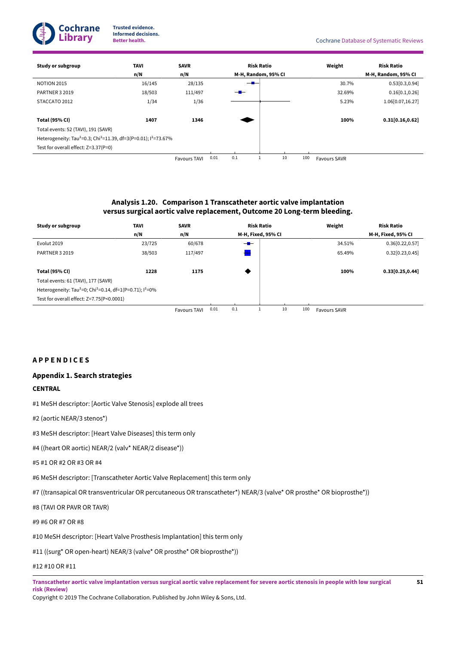

| Study or subgroup                                                                                   | TAVI   | <b>SAVR</b>         |      |                     | <b>Risk Ratio</b> |    |     | Weight              | <b>Risk Ratio</b>    |
|-----------------------------------------------------------------------------------------------------|--------|---------------------|------|---------------------|-------------------|----|-----|---------------------|----------------------|
|                                                                                                     | n/N    | n/N                 |      | M-H, Random, 95% CI |                   |    |     |                     | M-H, Random, 95% CI  |
| <b>NOTION 2015</b>                                                                                  | 16/145 | 28/135              |      | —                   |                   |    |     | 30.7%               | 0.53[0.3, 0.94]      |
| <b>PARTNER 3 2019</b>                                                                               | 18/503 | 111/497             |      | — <del>III</del>    |                   |    |     | 32.69%              | 0.16[0.1, 0.26]      |
| STACCATO 2012                                                                                       | 1/34   | 1/36                |      |                     |                   |    |     | 5.23%               | 1.06 $[0.07, 16.27]$ |
|                                                                                                     |        |                     |      |                     |                   |    |     |                     |                      |
| <b>Total (95% CI)</b>                                                                               | 1407   | 1346                |      |                     |                   |    |     | 100%                | 0.31[0.16, 0.62]     |
| Total events: 52 (TAVI), 191 (SAVR)                                                                 |        |                     |      |                     |                   |    |     |                     |                      |
| Heterogeneity: Tau <sup>2</sup> =0.3; Chi <sup>2</sup> =11.39, df=3(P=0.01); l <sup>2</sup> =73.67% |        |                     |      |                     |                   |    |     |                     |                      |
| Test for overall effect: Z=3.37(P=0)                                                                |        |                     |      |                     |                   |    |     |                     |                      |
|                                                                                                     |        | <b>Favours TAVI</b> | 0.01 | 0.1                 |                   | 10 | 100 | <b>Favours SAVR</b> |                      |

# **Analysis 1.20. Comparison 1Transcatheter aortic valve implantation versus surgical aortic valve replacement, Outcome 20 Long-term bleeding.**

<span id="page-53-0"></span>

| Study or subgroup                                                                   | TAVI   | <b>SAVR</b>         |      |     | <b>Risk Ratio</b>  |    |     | Weight              | <b>Risk Ratio</b>  |
|-------------------------------------------------------------------------------------|--------|---------------------|------|-----|--------------------|----|-----|---------------------|--------------------|
|                                                                                     | n/N    | n/N                 |      |     | M-H, Fixed, 95% CI |    |     |                     | M-H, Fixed, 95% CI |
| Evolut 2019                                                                         | 23/725 | 60/678              |      | $-$ |                    |    |     | 34.51%              | 0.36[0.22, 0.57]   |
| <b>PARTNER 3 2019</b>                                                               | 38/503 | 117/497             |      |     |                    |    |     | 65.49%              | 0.32[0.23, 0.45]   |
|                                                                                     |        |                     |      |     |                    |    |     |                     |                    |
| <b>Total (95% CI)</b>                                                               | 1228   | 1175                |      |     |                    |    |     | 100%                | 0.33[0.25, 0.44]   |
| Total events: 61 (TAVI), 177 (SAVR)                                                 |        |                     |      |     |                    |    |     |                     |                    |
| Heterogeneity: Tau <sup>2</sup> =0; Chi <sup>2</sup> =0.14, df=1(P=0.71); $1^2$ =0% |        |                     |      |     |                    |    |     |                     |                    |
| Test for overall effect: Z=7.75(P<0.0001)                                           |        |                     |      |     |                    |    |     |                     |                    |
|                                                                                     |        | <b>Favours TAVI</b> | 0.01 | 0.1 |                    | 10 | 100 | <b>Favours SAVR</b> |                    |

<span id="page-53-1"></span>**A P P E N D I C E S**

# <span id="page-53-2"></span>**Appendix 1.Search strategies**

# **CENTRAL**

- #1 MeSH descriptor: [Aortic Valve Stenosis] explode all trees
- #2 (aortic NEAR/3 stenos\*)
- #3 MeSH descriptor: [Heart Valve Diseases] this term only
- #4 ((heart OR aortic) NEAR/2 (valv\* NEAR/2 disease\*))
- #5 #1 OR #2 OR #3 OR #4

#6 MeSH descriptor: [Transcatheter Aortic Valve Replacement] this term only

#7 ((transapical OR transventricular OR percutaneous OR transcatheter\*) NEAR/3 (valve\* OR prosthe\* OR bioprosthe\*))

#8 (TAVI OR PAVR OR TAVR)

#9 #6 OR #7 OR #8

#10 MeSH descriptor: [Heart Valve Prosthesis Implantation] this term only

#11 ((surg\* OR open-heart) NEAR/3 (valve\* OR prosthe\* OR bioprosthe\*))

# #12 #10 OR #11

Transcatheter aortic valve implantation versus surgical aortic valve replacement for severe aortic stenosis in people with low surgical **risk (Review)**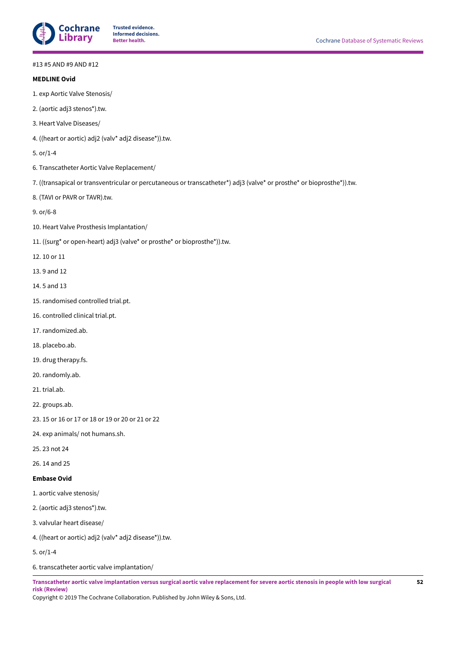

#### #13 #5 AND #9 AND #12

| #13 #5 AND #9 AND #12                                                                                                 |
|-----------------------------------------------------------------------------------------------------------------------|
| <b>MEDLINE Ovid</b>                                                                                                   |
| 1. exp Aortic Valve Stenosis/                                                                                         |
| 2. (aortic adj3 stenos*).tw.                                                                                          |
| 3. Heart Valve Diseases/                                                                                              |
| 4. ((heart or aortic) adj2 (valv* adj2 disease*)).tw.                                                                 |
| 5. or/1-4                                                                                                             |
| 6. Transcatheter Aortic Valve Replacement/                                                                            |
| 7. ((transapical or transventricular or percutaneous or transcatheter*) adj3 (valve* or prosthe* or bioprosthe*)).tw. |
| 8. (TAVI or PAVR or TAVR).tw.                                                                                         |
| 9. or/6-8                                                                                                             |
| 10. Heart Valve Prosthesis Implantation/                                                                              |
| 11. ((surg* or open-heart) adj3 (valve* or prosthe* or bioprosthe*)).tw.                                              |
| 12.10 or 11                                                                                                           |
| 13.9 and 12                                                                                                           |
| 14.5 and 13                                                                                                           |
| 15. randomised controlled trial.pt.                                                                                   |
| 16. controlled clinical trial.pt.                                                                                     |
| 17. randomized.ab.                                                                                                    |
| 18. placebo.ab.                                                                                                       |
| 19. drug therapy.fs.                                                                                                  |
| 20. randomly.ab.                                                                                                      |
| 21. trial.ab.                                                                                                         |
| 22. groups.ab.                                                                                                        |
| 23. 15 or 16 or 17 or 18 or 19 or 20 or 21 or 22                                                                      |
| 24. exp animals/ not humans.sh.                                                                                       |
| 25.23 not 24                                                                                                          |
| 26.14 and 25                                                                                                          |
| <b>Embase Ovid</b>                                                                                                    |
| 1. aortic valve stenosis/                                                                                             |
| 2. (aortic adj3 stenos*).tw.                                                                                          |
| 3. valvular heart disease/                                                                                            |
| 4. ((heart or aortic) adj2 (valv* adj2 disease*)).tw.                                                                 |
| 5. or/1-4                                                                                                             |
| 6. transcatheter aortic valve implantation/                                                                           |

Transcatheter aortic valve implantation versus surgical aortic valve replacement for severe aortic stenosis in people with low surgical **risk (Review)**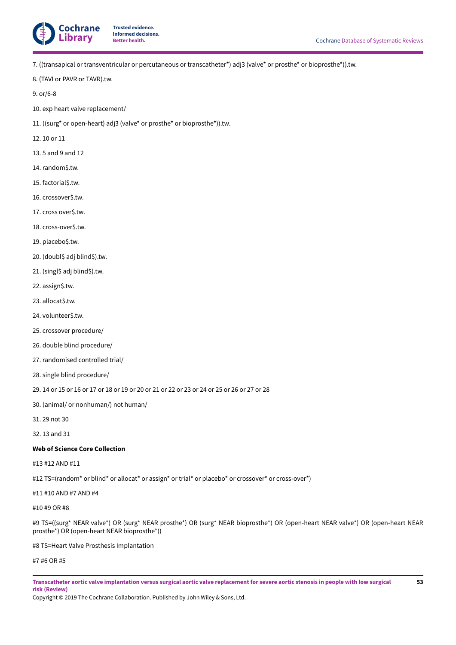

7. ((transapical or transventricular or percutaneous or transcatheter\*) adj3 (valve\* or prosthe\* or bioprosthe\*)).tw.

8. (TAVI or PAVR or TAVR).tw.

9. or/6-8

- 10. exp heart valve replacement/
- 11. ((surg\* or open-heart) adj3 (valve\* or prosthe\* or bioprosthe\*)).tw.
- 12. 10 or 11
- 13. 5 and 9 and 12
- 14. random\$.tw.
- 15. factorial\$.tw.
- 16. crossover\$.tw.
- 17. cross over\$.tw.
- 18. cross-over\$.tw.
- 19. placebo\$.tw.
- 20. (doubl\$ adj blind\$).tw.
- 21. (singl\$ adj blind\$).tw.
- 22. assign\$.tw.
- 23. allocat\$.tw.
- 24. volunteer\$.tw.
- 25. crossover procedure/
- 26. double blind procedure/
- 27. randomised controlled trial/
- 28. single blind procedure/
- 29. 14 or 15 or 16 or 17 or 18 or 19 or 20 or 21 or 22 or 23 or 24 or 25 or 26 or 27 or 28
- 30. (animal/ or nonhuman/) not human/
- 31. 29 not 30
- 32. 13 and 31

#### **Web of Science Core Collection**

# #13 #12 AND #11

#12 TS=(random\* or blind\* or allocat\* or assign\* or trial\* or placebo\* or crossover\* or cross-over\*)

### #11 #10 AND #7 AND #4

#10 #9 OR #8

#9 TS=((surg\* NEAR valve\*) OR (surg\* NEAR prosthe\*) OR (surg\* NEAR bioprosthe\*) OR (open-heart NEAR valve\*) OR (open-heart NEAR prosthe\*) OR (open-heart NEAR bioprosthe\*))

#8 TS=Heart Valve Prosthesis Implantation

#7 #6 OR #5

Transcatheter aortic valve implantation versus surgical aortic valve replacement for severe aortic stenosis in people with low surgical **risk (Review)**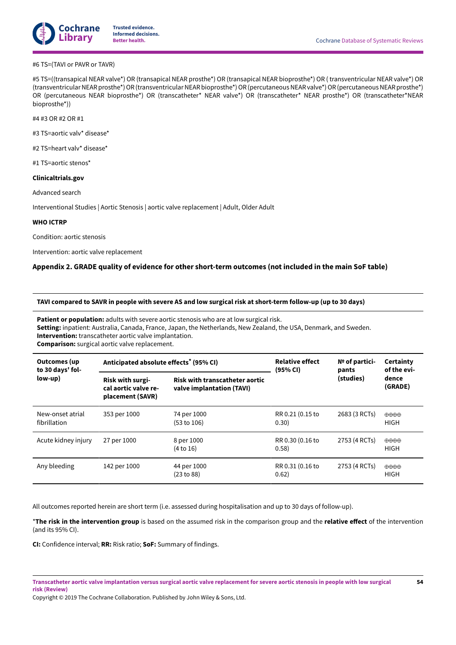

### #6 TS=(TAVI or PAVR or TAVR)

#5 TS=((transapical NEAR valve\*) OR (transapical NEAR prosthe\*) OR (transapical NEAR bioprosthe\*) OR ( transventricular NEAR valve\*) OR (transventricular NEAR prosthe\*) OR (transventricular NEAR bioprosthe\*) OR (percutaneous NEAR valve\*) OR (percutaneous NEAR prosthe\*) OR (percutaneous NEAR bioprosthe\*) OR (transcatheter\* NEAR valve\*) OR (transcatheter\* NEAR prosthe\*) OR (transcatheter\*NEAR bioprosthe\*))

#4 #3 OR #2 OR #1

#3 TS=aortic valv\* disease\*

#2 TS=heart valv\* disease\*

#1 TS=aortic stenos\*

#### **Clinicaltrials.gov**

Advanced search

Interventional Studies | Aortic Stenosis | aortic valve replacement | Adult, Older Adult

#### **WHO ICTRP**

Condition: aortic stenosis

Intervention: aortic valve replacement

# <span id="page-56-0"></span>**Appendix 2. GRADE quality of evidence for other short-term outcomes (not included in the main SoF table)**

TAVI compared to SAVR in people with severe AS and low surgical risk at short-term follow-up (up to 30 days)

**Patient or population:** adults with severe aortic stenosis who are at low surgical risk.

**Setting:** inpatient: Australia, Canada, France, Japan, the Netherlands, New Zealand, the USA, Denmark, and Sweden. **Intervention:** transcatheter aortic valve implantation. **Comparison:** surgical aortic valve replacement.

| <b>Outcomes (up</b><br>to 30 days' fol- | Anticipated absolute effects <sup>*</sup> (95% CI)                  |                                                                    | <b>Relative effect</b><br>(95% CI) | $No$ of partici-<br>pants | Certainty<br>of the evi-<br>dence<br>(GRADE) |  |
|-----------------------------------------|---------------------------------------------------------------------|--------------------------------------------------------------------|------------------------------------|---------------------------|----------------------------------------------|--|
| low-up)                                 | <b>Risk with surgi-</b><br>cal aortic valve re-<br>placement (SAVR) | <b>Risk with transcatheter aortic</b><br>valve implantation (TAVI) |                                    | (studies)                 |                                              |  |
| New-onset atrial<br>fibrillation        | 353 per 1000                                                        | 74 per 1000<br>(53 to 106)                                         | RR 0.21 (0.15 to<br>0.30)          | 2683 (3 RCTs)             | $\oplus \oplus \oplus \oplus$<br><b>HIGH</b> |  |
| Acute kidney injury                     | 27 per 1000                                                         | 8 per 1000<br>(4 to 16)                                            | RR 0.30 (0.16 to<br>0.58)          | 2753 (4 RCTs)             | $\oplus$ $\oplus$ $\oplus$<br><b>HIGH</b>    |  |
| Any bleeding                            | 142 per 1000                                                        | 44 per 1000<br>(23 to 88)                                          | RR 0.31 (0.16 to<br>0.62)          | 2753 (4 RCTs)             | $\oplus \oplus \oplus \oplus$<br><b>HIGH</b> |  |

All outcomes reported herein are short term (i.e. assessed during hospitalisation and up to 30 days of follow-up).

\*The risk in the intervention group is based on the assumed risk in the comparison group and the relative effect of the intervention (and its 95% CI).

**CI:** Confidence interval; **RR:** Risk ratio; **SoF:** Summary of findings.

Transcatheter aortic valve implantation versus surgical aortic valve replacement for severe aortic stenosis in people with low surgical **risk (Review)**